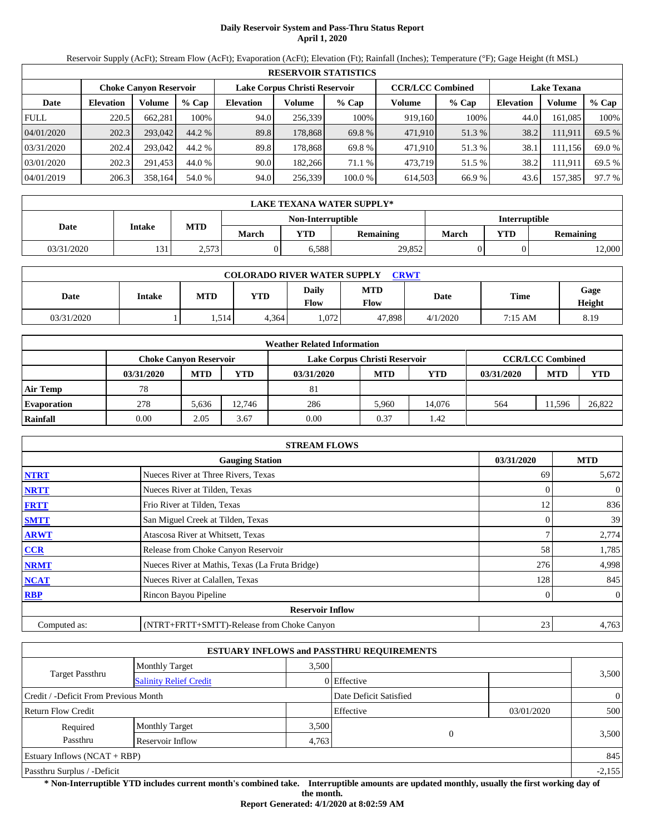# **Daily Reservoir System and Pass-Thru Status Report April 1, 2020**

Reservoir Supply (AcFt); Stream Flow (AcFt); Evaporation (AcFt); Elevation (Ft); Rainfall (Inches); Temperature (°F); Gage Height (ft MSL)

|             | <b>RESERVOIR STATISTICS</b>                                    |         |         |                  |         |         |                         |         |                    |         |        |  |
|-------------|----------------------------------------------------------------|---------|---------|------------------|---------|---------|-------------------------|---------|--------------------|---------|--------|--|
|             | Lake Corpus Christi Reservoir<br><b>Choke Canvon Reservoir</b> |         |         |                  |         |         | <b>CCR/LCC Combined</b> |         | <b>Lake Texana</b> |         |        |  |
| Date        | <b>Elevation</b>                                               | Volume  | $%$ Cap | <b>Elevation</b> | Volume  | $%$ Cap | Volume                  | $%$ Cap | <b>Elevation</b>   | Volume  | % Cap  |  |
| <b>FULL</b> | 220.5                                                          | 662,281 | 100%    | 94.0             | 256,339 | 100%    | 919,160                 | 100%    | 44.0               | 161,085 | 100%   |  |
| 04/01/2020  | 202.3                                                          | 293,042 | 44.2 %  | 89.8             | 178.868 | 69.8 %  | 471.910                 | 51.3 %  | 38.2               | 111,911 | 69.5 % |  |
| 03/31/2020  | 202.4                                                          | 293,042 | 44.2 %  | 89.8             | 178.868 | 69.8 %  | 471.910                 | 51.3 %  | 38.1               | 111,156 | 69.0 % |  |
| 03/01/2020  | 202.3                                                          | 291,453 | 44.0 %  | 90.0             | 182,266 | 71.1 %  | 473,719                 | 51.5 %  | 38.2               | 111,911 | 69.5 % |  |
| 04/01/2019  | 206.3                                                          | 358,164 | 54.0 %  | 94.0             | 256,339 | 100.0%  | 614,503                 | 66.9%   | 43.6               | 157,385 | 97.7 % |  |

|            | LAKE TEXANA WATER SUPPLY* |             |                   |            |               |       |            |                  |  |  |  |
|------------|---------------------------|-------------|-------------------|------------|---------------|-------|------------|------------------|--|--|--|
|            |                           |             | Non-Interruptible |            | Interruptible |       |            |                  |  |  |  |
| Date       | Intake                    | MTD         | March             | <b>VTD</b> | Remaining     | March | <b>YTD</b> | <b>Remaining</b> |  |  |  |
| 03/31/2020 | 121<br>1 J 1              | .573<br>ر پ |                   | 6,588      | 29,852        |       |            | 2,000            |  |  |  |

|            | <b>COLORADO RIVER WATER SUPPLY</b><br><b>CRWT</b> |            |       |               |                    |          |             |                |  |  |  |
|------------|---------------------------------------------------|------------|-------|---------------|--------------------|----------|-------------|----------------|--|--|--|
| Date       | Intake                                            | <b>MTD</b> | YTD   | Daily<br>Flow | <b>MTD</b><br>Flow | Date     | <b>Time</b> | Gage<br>Height |  |  |  |
| 03/31/2020 |                                                   | 1,514      | 4.364 | 1,072         | 47,898             | 4/1/2020 | 7:15 AM     | 8.19           |  |  |  |

|                    |            |                               |        | <b>Weather Related Information</b> |            |        |            |                         |        |
|--------------------|------------|-------------------------------|--------|------------------------------------|------------|--------|------------|-------------------------|--------|
|                    |            | <b>Choke Canvon Reservoir</b> |        | Lake Corpus Christi Reservoir      |            |        |            | <b>CCR/LCC Combined</b> |        |
|                    | 03/31/2020 | <b>MTD</b>                    | YTD    | 03/31/2020                         | <b>MTD</b> | YTD    | 03/31/2020 | <b>MTD</b>              | YTD    |
| Air Temp           | 78         |                               |        | 81                                 |            |        |            |                         |        |
| <b>Evaporation</b> | 278        | 5.636                         | 12.746 | 286                                | 5.960      | 14.076 | 564        | 11.596                  | 26,822 |
| Rainfall           | 0.00       | 2.05                          | 3.67   | 0.00                               | 0.37       | 1.42   |            |                         |        |

|              | <b>STREAM FLOWS</b>                             |            |                |
|--------------|-------------------------------------------------|------------|----------------|
|              | <b>Gauging Station</b>                          | 03/31/2020 | <b>MTD</b>     |
| <b>NTRT</b>  | Nueces River at Three Rivers, Texas             | 69         | 5,672          |
| <b>NRTT</b>  | Nueces River at Tilden, Texas                   |            | $\theta$       |
| <b>FRTT</b>  | Frio River at Tilden, Texas                     | 12         | 836            |
| <b>SMTT</b>  | San Miguel Creek at Tilden, Texas               |            | 39             |
| <b>ARWT</b>  | Atascosa River at Whitsett, Texas               |            | 2,774          |
| <b>CCR</b>   | Release from Choke Canyon Reservoir             | 58         | 1,785          |
| <b>NRMT</b>  | Nueces River at Mathis, Texas (La Fruta Bridge) | 276        | 4,998          |
| <b>NCAT</b>  | Nueces River at Calallen, Texas                 | 128        | 845            |
| <b>RBP</b>   | Rincon Bayou Pipeline                           |            | $\overline{0}$ |
|              | <b>Reservoir Inflow</b>                         |            |                |
| Computed as: | (NTRT+FRTT+SMTT)-Release from Choke Canyon      | 23         | 4,763          |

|                                       |                               |       | <b>ESTUARY INFLOWS and PASSTHRU REQUIREMENTS</b> |            |                |
|---------------------------------------|-------------------------------|-------|--------------------------------------------------|------------|----------------|
|                                       | <b>Monthly Target</b>         | 3,500 |                                                  |            |                |
| Target Passthru                       | <b>Salinity Relief Credit</b> |       | 0 Effective                                      |            | 3,500          |
| Credit / -Deficit From Previous Month |                               |       | Date Deficit Satisfied                           |            | $\overline{0}$ |
| <b>Return Flow Credit</b>             |                               |       | Effective                                        | 03/01/2020 | 500            |
| Required                              | <b>Monthly Target</b>         | 3,500 |                                                  |            |                |
| Passthru                              | Reservoir Inflow              | 4,763 |                                                  |            | 3,500          |
| Estuary Inflows $(NCAT + RBP)$        |                               |       |                                                  |            | 845            |
| Passthru Surplus / -Deficit           |                               |       |                                                  |            | $-2,155$       |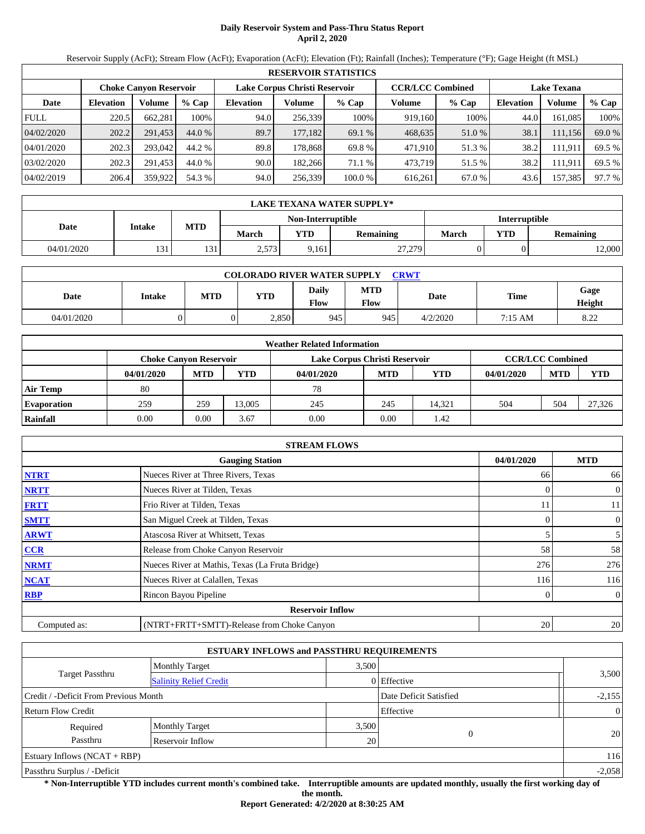# **Daily Reservoir System and Pass-Thru Status Report April 2, 2020**

Reservoir Supply (AcFt); Stream Flow (AcFt); Evaporation (AcFt); Elevation (Ft); Rainfall (Inches); Temperature (°F); Gage Height (ft MSL)

|             | <b>RESERVOIR STATISTICS</b>                                    |         |         |                  |         |         |                         |         |                    |         |        |  |
|-------------|----------------------------------------------------------------|---------|---------|------------------|---------|---------|-------------------------|---------|--------------------|---------|--------|--|
|             | Lake Corpus Christi Reservoir<br><b>Choke Canvon Reservoir</b> |         |         |                  |         |         | <b>CCR/LCC Combined</b> |         | <b>Lake Texana</b> |         |        |  |
| Date        | <b>Elevation</b>                                               | Volume  | $%$ Cap | <b>Elevation</b> | Volume  | $%$ Cap | Volume                  | $%$ Cap | <b>Elevation</b>   | Volume  | % Cap  |  |
| <b>FULL</b> | 220.5                                                          | 662,281 | 100%    | 94.0             | 256,339 | 100%    | 919,160                 | 100%    | 44.0               | 161.085 | 100%   |  |
| 04/02/2020  | 202.2                                                          | 291,453 | 44.0 %  | 89.7             | 177,182 | 69.1 %  | 468,635                 | 51.0 %  | 38.1               | 111,156 | 69.0 % |  |
| 04/01/2020  | 202.3                                                          | 293,042 | 44.2 %  | 89.8             | 178.868 | 69.8 %  | 471.910                 | 51.3 %  | 38.2               | 111.911 | 69.5 % |  |
| 03/02/2020  | 202.3                                                          | 291.453 | 44.0 %  | 90.0             | 182.266 | 71.1 %  | 473.719                 | 51.5 %  | 38.2               | 111,911 | 69.5 % |  |
| 04/02/2019  | 206.4                                                          | 359,922 | 54.3 %  | 94.0             | 256,339 | 100.0 % | 616.261                 | 67.0 %  | 43.6               | 157,385 | 97.7 % |  |

|            | LAKE TEXANA WATER SUPPLY* |     |              |                   |                  |                      |            |           |  |  |  |
|------------|---------------------------|-----|--------------|-------------------|------------------|----------------------|------------|-----------|--|--|--|
|            |                           |     |              | Non-Interruptible |                  | <b>Interruptible</b> |            |           |  |  |  |
| Date       | Intake                    | MTD | <b>March</b> | YTD               | <b>Remaining</b> | March                | <b>YTD</b> | Remaining |  |  |  |
| 04/01/2020 | 121<br>1 J 1              | 131 | 2,573        | 9,161             | 27,279           |                      |            | 12,000    |  |  |  |

|            | <b>COLORADO RIVER WATER SUPPLY</b><br><b>CRWT</b> |            |       |               |                    |          |                   |                |  |  |  |
|------------|---------------------------------------------------|------------|-------|---------------|--------------------|----------|-------------------|----------------|--|--|--|
| Date       | <b>Intake</b>                                     | <b>MTD</b> | YTD   | Daily<br>Flow | <b>MTD</b><br>Flow | Date     | Time              | Gage<br>Height |  |  |  |
| 04/01/2020 |                                                   |            | 2,850 | 945           | 945                | 4/2/2020 | $7:15 \text{ AM}$ | 8.22           |  |  |  |

|                    |                               |            |            | <b>Weather Related Information</b> |            |        |            |                         |            |
|--------------------|-------------------------------|------------|------------|------------------------------------|------------|--------|------------|-------------------------|------------|
|                    | <b>Choke Canyon Reservoir</b> |            |            | Lake Corpus Christi Reservoir      |            |        |            | <b>CCR/LCC Combined</b> |            |
|                    | 04/01/2020                    | <b>MTD</b> | <b>YTD</b> | 04/01/2020                         | <b>MTD</b> | YTD    | 04/01/2020 | <b>MTD</b>              | <b>YTD</b> |
| Air Temp           | 80                            |            |            | 78                                 |            |        |            |                         |            |
| <b>Evaporation</b> | 259                           | 259        | 13.005     | 245                                | 245        | 14.321 | 504        | 504                     | 27,326     |
| Rainfall           | 0.00                          | 0.00       | 3.67       | 0.00                               | 0.00       | 1.42   |            |                         |            |

|              | <b>STREAM FLOWS</b>                             |            |                |
|--------------|-------------------------------------------------|------------|----------------|
|              | <b>Gauging Station</b>                          | 04/01/2020 | <b>MTD</b>     |
| <b>NTRT</b>  | Nueces River at Three Rivers, Texas             | 66         | 66             |
| <b>NRTT</b>  | Nueces River at Tilden, Texas                   |            | $\overline{0}$ |
| <b>FRTT</b>  | Frio River at Tilden, Texas                     | 11         | 11             |
| <b>SMTT</b>  | San Miguel Creek at Tilden, Texas               | 0          | $\overline{0}$ |
| <b>ARWT</b>  | Atascosa River at Whitsett, Texas               |            | 5 <sub>l</sub> |
| <b>CCR</b>   | Release from Choke Canyon Reservoir             | 58         | 58             |
| <b>NRMT</b>  | Nueces River at Mathis, Texas (La Fruta Bridge) | 276        | 276            |
| <b>NCAT</b>  | Nueces River at Calallen, Texas                 | 116        | 116            |
| <b>RBP</b>   | Rincon Bayou Pipeline                           | 0          | $\overline{0}$ |
|              | <b>Reservoir Inflow</b>                         |            |                |
| Computed as: | (NTRT+FRTT+SMTT)-Release from Choke Canyon      | 20         | 20             |

|                                       |                               | <b>ESTUARY INFLOWS and PASSTHRU REQUIREMENTS</b> |                        |                |
|---------------------------------------|-------------------------------|--------------------------------------------------|------------------------|----------------|
|                                       | <b>Monthly Target</b>         | 3,500                                            |                        |                |
| Target Passthru                       | <b>Salinity Relief Credit</b> |                                                  | $0$ Effective          | 3,500          |
| Credit / -Deficit From Previous Month |                               |                                                  | Date Deficit Satisfied | $-2,155$       |
| <b>Return Flow Credit</b>             |                               |                                                  | Effective              | $\overline{0}$ |
| Required                              | <b>Monthly Target</b>         | 3,500                                            |                        |                |
| Passthru                              | Reservoir Inflow              | 20                                               | $\Omega$               | 20             |
| Estuary Inflows $(NCAT + RBP)$        |                               |                                                  |                        | 116            |
| Passthru Surplus / -Deficit           |                               |                                                  |                        | $-2,058$       |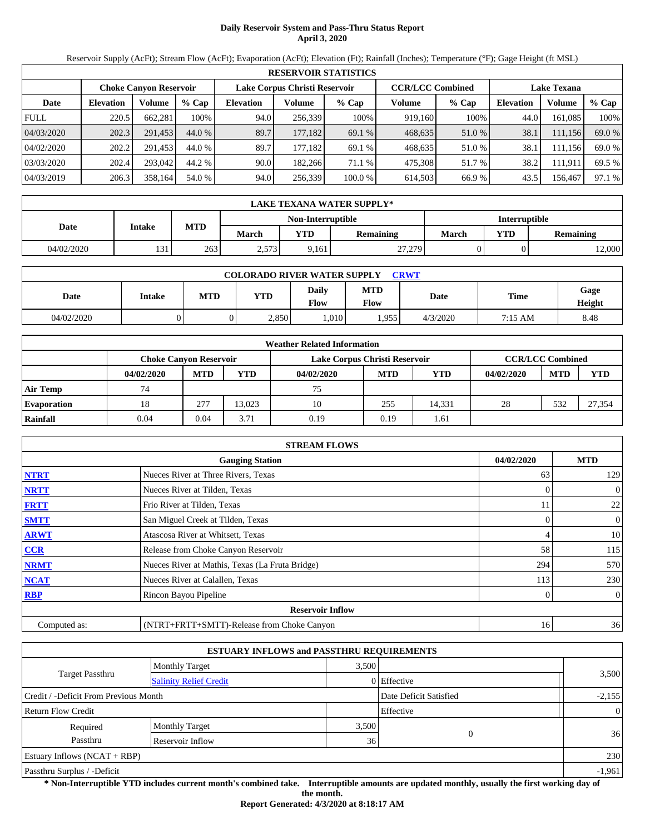# **Daily Reservoir System and Pass-Thru Status Report April 3, 2020**

Reservoir Supply (AcFt); Stream Flow (AcFt); Evaporation (AcFt); Elevation (Ft); Rainfall (Inches); Temperature (°F); Gage Height (ft MSL)

|             | <b>RESERVOIR STATISTICS</b>   |         |         |                               |         |         |                         |        |                    |         |        |  |  |
|-------------|-------------------------------|---------|---------|-------------------------------|---------|---------|-------------------------|--------|--------------------|---------|--------|--|--|
|             | <b>Choke Canvon Reservoir</b> |         |         | Lake Corpus Christi Reservoir |         |         | <b>CCR/LCC Combined</b> |        | <b>Lake Texana</b> |         |        |  |  |
| Date        | <b>Elevation</b>              | Volume  | $%$ Cap | <b>Elevation</b>              | Volume  | $%$ Cap | Volume                  | % Cap  | <b>Elevation</b>   | Volume  | % Cap  |  |  |
| <b>FULL</b> | 220.5                         | 662,281 | 100%    | 94.0                          | 256.339 | 100%    | 919,160                 | 100%   | 44.0               | 161,085 | 100%   |  |  |
| 04/03/2020  | 202.3                         | 291.453 | 44.0 %  | 89.7                          | 177,182 | 69.1 %  | 468,635                 | 51.0 % | 38.1               | 111,156 | 69.0 % |  |  |
| 04/02/2020  | 202.2                         | 291.453 | 44.0 %  | 89.7                          | 177.182 | 69.1 %  | 468,635                 | 51.0 % | 38.1               | 111.156 | 69.0 % |  |  |
| 03/03/2020  | 202.4                         | 293,042 | 44.2 %  | 90.0                          | 182.266 | 71.1 %  | 475.308                 | 51.7 % | 38.2               | 111.911 | 69.5 % |  |  |
| 04/03/2019  | 206.3                         | 358,164 | 54.0 %  | 94.0                          | 256,339 | 100.0%  | 614,503                 | 66.9 % | 43.5               | 156,467 | 97.1 % |  |  |

|            | <b>LAKE TEXANA WATER SUPPLY*</b> |            |              |                   |                  |                      |  |                  |  |  |  |  |
|------------|----------------------------------|------------|--------------|-------------------|------------------|----------------------|--|------------------|--|--|--|--|
|            |                                  |            |              | Non-Interruptible |                  | <b>Interruptible</b> |  |                  |  |  |  |  |
| Date       | Intake                           | <b>MTD</b> | <b>March</b> | YTD               | <b>Remaining</b> | <b>YTD</b><br>March  |  | <b>Remaining</b> |  |  |  |  |
| 04/02/2020 | 121                              | 263        | 2,573        | 9,161             | 27,279           |                      |  | 12,000           |  |  |  |  |

| <b>COLORADO RIVER WATER SUPPLY</b><br><b>CRWT</b> |        |     |            |                      |             |          |             |                |  |  |
|---------------------------------------------------|--------|-----|------------|----------------------|-------------|----------|-------------|----------------|--|--|
| Date                                              | Intake | MTD | <b>YTD</b> | <b>Daily</b><br>Flow | MTD<br>Flow | Date     | <b>Time</b> | Gage<br>Height |  |  |
| 04/02/2020                                        |        |     | 2,850      | .010                 | .955        | 4/3/2020 | 7:15 AM     | 8.48           |  |  |

|                    | <b>Weather Related Information</b>                             |            |            |            |            |                         |            |            |            |  |  |  |
|--------------------|----------------------------------------------------------------|------------|------------|------------|------------|-------------------------|------------|------------|------------|--|--|--|
|                    | Lake Corpus Christi Reservoir<br><b>Choke Canyon Reservoir</b> |            |            |            |            | <b>CCR/LCC Combined</b> |            |            |            |  |  |  |
|                    | 04/02/2020                                                     | <b>MTD</b> | <b>YTD</b> | 04/02/2020 | <b>MTD</b> | <b>YTD</b>              | 04/02/2020 | <b>MTD</b> | <b>YTD</b> |  |  |  |
| Air Temp           | 74                                                             |            |            | 75         |            |                         |            |            |            |  |  |  |
| <b>Evaporation</b> | 18                                                             | 277        | 13.023     | 10         | 255        | 14.331                  | 28         | 532        | 27,354     |  |  |  |
| Rainfall           | 0.04                                                           | 0.04       | 3.71       | 0.19       | 0.19       | 1.61                    |            |            |            |  |  |  |

|              | <b>STREAM FLOWS</b>                             |            |                  |  |  |  |  |  |  |
|--------------|-------------------------------------------------|------------|------------------|--|--|--|--|--|--|
|              | <b>Gauging Station</b>                          | 04/02/2020 | <b>MTD</b>       |  |  |  |  |  |  |
| <b>NTRT</b>  | Nueces River at Three Rivers, Texas             | 63         | 129              |  |  |  |  |  |  |
| <b>NRTT</b>  | Nueces River at Tilden, Texas                   |            | $\mathbf{0}$     |  |  |  |  |  |  |
| <b>FRTT</b>  | Frio River at Tilden, Texas                     | 11         | 22               |  |  |  |  |  |  |
| <b>SMTT</b>  | San Miguel Creek at Tilden, Texas               |            | $\mathbf{0}$     |  |  |  |  |  |  |
| <b>ARWT</b>  | Atascosa River at Whitsett, Texas               |            | 10               |  |  |  |  |  |  |
| CCR          | Release from Choke Canyon Reservoir             | 58         | 115              |  |  |  |  |  |  |
| <b>NRMT</b>  | Nueces River at Mathis, Texas (La Fruta Bridge) | 294        | 570              |  |  |  |  |  |  |
| <b>NCAT</b>  | Nueces River at Calallen, Texas                 | 113        | 230              |  |  |  |  |  |  |
| <b>RBP</b>   | Rincon Bayou Pipeline                           |            | $\boldsymbol{0}$ |  |  |  |  |  |  |
|              | <b>Reservoir Inflow</b>                         |            |                  |  |  |  |  |  |  |
| Computed as: | (NTRT+FRTT+SMTT)-Release from Choke Canyon      | 16         | 36               |  |  |  |  |  |  |

|                                       | <b>ESTUARY INFLOWS and PASSTHRU REQUIREMENTS</b> |       |                        |                 |  |  |  |
|---------------------------------------|--------------------------------------------------|-------|------------------------|-----------------|--|--|--|
|                                       | <b>Monthly Target</b>                            | 3,500 |                        |                 |  |  |  |
| <b>Target Passthru</b>                | <b>Salinity Relief Credit</b>                    |       | 0 Effective            | 3,500           |  |  |  |
| Credit / -Deficit From Previous Month |                                                  |       | Date Deficit Satisfied | $-2,155$        |  |  |  |
| <b>Return Flow Credit</b>             |                                                  |       | Effective              | $\vert 0 \vert$ |  |  |  |
| Required                              | <b>Monthly Target</b>                            | 3,500 |                        |                 |  |  |  |
| Passthru                              | Reservoir Inflow                                 | 36    |                        | 36              |  |  |  |
| Estuary Inflows $(NCAT + RBP)$        |                                                  |       |                        | 230             |  |  |  |
| Passthru Surplus / -Deficit           |                                                  |       |                        |                 |  |  |  |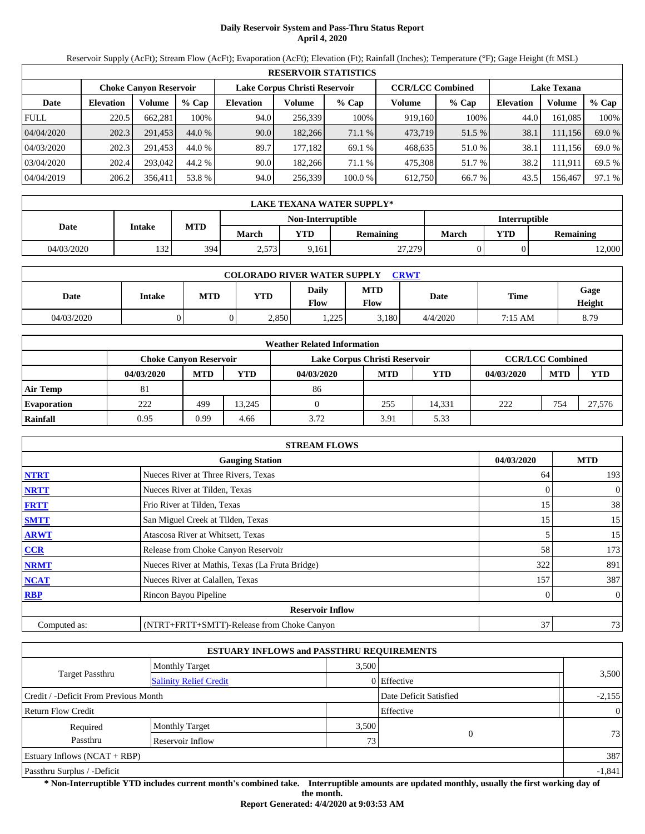# **Daily Reservoir System and Pass-Thru Status Report April 4, 2020**

Reservoir Supply (AcFt); Stream Flow (AcFt); Evaporation (AcFt); Elevation (Ft); Rainfall (Inches); Temperature (°F); Gage Height (ft MSL)

|             | <b>RESERVOIR STATISTICS</b> |         |         |                               |         |         |                         |         |                    |         |        |  |
|-------------|-----------------------------|---------|---------|-------------------------------|---------|---------|-------------------------|---------|--------------------|---------|--------|--|
|             | Choke Canvon Reservoir      |         |         | Lake Corpus Christi Reservoir |         |         | <b>CCR/LCC Combined</b> |         | <b>Lake Texana</b> |         |        |  |
| Date        | <b>Elevation</b>            | Volume  | $%$ Cap | <b>Elevation</b>              | Volume  | $%$ Cap | Volume                  | $%$ Cap | Elevation          | Volume  | % Cap  |  |
| <b>FULL</b> | 220.5                       | 662,281 | 100%    | 94.0                          | 256,339 | 100%    | 919,160                 | 100%    | 44.0               | 161.085 | 100%   |  |
| 04/04/2020  | 202.3                       | 291.453 | 44.0 %  | 90.0                          | 182,266 | 71.1 %  | 473,719                 | 51.5 %  | 38.1               | 111,156 | 69.0 % |  |
| 04/03/2020  | 202.3                       | 291.453 | 44.0 %  | 89.7                          | 177.182 | 69.1 %  | 468,635                 | 51.0 %  | 38.1               | 111.156 | 69.0 % |  |
| 03/04/2020  | 202.4                       | 293,042 | 44.2 %  | 90.0                          | 182.266 | 71.1 %  | 475.308                 | 51.7 %  | 38.2               | 111.911 | 69.5 % |  |
| 04/04/2019  | 206.2                       | 356,411 | 53.8 %  | 94.0                          | 256,339 | 100.0 % | 612,750                 | 66.7 %  | 43.5               | 156,467 | 97.1 % |  |

|            | LAKE TEXANA WATER SUPPLY* |     |              |       |                  |       |                         |        |  |  |  |
|------------|---------------------------|-----|--------------|-------|------------------|-------|-------------------------|--------|--|--|--|
|            | Non-Interruptible         |     |              |       |                  |       | <b>Interruptible</b>    |        |  |  |  |
| Date       | Intake                    | MTD | <b>March</b> | YTD   | <b>Remaining</b> | March | <b>YTD</b><br>Remaining |        |  |  |  |
| 04/03/2020 | 132                       | 394 | 2,573        | 9,161 | 27,279           |       |                         | 12,000 |  |  |  |

| <b>COLORADO RIVER WATER SUPPLY</b><br><b>CRWT</b> |        |     |            |                      |             |          |         |                |  |  |
|---------------------------------------------------|--------|-----|------------|----------------------|-------------|----------|---------|----------------|--|--|
| Date                                              | Intake | MTD | <b>YTD</b> | <b>Daily</b><br>Flow | MTD<br>Flow | Date     | Time    | Gage<br>Height |  |  |
| 04/03/2020                                        |        |     | 2,850      | つつち<br>ل ک∠ ہ        | 5,180       | 4/4/2020 | 7:15 AM | 8.79           |  |  |

|                    | <b>Weather Related Information</b>                             |            |            |            |            |                         |            |            |            |  |  |
|--------------------|----------------------------------------------------------------|------------|------------|------------|------------|-------------------------|------------|------------|------------|--|--|
|                    | Lake Corpus Christi Reservoir<br><b>Choke Canvon Reservoir</b> |            |            |            |            | <b>CCR/LCC Combined</b> |            |            |            |  |  |
|                    | 04/03/2020                                                     | <b>MTD</b> | <b>YTD</b> | 04/03/2020 | <b>MTD</b> | <b>YTD</b>              | 04/03/2020 | <b>MTD</b> | <b>YTD</b> |  |  |
| Air Temp           | 81                                                             |            |            | 86         |            |                         |            |            |            |  |  |
| <b>Evaporation</b> | 222                                                            | 499        | 13.245     |            | 255        | 14.331                  | 222        | 754        | 27,576     |  |  |
| Rainfall           | 0.95                                                           | 0.99       | 4.66       | 3.72       | 3.91       | 5.33                    |            |            |            |  |  |

|              | <b>STREAM FLOWS</b>                             |            |                |  |  |  |  |  |  |  |
|--------------|-------------------------------------------------|------------|----------------|--|--|--|--|--|--|--|
|              | <b>Gauging Station</b>                          | 04/03/2020 | <b>MTD</b>     |  |  |  |  |  |  |  |
| <b>NTRT</b>  | Nueces River at Three Rivers, Texas             | 64         | 193            |  |  |  |  |  |  |  |
| <b>NRTT</b>  | Nueces River at Tilden, Texas                   | 0          | $\overline{0}$ |  |  |  |  |  |  |  |
| <b>FRTT</b>  | Frio River at Tilden, Texas                     | 15         | 38             |  |  |  |  |  |  |  |
| <b>SMTT</b>  | San Miguel Creek at Tilden, Texas               | 15         | 15             |  |  |  |  |  |  |  |
| <b>ARWT</b>  | Atascosa River at Whitsett, Texas               |            | 15             |  |  |  |  |  |  |  |
| <b>CCR</b>   | Release from Choke Canyon Reservoir             | 58         | 173            |  |  |  |  |  |  |  |
| <b>NRMT</b>  | Nueces River at Mathis, Texas (La Fruta Bridge) | 322        | 891            |  |  |  |  |  |  |  |
| <b>NCAT</b>  | Nueces River at Calallen, Texas                 | 157        | 387            |  |  |  |  |  |  |  |
| <b>RBP</b>   | Rincon Bayou Pipeline                           |            | $\mathbf{0}$   |  |  |  |  |  |  |  |
|              | <b>Reservoir Inflow</b>                         |            |                |  |  |  |  |  |  |  |
| Computed as: | (NTRT+FRTT+SMTT)-Release from Choke Canyon      | 37         | 73             |  |  |  |  |  |  |  |

|                                       | <b>ESTUARY INFLOWS and PASSTHRU REQUIREMENTS</b> |       |                        |                 |  |  |  |
|---------------------------------------|--------------------------------------------------|-------|------------------------|-----------------|--|--|--|
|                                       | <b>Monthly Target</b>                            | 3,500 |                        |                 |  |  |  |
| <b>Target Passthru</b>                | <b>Salinity Relief Credit</b>                    |       | 0 Effective            | 3,500           |  |  |  |
| Credit / -Deficit From Previous Month |                                                  |       | Date Deficit Satisfied | $-2,155$        |  |  |  |
| <b>Return Flow Credit</b>             |                                                  |       | Effective              | $\vert 0 \vert$ |  |  |  |
| Required                              | <b>Monthly Target</b>                            | 3,500 |                        |                 |  |  |  |
| Passthru                              | Reservoir Inflow                                 | 73.   |                        | 73              |  |  |  |
| Estuary Inflows $(NCAT + RBP)$        |                                                  |       |                        |                 |  |  |  |
| Passthru Surplus / -Deficit           |                                                  |       |                        |                 |  |  |  |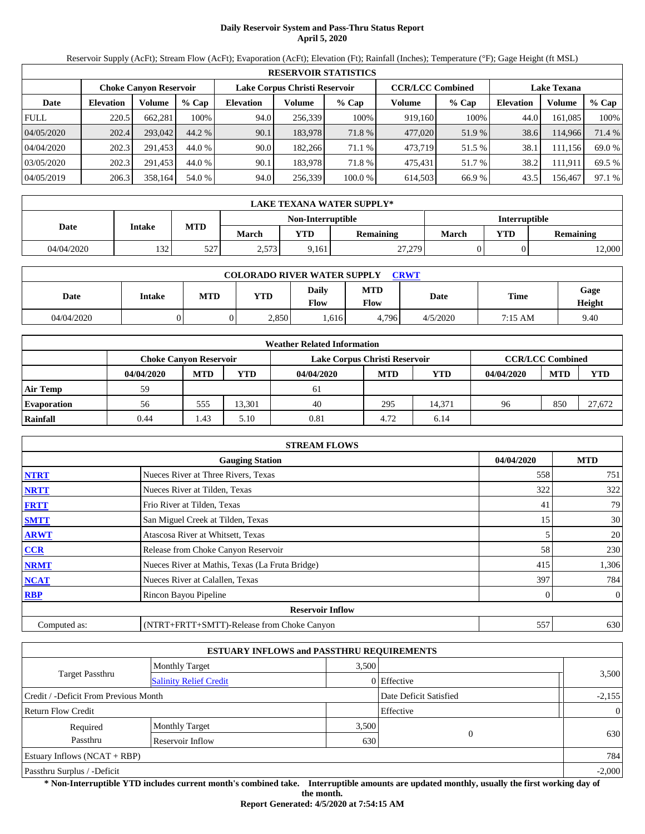# **Daily Reservoir System and Pass-Thru Status Report April 5, 2020**

Reservoir Supply (AcFt); Stream Flow (AcFt); Evaporation (AcFt); Elevation (Ft); Rainfall (Inches); Temperature (°F); Gage Height (ft MSL)

|             | <b>RESERVOIR STATISTICS</b> |         |         |                               |         |         |                         |         |                    |         |        |  |
|-------------|-----------------------------|---------|---------|-------------------------------|---------|---------|-------------------------|---------|--------------------|---------|--------|--|
|             | Choke Canvon Reservoir      |         |         | Lake Corpus Christi Reservoir |         |         | <b>CCR/LCC Combined</b> |         | <b>Lake Texana</b> |         |        |  |
| Date        | <b>Elevation</b>            | Volume  | $%$ Cap | <b>Elevation</b>              | Volume  | $%$ Cap | Volume                  | $%$ Cap | <b>Elevation</b>   | Volume  | % Cap  |  |
| <b>FULL</b> | 220.5                       | 662,281 | 100%    | 94.0                          | 256,339 | 100%    | 919,160                 | 100%    | 44.0               | 161.085 | 100%   |  |
| 04/05/2020  | 202.4                       | 293,042 | 44.2 %  | 90.1                          | 183,978 | 71.8 %  | 477,020                 | 51.9 %  | 38.6               | 114,966 | 71.4 % |  |
| 04/04/2020  | 202.3                       | 291.453 | 44.0 %  | 90.0                          | 182.266 | 71.1 %  | 473.719                 | 51.5 %  | 38.1               | 111.156 | 69.0 % |  |
| 03/05/2020  | 202.3                       | 291.453 | 44.0 %  | 90.1                          | 183.978 | 71.8 %  | 475.431                 | 51.7 %  | 38.2               | 111.911 | 69.5 % |  |
| 04/05/2019  | 206.3                       | 358.164 | 54.0 %  | 94.0                          | 256,339 | 100.0 % | 614.503                 | 66.9 %  | 43.5               | 156,467 | 97.1 % |  |

|            | LAKE TEXANA WATER SUPPLY* |            |              |                   |                  |                      |     |           |  |  |  |
|------------|---------------------------|------------|--------------|-------------------|------------------|----------------------|-----|-----------|--|--|--|
|            |                           | MTD        |              | Non-Interruptible |                  | <b>Interruptible</b> |     |           |  |  |  |
| Date       | Intake                    |            | <b>March</b> | <b>YTD</b>        | <b>Remaining</b> | March                | YTD | Remaining |  |  |  |
| 04/04/2020 | 132                       | 527<br>ے ر | 2,573        | 9,161             | 27,279           |                      |     | 12,000    |  |  |  |

|            | <b>COLORADO RIVER WATER SUPPLY</b><br><b>CRWT</b> |     |            |                      |             |          |         |                |  |  |
|------------|---------------------------------------------------|-----|------------|----------------------|-------------|----------|---------|----------------|--|--|
| Date       | Intake                                            | MTD | <b>YTD</b> | <b>Daily</b><br>Flow | MTD<br>Flow | Date     | Time    | Gage<br>Height |  |  |
| 04/04/2020 |                                                   |     | 2,850      | .616                 | .796<br>4   | 4/5/2020 | 7:15 AM | 9.40           |  |  |

|                    |                               |            |            | <b>Weather Related Information</b> |            |                         |            |            |            |
|--------------------|-------------------------------|------------|------------|------------------------------------|------------|-------------------------|------------|------------|------------|
|                    | <b>Choke Canvon Reservoir</b> |            |            | Lake Corpus Christi Reservoir      |            | <b>CCR/LCC Combined</b> |            |            |            |
|                    | 04/04/2020                    | <b>MTD</b> | <b>YTD</b> | 04/04/2020                         | <b>MTD</b> | <b>YTD</b>              | 04/04/2020 | <b>MTD</b> | <b>YTD</b> |
| Air Temp           | 59                            |            |            | -61                                |            |                         |            |            |            |
| <b>Evaporation</b> | 56                            | 555        | 13.301     | 40                                 | 295        | 14.371                  | 96         | 850        | 27,672     |
| Rainfall           | 0.44                          | 1.43       | 5.10       | 0.81                               | 4.72       | 6.14                    |            |            |            |

|              | <b>STREAM FLOWS</b>                             |            |     |                |
|--------------|-------------------------------------------------|------------|-----|----------------|
|              | 04/04/2020                                      | <b>MTD</b> |     |                |
| <b>NTRT</b>  | Nueces River at Three Rivers, Texas             |            | 558 | 751            |
| <b>NRTT</b>  | Nueces River at Tilden, Texas                   |            | 322 | 322            |
| <b>FRTT</b>  | Frio River at Tilden, Texas                     |            | 41  | 79             |
| <b>SMTT</b>  | San Miguel Creek at Tilden, Texas               |            | 15  | 30             |
| <b>ARWT</b>  | Atascosa River at Whitsett, Texas               |            |     | 20             |
| <b>CCR</b>   | Release from Choke Canyon Reservoir             |            | 58  | 230            |
| <b>NRMT</b>  | Nueces River at Mathis, Texas (La Fruta Bridge) |            | 415 | 1,306          |
| <b>NCAT</b>  | Nueces River at Calallen, Texas                 |            | 397 | 784            |
| <b>RBP</b>   | Rincon Bayou Pipeline                           |            |     | $\overline{0}$ |
|              | <b>Reservoir Inflow</b>                         |            |     |                |
| Computed as: | (NTRT+FRTT+SMTT)-Release from Choke Canyon      |            | 557 | 630            |

|                                       | <b>ESTUARY INFLOWS and PASSTHRU REQUIREMENTS</b> |       |                        |                |
|---------------------------------------|--------------------------------------------------|-------|------------------------|----------------|
|                                       | <b>Monthly Target</b>                            | 3,500 |                        |                |
| <b>Target Passthru</b>                | <b>Salinity Relief Credit</b>                    |       | 0 Effective            | 3,500          |
| Credit / -Deficit From Previous Month |                                                  |       | Date Deficit Satisfied | $-2,155$       |
| <b>Return Flow Credit</b>             |                                                  |       | Effective              | $\overline{0}$ |
| Required                              | <b>Monthly Target</b>                            | 3,500 |                        |                |
| Passthru                              | Reservoir Inflow                                 | 630   |                        | 630            |
| Estuary Inflows $(NCAT + RBP)$        |                                                  |       |                        | 784            |
| Passthru Surplus / -Deficit           |                                                  |       |                        | $-2,000$       |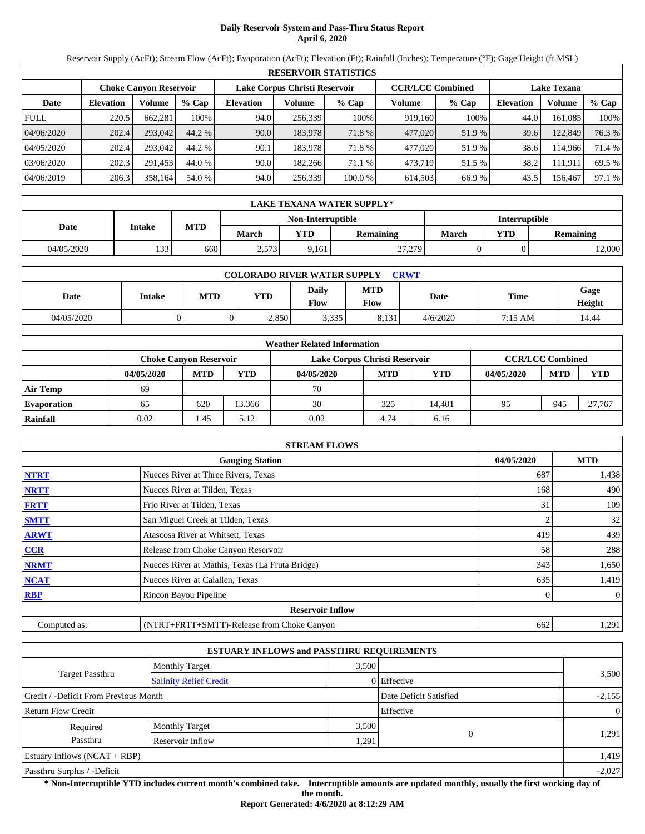# **Daily Reservoir System and Pass-Thru Status Report April 6, 2020**

Reservoir Supply (AcFt); Stream Flow (AcFt); Evaporation (AcFt); Elevation (Ft); Rainfall (Inches); Temperature (°F); Gage Height (ft MSL)

|             | <b>RESERVOIR STATISTICS</b> |                               |         |                  |                               |         |                         |         |                    |         |        |  |
|-------------|-----------------------------|-------------------------------|---------|------------------|-------------------------------|---------|-------------------------|---------|--------------------|---------|--------|--|
|             |                             | <b>Choke Canvon Reservoir</b> |         |                  | Lake Corpus Christi Reservoir |         | <b>CCR/LCC Combined</b> |         | <b>Lake Texana</b> |         |        |  |
| Date        | <b>Elevation</b>            | Volume                        | $%$ Cap | <b>Elevation</b> | Volume                        | $%$ Cap | Volume                  | $%$ Cap | <b>Elevation</b>   | Volume  | % Cap  |  |
| <b>FULL</b> | 220.5                       | 662,281                       | 100%    | 94.0             | 256,339                       | 100%    | 919,160                 | 100%    | 44.0               | 161.085 | 100%   |  |
| 04/06/2020  | 202.4                       | 293,042                       | 44.2 %  | 90.0             | 183,978                       | 71.8 %  | 477,020                 | 51.9%   | 39.6               | 122,849 | 76.3 % |  |
| 04/05/2020  | 202.4                       | 293,042                       | 44.2 %  | 90.1             | 183.978                       | 71.8%   | 477,020                 | 51.9%   | 38.6               | 114.966 | 71.4 % |  |
| 03/06/2020  | 202.3                       | 291,453                       | 44.0 %  | 90.0             | 182.266                       | 71.1 %  | 473,719                 | 51.5 %  | 38.2               | 111,911 | 69.5 % |  |
| 04/06/2019  | 206.3                       | 358,164                       | 54.0 %  | 94.0             | 256,339                       | 100.0 % | 614,503                 | 66.9%   | 43.5               | 156,467 | 97.1 % |  |

|            | LAKE TEXANA WATER SUPPLY* |            |              |                   |                  |                      |     |                  |  |  |  |
|------------|---------------------------|------------|--------------|-------------------|------------------|----------------------|-----|------------------|--|--|--|
|            |                           | <b>MTD</b> |              | Non-Interruptible |                  | <b>Interruptible</b> |     |                  |  |  |  |
| Date       | Intake                    |            | <b>March</b> | YTD               | <b>Remaining</b> | March                | YTD | <b>Remaining</b> |  |  |  |
| 04/05/2020 | 133                       | 660        | 2,573        | 9,161             | 27,279           |                      |     | 2,000            |  |  |  |

|            | <b>COLORADO RIVER WATER SUPPLY</b><br><b>CRWT</b> |     |            |                      |             |          |         |                |  |  |
|------------|---------------------------------------------------|-----|------------|----------------------|-------------|----------|---------|----------------|--|--|
| Date       | Intake                                            | MTD | <b>YTD</b> | <b>Daily</b><br>Flow | MTD<br>Flow | Date     | Time    | Gage<br>Height |  |  |
| 04/05/2020 |                                                   |     | 2,850      | 3,335                | 8,131       | 4/6/2020 | 7:15 AM | 14.44          |  |  |

|                    |                               |            |            | <b>Weather Related Information</b> |                         |        |            |            |            |
|--------------------|-------------------------------|------------|------------|------------------------------------|-------------------------|--------|------------|------------|------------|
|                    | <b>Choke Canvon Reservoir</b> |            |            | Lake Corpus Christi Reservoir      | <b>CCR/LCC Combined</b> |        |            |            |            |
|                    | 04/05/2020                    | <b>MTD</b> | <b>YTD</b> | 04/05/2020                         | <b>MTD</b>              | YTD    | 04/05/2020 | <b>MTD</b> | <b>YTD</b> |
| <b>Air Temp</b>    | 69                            |            |            | 70                                 |                         |        |            |            |            |
| <b>Evaporation</b> | 65                            | 620        | 13.366     | 30                                 | 325                     | 14.401 | 95         | 945        | 27.767     |
| Rainfall           | 0.02                          | 1.45       | 5.12       | 0.02                               | 4.74                    | 6.16   |            |            |            |

|              | <b>STREAM FLOWS</b>                             |            |          |  |  |  |  |  |  |
|--------------|-------------------------------------------------|------------|----------|--|--|--|--|--|--|
|              | 04/05/2020                                      | <b>MTD</b> |          |  |  |  |  |  |  |
| <b>NTRT</b>  | Nueces River at Three Rivers, Texas             | 687        | 1,438    |  |  |  |  |  |  |
| <b>NRTT</b>  | Nueces River at Tilden, Texas                   | 168        | 490      |  |  |  |  |  |  |
| <b>FRTT</b>  | Frio River at Tilden, Texas                     | 31         | 109      |  |  |  |  |  |  |
| <b>SMTT</b>  | San Miguel Creek at Tilden, Texas               |            | 32       |  |  |  |  |  |  |
| <b>ARWT</b>  | Atascosa River at Whitsett, Texas               | 419        | 439      |  |  |  |  |  |  |
| <b>CCR</b>   | Release from Choke Canyon Reservoir             | 58         | 288      |  |  |  |  |  |  |
| <b>NRMT</b>  | Nueces River at Mathis, Texas (La Fruta Bridge) | 343        | 1,650    |  |  |  |  |  |  |
| <b>NCAT</b>  | Nueces River at Calallen, Texas                 | 635        | 1,419    |  |  |  |  |  |  |
| <b>RBP</b>   | Rincon Bayou Pipeline                           | 0          | $\theta$ |  |  |  |  |  |  |
|              | <b>Reservoir Inflow</b>                         |            |          |  |  |  |  |  |  |
| Computed as: | (NTRT+FRTT+SMTT)-Release from Choke Canyon      | 662        | 1,291    |  |  |  |  |  |  |

|                                       |                               | <b>ESTUARY INFLOWS and PASSTHRU REQUIREMENTS</b> |                        |                |
|---------------------------------------|-------------------------------|--------------------------------------------------|------------------------|----------------|
|                                       | <b>Monthly Target</b>         | 3,500                                            |                        | 3,500          |
| Target Passthru                       | <b>Salinity Relief Credit</b> |                                                  | $0$ Effective          |                |
| Credit / -Deficit From Previous Month |                               |                                                  | Date Deficit Satisfied | $-2,155$       |
| <b>Return Flow Credit</b>             |                               |                                                  | Effective              | $\overline{0}$ |
| Required                              | <b>Monthly Target</b>         | 3,500                                            |                        |                |
| Passthru                              | Reservoir Inflow              | 1,291                                            | $\Omega$               | 1,291          |
| Estuary Inflows $(NCAT + RBP)$        |                               |                                                  |                        | 1,419          |
| Passthru Surplus / -Deficit           |                               |                                                  |                        | $-2,027$       |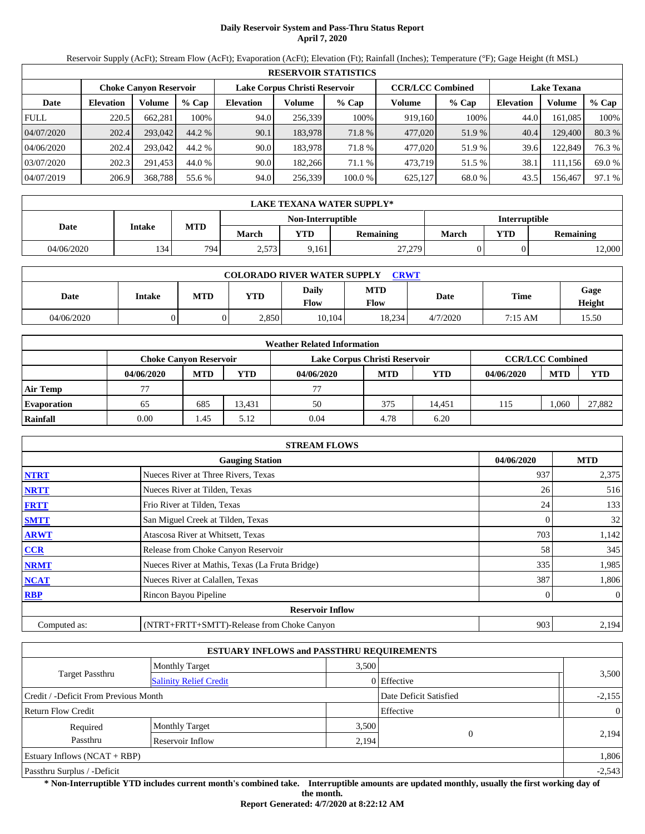# **Daily Reservoir System and Pass-Thru Status Report April 7, 2020**

Reservoir Supply (AcFt); Stream Flow (AcFt); Evaporation (AcFt); Elevation (Ft); Rainfall (Inches); Temperature (°F); Gage Height (ft MSL)

|             | <b>RESERVOIR STATISTICS</b> |                               |         |                               |         |         |                         |         |                    |         |        |  |  |
|-------------|-----------------------------|-------------------------------|---------|-------------------------------|---------|---------|-------------------------|---------|--------------------|---------|--------|--|--|
|             |                             | <b>Choke Canvon Reservoir</b> |         | Lake Corpus Christi Reservoir |         |         | <b>CCR/LCC Combined</b> |         | <b>Lake Texana</b> |         |        |  |  |
| Date        | <b>Elevation</b>            | Volume                        | $%$ Cap | <b>Elevation</b>              | Volume  | $%$ Cap | Volume                  | $%$ Cap | <b>Elevation</b>   | Volume  | % Cap  |  |  |
| <b>FULL</b> | 220.5                       | 662,281                       | 100%    | 94.0                          | 256,339 | 100%    | 919,160                 | 100%    | 44.0               | 161,085 | 100%   |  |  |
| 04/07/2020  | 202.4                       | 293,042                       | 44.2 %  | 90.1                          | 183.978 | 71.8 %  | 477,020                 | 51.9 %  | 40.4               | 129,400 | 80.3%  |  |  |
| 04/06/2020  | 202.4                       | 293,042                       | 44.2 %  | 90.0                          | 183.978 | 71.8 %  | 477,020                 | 51.9%   | 39.6               | 122,849 | 76.3 % |  |  |
| 03/07/2020  | 202.3                       | 291,453                       | 44.0 %  | 90.0                          | 182,266 | 71.1 %  | 473,719                 | 51.5 %  | 38.1               | 111,156 | 69.0 % |  |  |
| 04/07/2019  | 206.9                       | 368,788                       | 55.6 %  | 94.0                          | 256,339 | 100.0%  | 625,127                 | 68.0 %  | 43.5               | 156,467 | 97.1 % |  |  |

|            | LAKE TEXANA WATER SUPPLY* |            |                                                |                   |        |                      |            |                  |  |  |  |
|------------|---------------------------|------------|------------------------------------------------|-------------------|--------|----------------------|------------|------------------|--|--|--|
|            |                           |            |                                                | Non-Interruptible |        | <b>Interruptible</b> |            |                  |  |  |  |
| Date       | Intake                    | <b>MTD</b> | <b>YTD</b><br><b>March</b><br><b>Remaining</b> |                   |        | March                | <b>YTD</b> | <b>Remaining</b> |  |  |  |
| 04/06/2020 | 134                       | 794.       | 2,573                                          | 9,161             | 27,279 |                      |            | 2,000            |  |  |  |

| <b>COLORADO RIVER WATER SUPPLY</b><br><b>CRWT</b> |        |            |            |               |                    |          |             |                |  |  |
|---------------------------------------------------|--------|------------|------------|---------------|--------------------|----------|-------------|----------------|--|--|
| Date                                              | Intake | <b>MTD</b> | <b>YTD</b> | Daily<br>Flow | <b>MTD</b><br>Flow | Date     | <b>Time</b> | Gage<br>Height |  |  |
| 04/06/2020                                        |        |            | 2.850      | 10,104        | 18.234             | 4/7/2020 | 7:15 AM     | 15.50          |  |  |

| <b>Weather Related Information</b> |                               |            |            |                               |                         |        |            |            |            |  |  |
|------------------------------------|-------------------------------|------------|------------|-------------------------------|-------------------------|--------|------------|------------|------------|--|--|
|                                    | <b>Choke Canvon Reservoir</b> |            |            | Lake Corpus Christi Reservoir | <b>CCR/LCC Combined</b> |        |            |            |            |  |  |
|                                    | 04/06/2020                    | <b>MTD</b> | <b>YTD</b> | 04/06/2020                    | <b>MTD</b>              | YTD    | 04/06/2020 | <b>MTD</b> | <b>YTD</b> |  |  |
| <b>Air Temp</b>                    | 77                            |            |            | 77                            |                         |        |            |            |            |  |  |
| <b>Evaporation</b>                 | 65                            | 685        | 13.431     | 50                            | 375                     | 14.451 | 115        | ,060       | 27.882     |  |  |
| Rainfall                           | 0.00                          | 1.45       | 5.12       | 0.04                          | 4.78                    | 6.20   |            |            |            |  |  |

|              | <b>STREAM FLOWS</b>                             |            |            |  |  |  |  |  |  |  |
|--------------|-------------------------------------------------|------------|------------|--|--|--|--|--|--|--|
|              | <b>Gauging Station</b>                          | 04/06/2020 | <b>MTD</b> |  |  |  |  |  |  |  |
| <b>NTRT</b>  | Nueces River at Three Rivers, Texas             | 937        | 2,375      |  |  |  |  |  |  |  |
| <b>NRTT</b>  | Nueces River at Tilden, Texas                   | 26         | 516        |  |  |  |  |  |  |  |
| <b>FRTT</b>  | Frio River at Tilden, Texas                     | 24         | 133        |  |  |  |  |  |  |  |
| <b>SMTT</b>  | San Miguel Creek at Tilden, Texas               | 0          | 32         |  |  |  |  |  |  |  |
| <b>ARWT</b>  | Atascosa River at Whitsett, Texas               | 703        | 1,142      |  |  |  |  |  |  |  |
| CCR          | Release from Choke Canyon Reservoir             | 58         | 345        |  |  |  |  |  |  |  |
| <b>NRMT</b>  | Nueces River at Mathis, Texas (La Fruta Bridge) | 335        | 1,985      |  |  |  |  |  |  |  |
| <b>NCAT</b>  | Nueces River at Calallen, Texas                 | 387        | 1,806      |  |  |  |  |  |  |  |
| <b>RBP</b>   | Rincon Bayou Pipeline                           | 0          | $\Omega$   |  |  |  |  |  |  |  |
|              | <b>Reservoir Inflow</b>                         |            |            |  |  |  |  |  |  |  |
| Computed as: | (NTRT+FRTT+SMTT)-Release from Choke Canyon      | 903        | 2,194      |  |  |  |  |  |  |  |

|                                       |                               | <b>ESTUARY INFLOWS and PASSTHRU REQUIREMENTS</b> |                        |                |
|---------------------------------------|-------------------------------|--------------------------------------------------|------------------------|----------------|
|                                       | <b>Monthly Target</b>         | 3,500                                            |                        |                |
| <b>Target Passthru</b>                | <b>Salinity Relief Credit</b> |                                                  | 0 Effective            | 3,500          |
| Credit / -Deficit From Previous Month |                               |                                                  | Date Deficit Satisfied |                |
| <b>Return Flow Credit</b>             |                               |                                                  | Effective              | $\overline{0}$ |
| Required                              | <b>Monthly Target</b>         | 3,500                                            |                        |                |
| Passthru                              | Reservoir Inflow              | 2,194                                            |                        | 2,194          |
| Estuary Inflows $(NCAT + RBP)$        |                               |                                                  |                        | 1,806          |
| Passthru Surplus / -Deficit           |                               |                                                  |                        | $-2,543$       |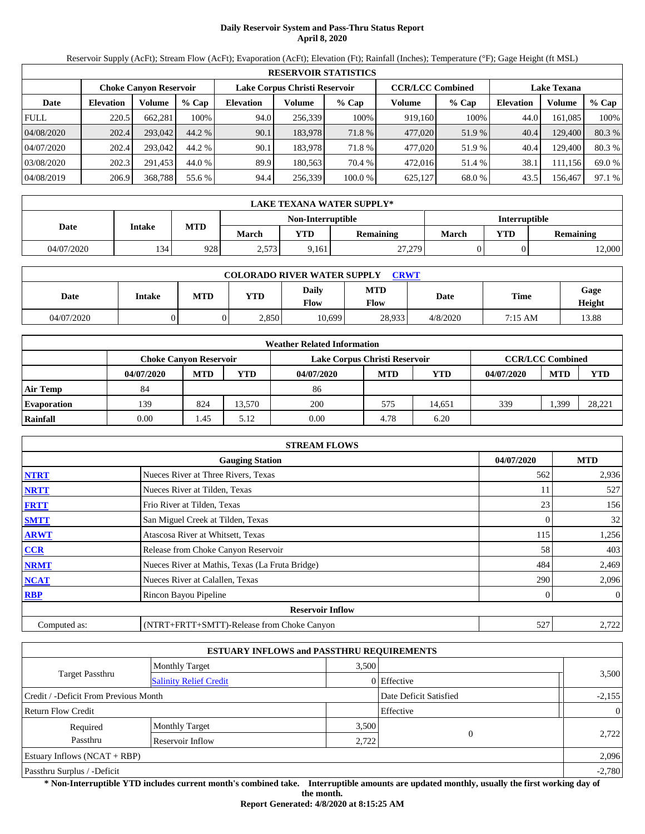# **Daily Reservoir System and Pass-Thru Status Report April 8, 2020**

Reservoir Supply (AcFt); Stream Flow (AcFt); Evaporation (AcFt); Elevation (Ft); Rainfall (Inches); Temperature (°F); Gage Height (ft MSL)

| <b>RESERVOIR STATISTICS</b> |                  |                               |         |                  |         |                                                          |         |         |                    |         |        |  |
|-----------------------------|------------------|-------------------------------|---------|------------------|---------|----------------------------------------------------------|---------|---------|--------------------|---------|--------|--|
|                             |                  | <b>Choke Canvon Reservoir</b> |         |                  |         | <b>CCR/LCC Combined</b><br>Lake Corpus Christi Reservoir |         |         | <b>Lake Texana</b> |         |        |  |
| Date                        | <b>Elevation</b> | <b>Volume</b>                 | $%$ Cap | <b>Elevation</b> | Volume  | $%$ Cap                                                  | Volume  | $%$ Cap | <b>Elevation</b>   | Volume  | % Cap  |  |
| <b>FULL</b>                 | 220.5            | 662.281                       | 100%    | 94.0             | 256,339 | 100%                                                     | 919,160 | 100%    | 44.0               | 161.085 | 100%   |  |
| 04/08/2020                  | 202.4            | 293,042                       | 44.2 %  | 90.1             | 183,978 | 71.8 %                                                   | 477,020 | 51.9 %  | 40.4               | 129,400 | 80.3%  |  |
| 04/07/2020                  | 202.4            | 293,042                       | 44.2 %  | 90.1             | 183.978 | 71.8%                                                    | 477,020 | 51.9 %  | 40.4               | 129.400 | 80.3 % |  |
| 03/08/2020                  | 202.3            | 291.453                       | 44.0 %  | 89.9             | 180.563 | 70.4 %                                                   | 472,016 | 51.4 %  | 38.1               | 111,156 | 69.0 % |  |
| 04/08/2019                  | 206.9            | 368,788                       | 55.6 %  | 94.4             | 256,339 | 100.0 %                                                  | 625,127 | 68.0 %  | 43.5               | 156,467 | 97.1 % |  |

|            | LAKE TEXANA WATER SUPPLY*             |     |       |                   |                  |                      |            |           |  |  |  |
|------------|---------------------------------------|-----|-------|-------------------|------------------|----------------------|------------|-----------|--|--|--|
|            |                                       |     |       | Non-Interruptible |                  | <b>Interruptible</b> |            |           |  |  |  |
|            | MTD<br>Intake<br>Date<br><b>March</b> |     |       | YTD               | <b>Remaining</b> | March                | <b>YTD</b> | Remaining |  |  |  |
| 04/07/2020 | 1341                                  | 928 | 2,573 | 9,161             | 27,279           |                      |            | 12,000    |  |  |  |

| <b>COLORADO RIVER WATER SUPPLY</b><br><b>CRWT</b> |        |            |            |               |                    |          |         |                |  |  |
|---------------------------------------------------|--------|------------|------------|---------------|--------------------|----------|---------|----------------|--|--|
| Date                                              | Intake | <b>MTD</b> | <b>YTD</b> | Daily<br>Flow | <b>MTD</b><br>Flow | Date     | Time    | Gage<br>Height |  |  |
| 04/07/2020                                        |        |            | 2,850      | 10,699        | 28.933             | 4/8/2020 | 7:15 AM | 13.88          |  |  |

| <b>Weather Related Information</b> |                               |            |            |                               |                         |        |            |            |            |  |  |
|------------------------------------|-------------------------------|------------|------------|-------------------------------|-------------------------|--------|------------|------------|------------|--|--|
|                                    | <b>Choke Canvon Reservoir</b> |            |            | Lake Corpus Christi Reservoir | <b>CCR/LCC Combined</b> |        |            |            |            |  |  |
|                                    | 04/07/2020                    | <b>MTD</b> | <b>YTD</b> | 04/07/2020                    | <b>MTD</b>              | YTD    | 04/07/2020 | <b>MTD</b> | <b>YTD</b> |  |  |
| <b>Air Temp</b>                    | 84                            |            |            | 86                            |                         |        |            |            |            |  |  |
| <b>Evaporation</b>                 | 139                           | 824        | 13.570     | 200                           | 575                     | 14.651 | 339        | .399       | 28,221     |  |  |
| Rainfall                           | 0.00                          | 1.45       | 5.12       | 0.00                          | 4.78                    | 6.20   |            |            |            |  |  |

|              | <b>STREAM FLOWS</b>                             |     |                |  |  |  |  |  |  |  |
|--------------|-------------------------------------------------|-----|----------------|--|--|--|--|--|--|--|
|              | <b>Gauging Station</b>                          |     |                |  |  |  |  |  |  |  |
| <b>NTRT</b>  | Nueces River at Three Rivers, Texas             | 562 | 2,936          |  |  |  |  |  |  |  |
| <b>NRTT</b>  | Nueces River at Tilden, Texas                   | 11  | 527            |  |  |  |  |  |  |  |
| <b>FRTT</b>  | Frio River at Tilden, Texas                     | 23  | 156            |  |  |  |  |  |  |  |
| <b>SMTT</b>  | San Miguel Creek at Tilden, Texas               |     | 32             |  |  |  |  |  |  |  |
| <b>ARWT</b>  | Atascosa River at Whitsett, Texas               | 115 | 1,256          |  |  |  |  |  |  |  |
| <b>CCR</b>   | Release from Choke Canyon Reservoir             | 58  | 403            |  |  |  |  |  |  |  |
| <b>NRMT</b>  | Nueces River at Mathis, Texas (La Fruta Bridge) | 484 | 2,469          |  |  |  |  |  |  |  |
| <b>NCAT</b>  | Nueces River at Calallen, Texas                 | 290 | 2,096          |  |  |  |  |  |  |  |
| <b>RBP</b>   | Rincon Bayou Pipeline                           |     | $\overline{0}$ |  |  |  |  |  |  |  |
|              | <b>Reservoir Inflow</b>                         |     |                |  |  |  |  |  |  |  |
| Computed as: | (NTRT+FRTT+SMTT)-Release from Choke Canyon      | 527 | 2,722          |  |  |  |  |  |  |  |

|                                       |                               | <b>ESTUARY INFLOWS and PASSTHRU REQUIREMENTS</b> |                        |          |
|---------------------------------------|-------------------------------|--------------------------------------------------|------------------------|----------|
|                                       | <b>Monthly Target</b>         | 3,500                                            |                        |          |
| <b>Target Passthru</b>                | <b>Salinity Relief Credit</b> |                                                  | 0 Effective            | 3,500    |
| Credit / -Deficit From Previous Month |                               |                                                  | Date Deficit Satisfied | $-2,155$ |
| <b>Return Flow Credit</b>             |                               |                                                  | Effective              | $\Omega$ |
| Required                              | <b>Monthly Target</b>         | 3,500                                            |                        |          |
| Passthru                              | Reservoir Inflow              | 2,722                                            | $\Omega$               | 2,722    |
| Estuary Inflows $(NCAT + RBP)$        |                               |                                                  |                        | 2,096    |
| Passthru Surplus / -Deficit           |                               |                                                  |                        | $-2,780$ |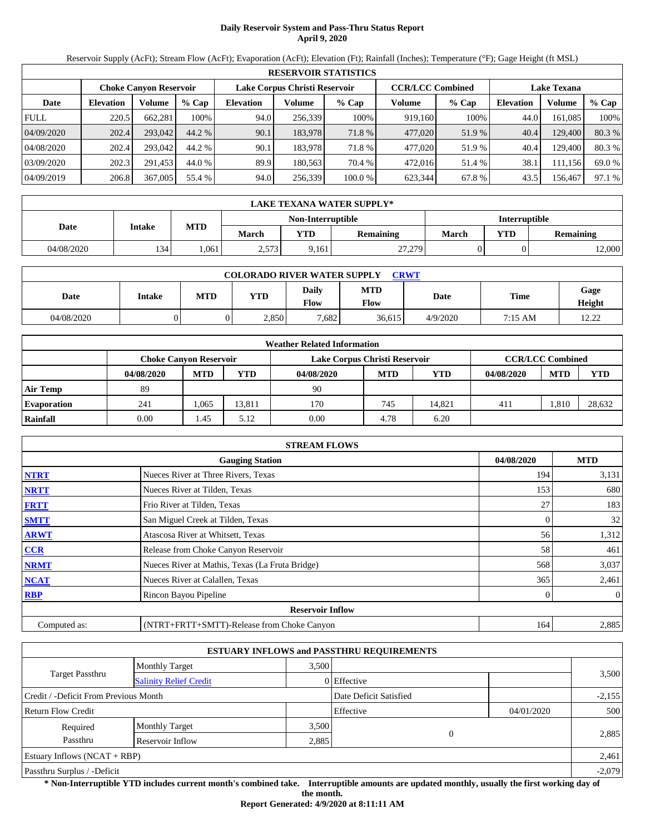# **Daily Reservoir System and Pass-Thru Status Report April 9, 2020**

Reservoir Supply (AcFt); Stream Flow (AcFt); Evaporation (AcFt); Elevation (Ft); Rainfall (Inches); Temperature (°F); Gage Height (ft MSL)

|             | <b>RESERVOIR STATISTICS</b> |                               |         |                               |         |         |                         |        |                    |         |        |  |
|-------------|-----------------------------|-------------------------------|---------|-------------------------------|---------|---------|-------------------------|--------|--------------------|---------|--------|--|
|             |                             | <b>Choke Canvon Reservoir</b> |         | Lake Corpus Christi Reservoir |         |         | <b>CCR/LCC Combined</b> |        | <b>Lake Texana</b> |         |        |  |
| Date        | <b>Elevation</b>            | Volume                        | $%$ Cap | <b>Elevation</b>              | Volume  | $%$ Cap | Volume                  | % Cap  | <b>Elevation</b>   | Volume  | % Cap  |  |
| <b>FULL</b> | 220.5                       | 662,281                       | 100%    | 94.0                          | 256.339 | 100%    | 919,160                 | 100%   | 44.0               | 161,085 | 100%   |  |
| 04/09/2020  | 202.4                       | 293,042                       | 44.2 %  | 90.1                          | 183.978 | 71.8 %  | 477,020                 | 51.9 % | 40.4               | 129,400 | 80.3 % |  |
| 04/08/2020  | 202.4                       | 293,042                       | 44.2 %  | 90.1                          | 183.978 | 71.8 %  | 477,020                 | 51.9%  | 40.4               | 129,400 | 80.3 % |  |
| 03/09/2020  | 202.3                       | 291.453                       | 44.0 %  | 89.9                          | 180.563 | 70.4 %  | 472,016                 | 51.4 % | 38.1               | 111.156 | 69.0 % |  |
| 04/09/2019  | 206.8                       | 367,005                       | 55.4 %  | 94.0                          | 256,339 | 100.0%  | 623,344                 | 67.8 % | 43.5               | 156,467 | 97.1 % |  |

|            | LAKE TEXANA WATER SUPPLY* |      |       |                   |           |               |            |                  |  |  |  |
|------------|---------------------------|------|-------|-------------------|-----------|---------------|------------|------------------|--|--|--|
|            |                           |      |       | Non-Interruptible |           | Interruptible |            |                  |  |  |  |
| Date       | Intake                    | MTD  | March | <b>VTD</b>        | Remaining | March         | <b>YTD</b> | <b>Remaining</b> |  |  |  |
| 04/08/2020 | 134                       | .061 | 2,573 | 9,161             | 27,279    |               |            | 2,000            |  |  |  |

| <b>COLORADO RIVER WATER SUPPLY</b><br><b>CRWT</b> |        |            |            |               |                    |          |             |                |  |  |  |
|---------------------------------------------------|--------|------------|------------|---------------|--------------------|----------|-------------|----------------|--|--|--|
| Date                                              | Intake | <b>MTD</b> | <b>YTD</b> | Daily<br>Flow | <b>MTD</b><br>Flow | Date     | <b>Time</b> | Gage<br>Height |  |  |  |
| 04/08/2020                                        |        |            | 2.850      | 7,682         | 36.615             | 4/9/2020 | 7:15 AM     | 12.22<br>12.ZZ |  |  |  |

|                    |                               |            |            | <b>Weather Related Information</b> |            |        |            |                         |            |
|--------------------|-------------------------------|------------|------------|------------------------------------|------------|--------|------------|-------------------------|------------|
|                    | <b>Choke Canvon Reservoir</b> |            |            | Lake Corpus Christi Reservoir      |            |        |            | <b>CCR/LCC Combined</b> |            |
|                    | 04/08/2020                    | <b>MTD</b> | <b>YTD</b> | 04/08/2020                         | <b>MTD</b> | YTD    | 04/08/2020 | <b>MTD</b>              | <b>YTD</b> |
| <b>Air Temp</b>    | 89                            |            |            | 90                                 |            |        |            |                         |            |
| <b>Evaporation</b> | 241                           | 1.065      | 13.811     | 170                                | 745        | 14.821 | 411        | .810                    | 28.632     |
| Rainfall           | 0.00                          | 1.45       | 5.12       | 0.00                               | 4.78       | 6.20   |            |                         |            |

|              | <b>STREAM FLOWS</b>                             |            |            |
|--------------|-------------------------------------------------|------------|------------|
|              | <b>Gauging Station</b>                          | 04/08/2020 | <b>MTD</b> |
| <b>NTRT</b>  | Nueces River at Three Rivers, Texas             | 194        | 3,131      |
| <b>NRTT</b>  | Nueces River at Tilden, Texas                   | 153        | 680        |
| <b>FRTT</b>  | Frio River at Tilden, Texas                     | 27         | 183        |
| <b>SMTT</b>  | San Miguel Creek at Tilden, Texas               | $\theta$   | 32         |
| <b>ARWT</b>  | Atascosa River at Whitsett, Texas               | 56         | 1,312      |
| <b>CCR</b>   | Release from Choke Canyon Reservoir             | 58         | 461        |
| <b>NRMT</b>  | Nueces River at Mathis, Texas (La Fruta Bridge) | 568        | 3,037      |
| <b>NCAT</b>  | Nueces River at Calallen, Texas                 | 365        | 2,461      |
| <b>RBP</b>   | Rincon Bayou Pipeline                           | 0          | $\theta$   |
|              | <b>Reservoir Inflow</b>                         |            |            |
| Computed as: | (NTRT+FRTT+SMTT)-Release from Choke Canyon      | 164        | 2,885      |

|                                                  |                       |       | <b>ESTUARY INFLOWS and PASSTHRU REQUIREMENTS</b> |            |          |
|--------------------------------------------------|-----------------------|-------|--------------------------------------------------|------------|----------|
|                                                  | <b>Monthly Target</b> | 3.500 |                                                  |            |          |
| Target Passthru<br><b>Salinity Relief Credit</b> |                       |       | 0 Effective                                      |            | 3,500    |
| Credit / -Deficit From Previous Month            |                       |       | Date Deficit Satisfied                           |            | $-2,155$ |
| <b>Return Flow Credit</b>                        |                       |       | Effective                                        | 04/01/2020 | 500      |
| Required                                         | <b>Monthly Target</b> | 3,500 |                                                  |            |          |
| Passthru                                         | Reservoir Inflow      | 2,885 | $\Omega$                                         |            | 2,885    |
| Estuary Inflows $(NCAT + RBP)$                   |                       |       |                                                  |            | 2,461    |
| Passthru Surplus / -Deficit                      |                       |       |                                                  |            | $-2,079$ |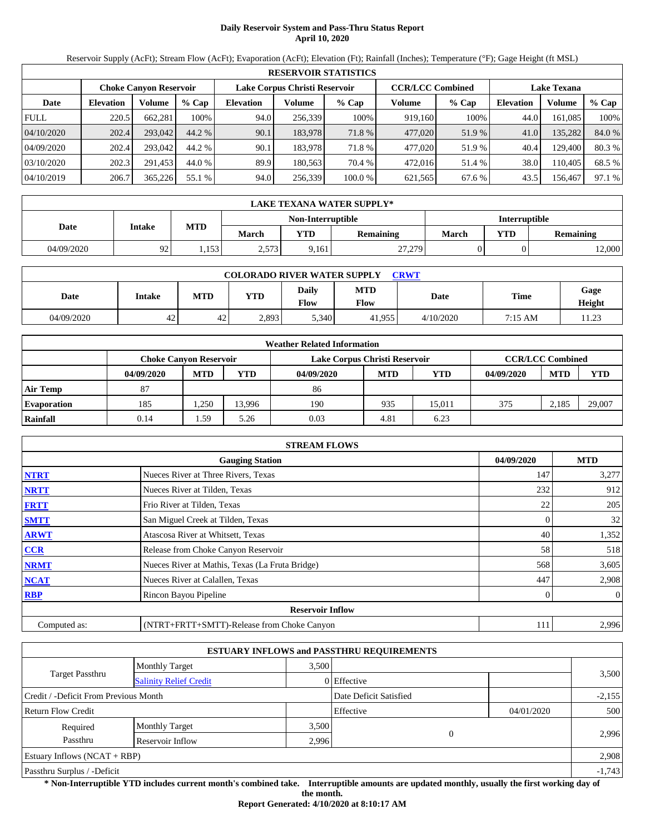# **Daily Reservoir System and Pass-Thru Status Report April 10, 2020**

Reservoir Supply (AcFt); Stream Flow (AcFt); Evaporation (AcFt); Elevation (Ft); Rainfall (Inches); Temperature (°F); Gage Height (ft MSL)

|             | <b>RESERVOIR STATISTICS</b>   |         |         |                  |                               |         |                         |         |                    |         |        |  |
|-------------|-------------------------------|---------|---------|------------------|-------------------------------|---------|-------------------------|---------|--------------------|---------|--------|--|
|             | <b>Choke Canvon Reservoir</b> |         |         |                  | Lake Corpus Christi Reservoir |         | <b>CCR/LCC Combined</b> |         | <b>Lake Texana</b> |         |        |  |
| Date        | <b>Elevation</b>              | Volume  | $%$ Cap | <b>Elevation</b> | Volume                        | $%$ Cap | Volume                  | $%$ Cap | <b>Elevation</b>   | Volume  | % Cap  |  |
| <b>FULL</b> | 220.5                         | 662,281 | 100%    | 94.0             | 256,339                       | 100%    | 919,160                 | 100%    | 44.0               | 161,085 | 100%   |  |
| 04/10/2020  | 202.4                         | 293,042 | 44.2 %  | 90.1             | 183.978                       | 71.8 %  | 477,020                 | 51.9 %  | 41.0               | 135,282 | 84.0 % |  |
| 04/09/2020  | 202.4                         | 293,042 | 44.2 %  | 90.1             | 183.978                       | 71.8 %  | 477,020                 | 51.9%   | 40.4               | 129,400 | 80.3 % |  |
| 03/10/2020  | 202.3                         | 291,453 | 44.0 %  | 89.9             | 180,563                       | 70.4 %  | 472,016                 | 51.4 %  | 38.0               | 110.405 | 68.5 % |  |
| 04/10/2019  | 206.7                         | 365,226 | 55.1 %  | 94.0             | 256,339                       | 100.0%  | 621,565                 | 67.6 %  | 43.5               | 156,467 | 97.1 % |  |

|            | LAKE TEXANA WATER SUPPLY* |       |       |                   |           |               |            |                  |  |  |  |
|------------|---------------------------|-------|-------|-------------------|-----------|---------------|------------|------------------|--|--|--|
|            |                           |       |       | Non-Interruptible |           | Interruptible |            |                  |  |  |  |
| Date       | Intake                    | MTD   | March | <b>VTD</b>        | Remaining | March         | <b>YTD</b> | <b>Remaining</b> |  |  |  |
| 04/09/2020 | 92                        | 1,153 | 2,573 | 9,161             | 27,279    |               |            | 2,000            |  |  |  |

| <b>COLORADO RIVER WATER SUPPLY</b><br><b>CRWT</b> |        |            |            |                             |                    |           |         |                 |  |  |  |
|---------------------------------------------------|--------|------------|------------|-----------------------------|--------------------|-----------|---------|-----------------|--|--|--|
| Date                                              | Intake | <b>MTD</b> | <b>YTD</b> | <b>Daily</b><br><b>Flow</b> | <b>MTD</b><br>Flow | Date      | Time    | Gage<br>Height  |  |  |  |
| 04/09/2020                                        | 42     | 42         | 2,893      | 5,340                       | 41.955             | 4/10/2020 | 7:15 AM | 11 23<br>ر∠…د ا |  |  |  |

|                    |                               |            |            | <b>Weather Related Information</b> |            |        |            |                         |            |
|--------------------|-------------------------------|------------|------------|------------------------------------|------------|--------|------------|-------------------------|------------|
|                    | <b>Choke Canvon Reservoir</b> |            |            | Lake Corpus Christi Reservoir      |            |        |            | <b>CCR/LCC Combined</b> |            |
|                    | 04/09/2020                    | <b>MTD</b> | <b>YTD</b> | 04/09/2020                         | <b>MTD</b> | YTD    | 04/09/2020 | <b>MTD</b>              | <b>YTD</b> |
| <b>Air Temp</b>    | 87                            |            |            | 86                                 |            |        |            |                         |            |
| <b>Evaporation</b> | 185                           | 1,250      | 13.996     | 190                                | 935        | 15.011 | 375        | 2,185                   | 29,007     |
| Rainfall           | 0.14                          | 1.59       | 5.26       | 0.03                               | 4.81       | 6.23   |            |                         |            |

|              | <b>STREAM FLOWS</b>                             |            |                |
|--------------|-------------------------------------------------|------------|----------------|
|              | <b>Gauging Station</b>                          | 04/09/2020 | <b>MTD</b>     |
| <b>NTRT</b>  | Nueces River at Three Rivers, Texas             | 147        | 3,277          |
| <b>NRTT</b>  | Nueces River at Tilden, Texas                   | 232        | 912            |
| <b>FRTT</b>  | Frio River at Tilden, Texas                     | 22         | 205            |
| <b>SMTT</b>  | San Miguel Creek at Tilden, Texas               | 0          | 32             |
| <b>ARWT</b>  | Atascosa River at Whitsett, Texas               | 40         | 1,352          |
| CCR          | Release from Choke Canyon Reservoir             | 58         | 518            |
| <b>NRMT</b>  | Nueces River at Mathis, Texas (La Fruta Bridge) | 568        | 3,605          |
| <b>NCAT</b>  | Nueces River at Calallen, Texas                 | 447        | 2,908          |
| <b>RBP</b>   | Rincon Bayou Pipeline                           | 0          | $\overline{0}$ |
|              | <b>Reservoir Inflow</b>                         |            |                |
| Computed as: | (NTRT+FRTT+SMTT)-Release from Choke Canyon      | 111        | 2,996          |

|                                                  |                       |                        | <b>ESTUARY INFLOWS and PASSTHRU REQUIREMENTS</b> |            |          |
|--------------------------------------------------|-----------------------|------------------------|--------------------------------------------------|------------|----------|
|                                                  | <b>Monthly Target</b> | 3,500                  |                                                  |            |          |
| Target Passthru<br><b>Salinity Relief Credit</b> |                       |                        | 0 Effective                                      |            | 3,500    |
| Credit / -Deficit From Previous Month            |                       | Date Deficit Satisfied |                                                  | $-2,155$   |          |
| <b>Return Flow Credit</b>                        |                       |                        | Effective                                        | 04/01/2020 | 500      |
| Required                                         | <b>Monthly Target</b> | 3,500                  |                                                  |            |          |
| Passthru<br>Reservoir Inflow<br>2.996            |                       |                        | $\theta$                                         |            | 2,996    |
| Estuary Inflows $(NCAT + RBP)$                   |                       |                        |                                                  |            | 2,908    |
| Passthru Surplus / -Deficit                      |                       |                        |                                                  |            | $-1,743$ |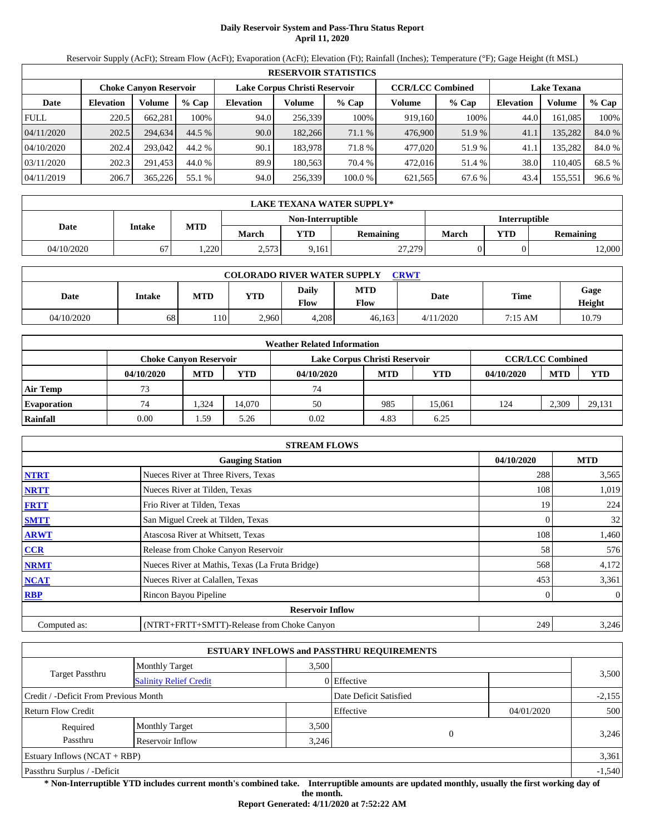# **Daily Reservoir System and Pass-Thru Status Report April 11, 2020**

Reservoir Supply (AcFt); Stream Flow (AcFt); Evaporation (AcFt); Elevation (Ft); Rainfall (Inches); Temperature (°F); Gage Height (ft MSL)

|             | <b>RESERVOIR STATISTICS</b>   |         |         |                               |         |         |                         |         |                    |         |        |  |
|-------------|-------------------------------|---------|---------|-------------------------------|---------|---------|-------------------------|---------|--------------------|---------|--------|--|
|             | <b>Choke Canvon Reservoir</b> |         |         | Lake Corpus Christi Reservoir |         |         | <b>CCR/LCC Combined</b> |         | <b>Lake Texana</b> |         |        |  |
| Date        | <b>Elevation</b>              | Volume  | $%$ Cap | <b>Elevation</b>              | Volume  | $%$ Cap | Volume                  | $%$ Cap | <b>Elevation</b>   | Volume  | % Cap  |  |
| <b>FULL</b> | 220.5                         | 662,281 | 100%    | 94.0                          | 256,339 | 100%    | 919,160                 | 100%    | 44.0               | 161,085 | 100%   |  |
| 04/11/2020  | 202.5                         | 294.634 | 44.5 %  | 90.0                          | 182,266 | 71.1 %  | 476,900                 | 51.9 %  | 41.1               | 135,282 | 84.0 % |  |
| 04/10/2020  | 202.4                         | 293,042 | 44.2 %  | 90.1                          | 183.978 | 71.8 %  | 477,020                 | 51.9%   | 41.1               | 135,282 | 84.0 % |  |
| 03/11/2020  | 202.3                         | 291,453 | 44.0 %  | 89.9                          | 180,563 | 70.4 %  | 472,016                 | 51.4 %  | 38.0               | 110.405 | 68.5 % |  |
| 04/11/2019  | 206.7                         | 365,226 | 55.1 %  | 94.0                          | 256,339 | 100.0%  | 621,565                 | 67.6 %  | 43.4               | 155,551 | 96.6 % |  |

|            | LAKE TEXANA WATER SUPPLY* |            |       |                   |           |                      |            |                  |  |  |  |
|------------|---------------------------|------------|-------|-------------------|-----------|----------------------|------------|------------------|--|--|--|
|            | Intake                    |            |       | Non-Interruptible |           | <b>Interruptible</b> |            |                  |  |  |  |
| Date       |                           | <b>MTD</b> | March | <b>VTD</b>        | Remaining | <b>March</b>         | <b>YTD</b> | <b>Remaining</b> |  |  |  |
| 04/10/2020 | -7<br>$\sigma$            | .220       | 2,573 | 9,161             | 27,279    |                      |            | 12,000           |  |  |  |

| <b>COLORADO RIVER WATER SUPPLY</b><br><b>CRWT</b> |        |            |            |                             |                    |           |         |                |  |  |  |
|---------------------------------------------------|--------|------------|------------|-----------------------------|--------------------|-----------|---------|----------------|--|--|--|
| Date                                              | Intake | <b>MTD</b> | <b>YTD</b> | <b>Daily</b><br><b>Flow</b> | <b>MTD</b><br>Flow | Date      | Time    | Gage<br>Height |  |  |  |
| 04/10/2020                                        | 68     | 110.       | 2,960      | 4,208                       | 46.163             | 4/11/2020 | 7:15 AM | 10.79          |  |  |  |

|                    |                               |            |            | <b>Weather Related Information</b> |            |            |            |                         |            |
|--------------------|-------------------------------|------------|------------|------------------------------------|------------|------------|------------|-------------------------|------------|
|                    | <b>Choke Canvon Reservoir</b> |            |            | Lake Corpus Christi Reservoir      |            |            |            | <b>CCR/LCC Combined</b> |            |
|                    | 04/10/2020                    | <b>MTD</b> | <b>YTD</b> | 04/10/2020                         | <b>MTD</b> | <b>YTD</b> | 04/10/2020 | <b>MTD</b>              | <b>YTD</b> |
| <b>Air Temp</b>    | 73                            |            |            | 74                                 |            |            |            |                         |            |
| <b>Evaporation</b> | 74                            | 324.       | 14.070     | 50                                 | 985        | 15.061     | 124        | 2.309                   | 29,131     |
| Rainfall           | 0.00                          | 1.59       | 5.26       | 0.02                               | 4.83       | 6.25       |            |                         |            |

|              | <b>STREAM FLOWS</b>                             |            |                |
|--------------|-------------------------------------------------|------------|----------------|
|              | <b>Gauging Station</b>                          | 04/10/2020 | <b>MTD</b>     |
| <b>NTRT</b>  | Nueces River at Three Rivers, Texas             | 288        | 3,565          |
| <b>NRTT</b>  | Nueces River at Tilden, Texas                   | 108        | 1,019          |
| <b>FRTT</b>  | Frio River at Tilden, Texas                     | 19         | 224            |
| <b>SMTT</b>  | San Miguel Creek at Tilden, Texas               | 0          | 32             |
| <b>ARWT</b>  | Atascosa River at Whitsett, Texas               | 108        | 1,460          |
| <b>CCR</b>   | Release from Choke Canyon Reservoir             | 58         | 576            |
| <b>NRMT</b>  | Nueces River at Mathis, Texas (La Fruta Bridge) | 568        | 4,172          |
| <b>NCAT</b>  | Nueces River at Calallen, Texas                 | 453        | 3,361          |
| <b>RBP</b>   | Rincon Bayou Pipeline                           |            | $\overline{0}$ |
|              | <b>Reservoir Inflow</b>                         |            |                |
| Computed as: | (NTRT+FRTT+SMTT)-Release from Choke Canyon      | 249        | 3,246          |

|                                       |                               |                        | <b>ESTUARY INFLOWS and PASSTHRU REQUIREMENTS</b> |            |       |  |
|---------------------------------------|-------------------------------|------------------------|--------------------------------------------------|------------|-------|--|
|                                       | <b>Monthly Target</b>         | 3.500                  |                                                  |            |       |  |
| Target Passthru                       | <b>Salinity Relief Credit</b> |                        | 0 Effective                                      |            | 3,500 |  |
| Credit / -Deficit From Previous Month |                               | Date Deficit Satisfied |                                                  | $-2,155$   |       |  |
| <b>Return Flow Credit</b>             |                               |                        | Effective                                        | 04/01/2020 | 500   |  |
| Required                              | <b>Monthly Target</b>         | 3,500                  |                                                  |            |       |  |
| Passthru<br>Reservoir Inflow<br>3,246 |                               |                        |                                                  |            | 3,246 |  |
| Estuary Inflows $(NCAT + RBP)$        |                               |                        |                                                  |            | 3,361 |  |
| Passthru Surplus / -Deficit           |                               |                        |                                                  |            |       |  |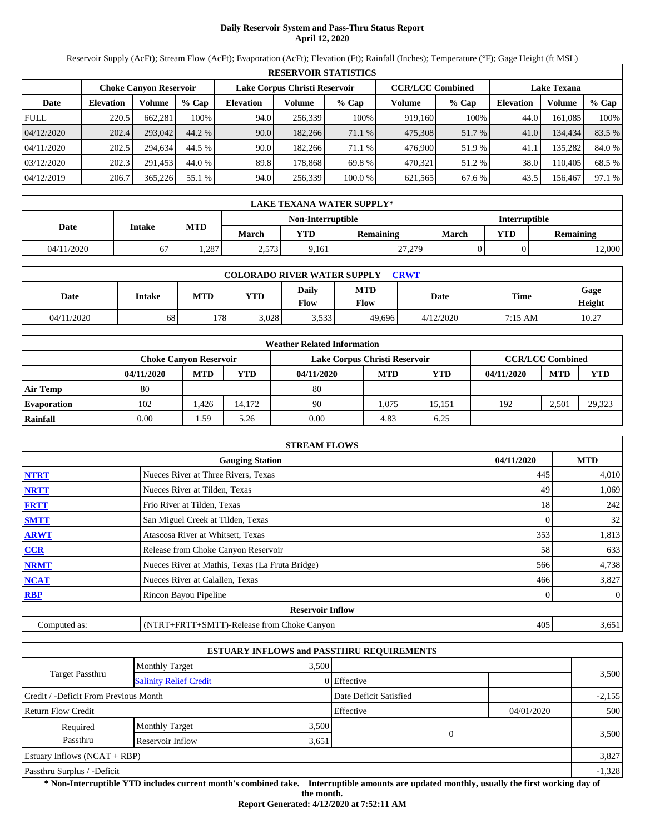# **Daily Reservoir System and Pass-Thru Status Report April 12, 2020**

Reservoir Supply (AcFt); Stream Flow (AcFt); Evaporation (AcFt); Elevation (Ft); Rainfall (Inches); Temperature (°F); Gage Height (ft MSL)

|             | <b>RESERVOIR STATISTICS</b> |                               |         |                               |         |         |                         |         |                    |         |        |  |
|-------------|-----------------------------|-------------------------------|---------|-------------------------------|---------|---------|-------------------------|---------|--------------------|---------|--------|--|
|             |                             | <b>Choke Canvon Reservoir</b> |         | Lake Corpus Christi Reservoir |         |         | <b>CCR/LCC Combined</b> |         | <b>Lake Texana</b> |         |        |  |
| Date        | <b>Elevation</b>            | <b>Volume</b>                 | $%$ Cap | <b>Elevation</b>              | Volume  | $%$ Cap | Volume                  | $%$ Cap | <b>Elevation</b>   | Volume  | % Cap  |  |
| <b>FULL</b> | 220.5                       | 662.281                       | 100%    | 94.0                          | 256,339 | 100%    | 919,160                 | 100%    | 44.0               | 161.085 | 100%   |  |
| 04/12/2020  | 202.4                       | 293,042                       | 44.2 %  | 90.0                          | 182,266 | 71.1 %  | 475,308                 | 51.7 %  | 41.0               | 134,434 | 83.5 % |  |
| 04/11/2020  | 202.5                       | 294.634                       | 44.5 %  | 90.0                          | 182.266 | 71.1 %  | 476,900                 | 51.9 %  | 41.1               | 135.282 | 84.0 % |  |
| 03/12/2020  | 202.3                       | 291.453                       | 44.0 %  | 89.8                          | 178.868 | 69.8%   | 470.321                 | 51.2 %  | 38.0               | 110,405 | 68.5 % |  |
| 04/12/2019  | 206.7                       | 365,226                       | 55.1 %  | 94.0                          | 256,339 | 100.0 % | 621,565                 | 67.6 %  | 43.5               | 156,467 | 97.1 % |  |

|            | <b>LAKE TEXANA WATER SUPPLY*</b> |       |              |                   |           |                      |            |           |  |  |  |
|------------|----------------------------------|-------|--------------|-------------------|-----------|----------------------|------------|-----------|--|--|--|
|            | Intake                           | MTD   |              | Non-Interruptible |           | <b>Interruptible</b> |            |           |  |  |  |
| Date       |                                  |       | <b>March</b> | <b>VTD</b>        | Remaining | March                | <b>YTD</b> | Remaining |  |  |  |
| 04/11/2020 | --<br>67                         | . 287 | 2,573        | 9,161             | 27,279    |                      |            | 2,000     |  |  |  |

| <b>COLORADO RIVER WATER SUPPLY</b><br><b>CRWT</b> |        |                  |            |                             |                    |           |             |                |  |  |  |
|---------------------------------------------------|--------|------------------|------------|-----------------------------|--------------------|-----------|-------------|----------------|--|--|--|
| Date                                              | Intake | <b>MTD</b>       | <b>YTD</b> | <b>Daily</b><br><b>Flow</b> | <b>MTD</b><br>Flow | Date      | <b>Time</b> | Gage<br>Height |  |  |  |
| 04/11/2020                                        | 68     | 178 <sub>1</sub> | 3.028      | 3.533                       | 49.696             | 4/12/2020 | 7:15 AM     | 10.27          |  |  |  |

|                    |            |                               |            | <b>Weather Related Information</b> |            |            |            |                         |            |
|--------------------|------------|-------------------------------|------------|------------------------------------|------------|------------|------------|-------------------------|------------|
|                    |            | <b>Choke Canvon Reservoir</b> |            | Lake Corpus Christi Reservoir      |            |            |            | <b>CCR/LCC Combined</b> |            |
|                    | 04/11/2020 | <b>MTD</b>                    | <b>YTD</b> | 04/11/2020                         | <b>MTD</b> | <b>YTD</b> | 04/11/2020 | <b>MTD</b>              | <b>YTD</b> |
| <b>Air Temp</b>    | 80         |                               |            | 80                                 |            |            |            |                         |            |
| <b>Evaporation</b> | 102        | .426                          | 14.172     | 90                                 | 1.075      | 15.151     | 192        | 2.501                   | 29,323     |
| Rainfall           | 0.00       | 1.59                          | 5.26       | 0.00                               | 4.83       | 6.25       |            |                         |            |

|              | <b>STREAM FLOWS</b>                             |            |                |
|--------------|-------------------------------------------------|------------|----------------|
|              | <b>Gauging Station</b>                          | 04/11/2020 | <b>MTD</b>     |
| <b>NTRT</b>  | Nueces River at Three Rivers, Texas             | 445        | 4,010          |
| <b>NRTT</b>  | Nueces River at Tilden, Texas                   | 49         | 1,069          |
| <b>FRTT</b>  | Frio River at Tilden, Texas                     | 18         | 242            |
| <b>SMTT</b>  | San Miguel Creek at Tilden, Texas               | $\Omega$   | 32             |
| <b>ARWT</b>  | Atascosa River at Whitsett, Texas               | 353        | 1,813          |
| CCR          | Release from Choke Canyon Reservoir             | 58         | 633            |
| <b>NRMT</b>  | Nueces River at Mathis, Texas (La Fruta Bridge) | 566        | 4,738          |
| <b>NCAT</b>  | Nueces River at Calallen, Texas                 | 466        | 3,827          |
| <b>RBP</b>   | Rincon Bayou Pipeline                           | 0          | $\overline{0}$ |
|              | <b>Reservoir Inflow</b>                         |            |                |
| Computed as: | (NTRT+FRTT+SMTT)-Release from Choke Canyon      | 405        | 3,651          |

|                                       |                               |       | <b>ESTUARY INFLOWS and PASSTHRU REQUIREMENTS</b> |            |          |  |
|---------------------------------------|-------------------------------|-------|--------------------------------------------------|------------|----------|--|
|                                       | <b>Monthly Target</b>         | 3.500 |                                                  |            |          |  |
| Target Passthru                       | <b>Salinity Relief Credit</b> |       | 0 Effective                                      |            | 3,500    |  |
| Credit / -Deficit From Previous Month |                               |       | Date Deficit Satisfied                           |            | $-2,155$ |  |
| <b>Return Flow Credit</b>             |                               |       | Effective                                        | 04/01/2020 | 500      |  |
| Required                              | <b>Monthly Target</b>         | 3,500 |                                                  |            |          |  |
| Passthru                              | Reservoir Inflow              | 3,651 | $\theta$                                         |            | 3,500    |  |
| Estuary Inflows $(NCAT + RBP)$        |                               |       |                                                  |            | 3,827    |  |
| Passthru Surplus / -Deficit           |                               |       |                                                  |            | $-1,328$ |  |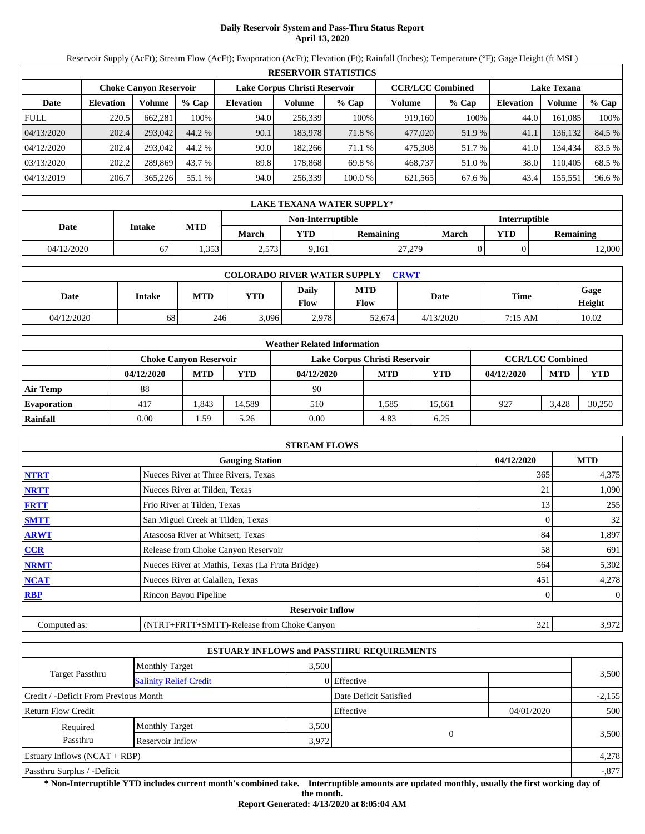# **Daily Reservoir System and Pass-Thru Status Report April 13, 2020**

Reservoir Supply (AcFt); Stream Flow (AcFt); Evaporation (AcFt); Elevation (Ft); Rainfall (Inches); Temperature (°F); Gage Height (ft MSL)

|             | <b>RESERVOIR STATISTICS</b> |                               |         |                               |         |         |                         |        |                    |         |        |  |
|-------------|-----------------------------|-------------------------------|---------|-------------------------------|---------|---------|-------------------------|--------|--------------------|---------|--------|--|
|             |                             | <b>Choke Canvon Reservoir</b> |         | Lake Corpus Christi Reservoir |         |         | <b>CCR/LCC Combined</b> |        | <b>Lake Texana</b> |         |        |  |
| Date        | <b>Elevation</b>            | Volume                        | $%$ Cap | <b>Elevation</b>              | Volume  | $%$ Cap | Volume                  | % Cap  | <b>Elevation</b>   | Volume  | % Cap  |  |
| <b>FULL</b> | 220.5                       | 662,281                       | 100%    | 94.0                          | 256.339 | 100%    | 919,160                 | 100%   | 44.0               | 161,085 | 100%   |  |
| 04/13/2020  | 202.4                       | 293,042                       | 44.2 %  | 90.1                          | 183.978 | 71.8 %  | 477,020                 | 51.9 % | 41.1               | 136,132 | 84.5 % |  |
| 04/12/2020  | 202.4                       | 293,042                       | 44.2 %  | 90.0                          | 182.266 | 71.1 %  | 475.308                 | 51.7 % | 41.0               | 134.434 | 83.5 % |  |
| 03/13/2020  | 202.2                       | 289,869                       | 43.7 %  | 89.8                          | 178.868 | 69.8 %  | 468,737                 | 51.0 % | 38.0               | 110.405 | 68.5 % |  |
| 04/13/2019  | 206.7                       | 365,226                       | 55.1 %  | 94.0                          | 256,339 | 100.0%  | 621,565                 | 67.6 % | 43.4               | 155,551 | 96.6 % |  |

|            | LAKE TEXANA WATER SUPPLY*       |                            |       |                   |        |               |                  |       |  |  |  |
|------------|---------------------------------|----------------------------|-------|-------------------|--------|---------------|------------------|-------|--|--|--|
|            |                                 |                            |       | Non-Interruptible |        | Interruptible |                  |       |  |  |  |
| Date       | Intake                          | MTD<br><b>VTD</b><br>March |       | Remaining         | March  | <b>YTD</b>    | <b>Remaining</b> |       |  |  |  |
| 04/12/2020 | $\overline{\phantom{a}}$<br>ו ס | .353                       | 2,573 | 9,161             | 27,279 |               |                  | 2,000 |  |  |  |

| <b>COLORADO RIVER WATER SUPPLY</b><br><b>CRWT</b> |        |     |            |                             |                    |           |         |                |  |  |  |
|---------------------------------------------------|--------|-----|------------|-----------------------------|--------------------|-----------|---------|----------------|--|--|--|
| Date                                              | Intake | MTD | <b>YTD</b> | <b>Daily</b><br><b>Flow</b> | <b>MTD</b><br>Flow | Date      | Time    | Gage<br>Height |  |  |  |
| 04/12/2020                                        | 68     | 246 | 3,096      | 2,978                       | 52,674             | 4/13/2020 | 7:15 AM | 10.02          |  |  |  |

|                    | <b>Weather Related Information</b> |            |            |                               |            |        |            |                         |            |  |  |
|--------------------|------------------------------------|------------|------------|-------------------------------|------------|--------|------------|-------------------------|------------|--|--|
|                    | <b>Choke Canyon Reservoir</b>      |            |            | Lake Corpus Christi Reservoir |            |        |            | <b>CCR/LCC Combined</b> |            |  |  |
|                    | 04/12/2020                         | <b>MTD</b> | <b>YTD</b> | 04/12/2020                    | <b>MTD</b> | YTD    | 04/12/2020 | <b>MTD</b>              | <b>YTD</b> |  |  |
| <b>Air Temp</b>    | 88                                 |            |            | 90                            |            |        |            |                         |            |  |  |
| <b>Evaporation</b> | 417                                | . 843      | 14.589     | 510                           | .585       | 15.661 | 927        | 3.428                   | 30,250     |  |  |
| Rainfall           | 0.00                               | 1.59       | 5.26       | 0.00                          | 4.83       | 6.25   |            |                         |            |  |  |

|              | <b>STREAM FLOWS</b>                             |                |            |
|--------------|-------------------------------------------------|----------------|------------|
|              | <b>Gauging Station</b>                          | 04/12/2020     | <b>MTD</b> |
| <b>NTRT</b>  | Nueces River at Three Rivers, Texas             | 365            | 4,375      |
| <b>NRTT</b>  | Nueces River at Tilden, Texas                   | 21             | 1,090      |
| <b>FRTT</b>  | Frio River at Tilden, Texas                     | 13             | 255        |
| <b>SMTT</b>  | San Miguel Creek at Tilden, Texas               | $\overline{0}$ | 32         |
| <b>ARWT</b>  | Atascosa River at Whitsett, Texas               | 84             | 1,897      |
| <b>CCR</b>   | Release from Choke Canyon Reservoir             | 58             | 691        |
| <b>NRMT</b>  | Nueces River at Mathis, Texas (La Fruta Bridge) | 564            | 5,302      |
| <b>NCAT</b>  | Nueces River at Calallen, Texas                 | 451            | 4,278      |
| <b>RBP</b>   | Rincon Bayou Pipeline                           | 0              | $\theta$   |
|              | <b>Reservoir Inflow</b>                         |                |            |
| Computed as: | (NTRT+FRTT+SMTT)-Release from Choke Canyon      | 321            | 3,972      |

|                                                  |                       |       | <b>ESTUARY INFLOWS and PASSTHRU REQUIREMENTS</b> |            |          |
|--------------------------------------------------|-----------------------|-------|--------------------------------------------------|------------|----------|
|                                                  | <b>Monthly Target</b> | 3,500 |                                                  |            |          |
| Target Passthru<br><b>Salinity Relief Credit</b> |                       |       | 0 Effective                                      |            | 3,500    |
| Credit / -Deficit From Previous Month            |                       |       | Date Deficit Satisfied                           |            | $-2,155$ |
| <b>Return Flow Credit</b>                        |                       |       | Effective                                        | 04/01/2020 | 500      |
| Required                                         | <b>Monthly Target</b> | 3,500 |                                                  |            |          |
| Passthru                                         | Reservoir Inflow      | 3,972 | $\overline{0}$                                   |            | 3,500    |
| Estuary Inflows $(NCAT + RBP)$                   |                       |       |                                                  |            | 4,278    |
| Passthru Surplus / -Deficit                      |                       |       |                                                  |            | $-.877$  |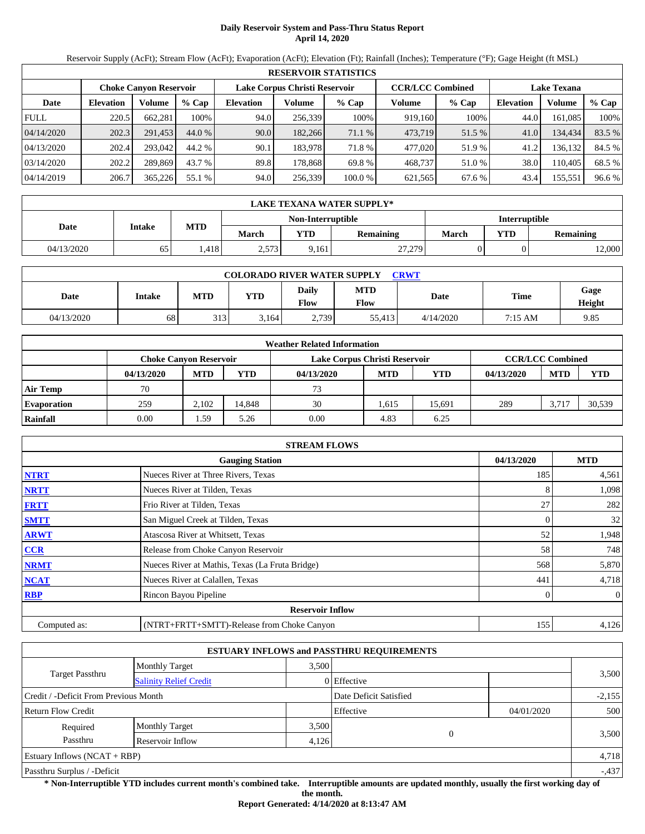# **Daily Reservoir System and Pass-Thru Status Report April 14, 2020**

Reservoir Supply (AcFt); Stream Flow (AcFt); Evaporation (AcFt); Elevation (Ft); Rainfall (Inches); Temperature (°F); Gage Height (ft MSL)

|             | <b>RESERVOIR STATISTICS</b> |                               |         |                  |                               |         |                         |        |                    |         |        |  |
|-------------|-----------------------------|-------------------------------|---------|------------------|-------------------------------|---------|-------------------------|--------|--------------------|---------|--------|--|
|             |                             | <b>Choke Canvon Reservoir</b> |         |                  | Lake Corpus Christi Reservoir |         | <b>CCR/LCC Combined</b> |        | <b>Lake Texana</b> |         |        |  |
| Date        | <b>Elevation</b>            | Volume                        | $%$ Cap | <b>Elevation</b> | Volume                        | $%$ Cap | Volume                  | % Cap  | <b>Elevation</b>   | Volume  | % Cap  |  |
| <b>FULL</b> | 220.5                       | 662,281                       | 100%    | 94.0             | 256,339                       | 100%    | 919,160                 | 100%   | 44.0               | 161,085 | 100%   |  |
| 04/14/2020  | 202.3                       | 291.453                       | 44.0 %  | 90.0             | 182,266                       | 71.1 %  | 473,719                 | 51.5 % | 41.0               | 134.434 | 83.5 % |  |
| 04/13/2020  | 202.4                       | 293,042                       | 44.2 %  | 90.1             | 183.978                       | 71.8 %  | 477,020                 | 51.9%  | 41.2               | 136.132 | 84.5 % |  |
| 03/14/2020  | 202.2                       | 289,869                       | 43.7 %  | 89.8             | 178.868                       | 69.8 %  | 468,737                 | 51.0 % | 38.0               | 110.405 | 68.5 % |  |
| 04/14/2019  | 206.7                       | 365,226                       | 55.1 %  | 94.0             | 256,339                       | 100.0%  | 621,565                 | 67.6 % | 43.4               | 155,551 | 96.6 % |  |

|            | LAKE TEXANA WATER SUPPLY* |      |       |                   |           |               |            |                  |  |  |  |
|------------|---------------------------|------|-------|-------------------|-----------|---------------|------------|------------------|--|--|--|
|            |                           | MTD  |       | Non-Interruptible |           | Interruptible |            |                  |  |  |  |
| Date       | Intake                    |      | March | <b>VTD</b>        | Remaining | March         | <b>YTD</b> | <b>Remaining</b> |  |  |  |
| 04/13/2020 | 65                        | .418 | 2,573 | 9,161             | 27,279    |               |            | 2,000            |  |  |  |

| <b>COLORADO RIVER WATER SUPPLY</b><br><b>CRWT</b> |        |            |            |                             |                    |           |             |                |  |  |  |
|---------------------------------------------------|--------|------------|------------|-----------------------------|--------------------|-----------|-------------|----------------|--|--|--|
| Date                                              | Intake | <b>MTD</b> | <b>YTD</b> | <b>Daily</b><br><b>Flow</b> | <b>MTD</b><br>Flow | Date      | <b>Time</b> | Gage<br>Height |  |  |  |
| 04/13/2020                                        | 68     | 313        | 3.164      | 2,739                       | 55.413             | 4/14/2020 | 7:15 AM     | 9.85           |  |  |  |

|                    | <b>Weather Related Information</b> |            |            |                               |            |        |            |                         |            |  |  |
|--------------------|------------------------------------|------------|------------|-------------------------------|------------|--------|------------|-------------------------|------------|--|--|
|                    | <b>Choke Canyon Reservoir</b>      |            |            | Lake Corpus Christi Reservoir |            |        |            | <b>CCR/LCC Combined</b> |            |  |  |
|                    | 04/13/2020                         | <b>MTD</b> | <b>YTD</b> | 04/13/2020                    | <b>MTD</b> | YTD    | 04/13/2020 | <b>MTD</b>              | <b>YTD</b> |  |  |
| <b>Air Temp</b>    | 70                                 |            |            | 73                            |            |        |            |                         |            |  |  |
| <b>Evaporation</b> | 259                                | 2.102      | 14.848     | 30                            | 1,615      | 15.691 | 289        | 3.717                   | 30,539     |  |  |
| Rainfall           | 0.00                               | 1.59       | 5.26       | 0.00                          | 4.83       | 6.25   |            |                         |            |  |  |

|              | <b>STREAM FLOWS</b>                             |                |              |
|--------------|-------------------------------------------------|----------------|--------------|
|              | <b>Gauging Station</b>                          | 04/13/2020     | <b>MTD</b>   |
| <b>NTRT</b>  | Nueces River at Three Rivers, Texas             | 185            | 4,561        |
| <b>NRTT</b>  | Nueces River at Tilden, Texas                   | 8              | 1,098        |
| <b>FRTT</b>  | Frio River at Tilden, Texas                     | 27             | 282          |
| <b>SMTT</b>  | San Miguel Creek at Tilden, Texas               | $\overline{0}$ | 32           |
| <b>ARWT</b>  | Atascosa River at Whitsett, Texas               | 52             | 1,948        |
| <b>CCR</b>   | Release from Choke Canyon Reservoir             | 58             | 748          |
| <b>NRMT</b>  | Nueces River at Mathis, Texas (La Fruta Bridge) | 568            | 5,870        |
| <b>NCAT</b>  | Nueces River at Calallen, Texas                 | 441            | 4,718        |
| <b>RBP</b>   | Rincon Bayou Pipeline                           |                | $\mathbf{0}$ |
|              | <b>Reservoir Inflow</b>                         |                |              |
| Computed as: | (NTRT+FRTT+SMTT)-Release from Choke Canyon      | 155            | 4,126        |

|                                                  |                       |       | <b>ESTUARY INFLOWS and PASSTHRU REQUIREMENTS</b> |            |          |
|--------------------------------------------------|-----------------------|-------|--------------------------------------------------|------------|----------|
|                                                  | <b>Monthly Target</b> | 3.500 |                                                  |            |          |
| Target Passthru<br><b>Salinity Relief Credit</b> |                       |       | 0 Effective                                      |            | 3,500    |
| Credit / -Deficit From Previous Month            |                       |       | Date Deficit Satisfied                           |            | $-2,155$ |
| <b>Return Flow Credit</b>                        |                       |       | Effective                                        | 04/01/2020 | 500      |
| Required                                         | <b>Monthly Target</b> | 3,500 |                                                  |            |          |
| Passthru                                         | Reservoir Inflow      | 4,126 | $\theta$                                         |            | 3,500    |
| Estuary Inflows $(NCAT + RBP)$                   |                       |       |                                                  |            | 4,718    |
| Passthru Surplus / -Deficit                      |                       |       |                                                  |            | $-437$   |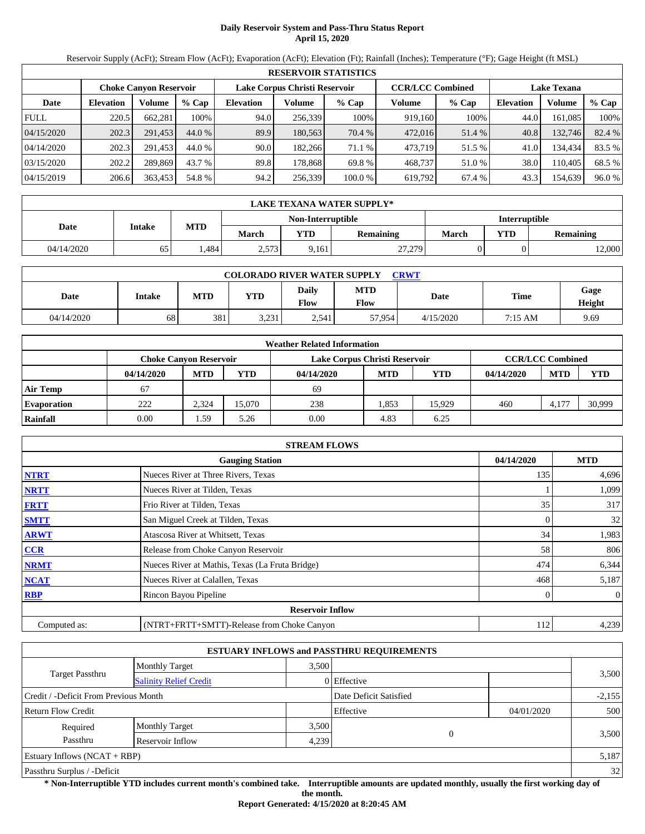# **Daily Reservoir System and Pass-Thru Status Report April 15, 2020**

Reservoir Supply (AcFt); Stream Flow (AcFt); Evaporation (AcFt); Elevation (Ft); Rainfall (Inches); Temperature (°F); Gage Height (ft MSL)

|             | <b>RESERVOIR STATISTICS</b> |                               |         |                               |         |         |                         |        |                    |         |        |  |
|-------------|-----------------------------|-------------------------------|---------|-------------------------------|---------|---------|-------------------------|--------|--------------------|---------|--------|--|
|             |                             | <b>Choke Canvon Reservoir</b> |         | Lake Corpus Christi Reservoir |         |         | <b>CCR/LCC Combined</b> |        | <b>Lake Texana</b> |         |        |  |
| Date        | <b>Elevation</b>            | Volume                        | $%$ Cap | <b>Elevation</b>              | Volume  | $%$ Cap | Volume                  | % Cap  | <b>Elevation</b>   | Volume  | % Cap  |  |
| <b>FULL</b> | 220.5                       | 662,281                       | 100%    | 94.0                          | 256,339 | 100%    | 919,160                 | 100%   | 44.0               | 161,085 | 100%   |  |
| 04/15/2020  | 202.3                       | 291.453                       | 44.0 %  | 89.9                          | 180,563 | 70.4 %  | 472,016                 | 51.4 % | 40.8               | 132,746 | 82.4 % |  |
| 04/14/2020  | 202.3                       | 291.453                       | 44.0 %  | 90.0                          | 182.266 | 71.1 %  | 473.719                 | 51.5 % | 41.0               | 134.434 | 83.5 % |  |
| 03/15/2020  | 202.2                       | 289,869                       | 43.7 %  | 89.8                          | 178.868 | 69.8 %  | 468,737                 | 51.0 % | 38.0               | 110.405 | 68.5 % |  |
| 04/15/2019  | 206.6                       | 363,453                       | 54.8 %  | 94.2                          | 256,339 | 100.0%  | 619,792                 | 67.4 % | 43.3               | 154,639 | 96.0%  |  |

|            | LAKE TEXANA WATER SUPPLY* |      |       |                   |           |               |            |                  |  |  |  |
|------------|---------------------------|------|-------|-------------------|-----------|---------------|------------|------------------|--|--|--|
|            | Intake                    |      |       | Non-Interruptible |           | Interruptible |            |                  |  |  |  |
| Date       |                           | MTD  | March | <b>VTD</b>        | Remaining | March         | <b>YTD</b> | <b>Remaining</b> |  |  |  |
| 04/14/2020 | 65                        | .484 | 2,573 | 9,161             | 27,279    |               |            | 2,000            |  |  |  |

| <b>COLORADO RIVER WATER SUPPLY</b><br><b>CRWT</b> |        |            |            |                             |                    |           |         |                |  |  |  |
|---------------------------------------------------|--------|------------|------------|-----------------------------|--------------------|-----------|---------|----------------|--|--|--|
| Date                                              | Intake | <b>MTD</b> | <b>YTD</b> | <b>Daily</b><br><b>Flow</b> | <b>MTD</b><br>Flow | Date      | Time    | Gage<br>Height |  |  |  |
| 04/14/2020                                        | 68     | 381        | 3,231      | 2,541                       | 57.954             | 4/15/2020 | 7:15 AM | 9.69           |  |  |  |

|                    |            |                               |            | <b>Weather Related Information</b> |                         |            |            |            |            |
|--------------------|------------|-------------------------------|------------|------------------------------------|-------------------------|------------|------------|------------|------------|
|                    |            | <b>Choke Canvon Reservoir</b> |            | Lake Corpus Christi Reservoir      | <b>CCR/LCC Combined</b> |            |            |            |            |
|                    | 04/14/2020 | <b>MTD</b>                    | <b>YTD</b> | 04/14/2020                         | <b>MTD</b>              | <b>YTD</b> | 04/14/2020 | <b>MTD</b> | <b>YTD</b> |
| <b>Air Temp</b>    | 67         |                               |            | -69                                |                         |            |            |            |            |
| <b>Evaporation</b> | 222        | 2.324                         | 15.070     | 238                                | . 853                   | 15.929     | 460        | 4.177      | 30,999     |
| Rainfall           | 0.00       | 1.59                          | 5.26       | 0.00                               | 4.83                    | 6.25       |            |            |            |

|              | <b>STREAM FLOWS</b>                             |            |                |
|--------------|-------------------------------------------------|------------|----------------|
|              | <b>Gauging Station</b>                          | 04/14/2020 | <b>MTD</b>     |
| <b>NTRT</b>  | Nueces River at Three Rivers, Texas             | 135        | 4,696          |
| <b>NRTT</b>  | Nueces River at Tilden, Texas                   |            | 1,099          |
| <b>FRTT</b>  | Frio River at Tilden, Texas                     | 35         | 317            |
| <b>SMTT</b>  | San Miguel Creek at Tilden, Texas               | 0          | 32             |
| <b>ARWT</b>  | Atascosa River at Whitsett, Texas               | 34         | 1,983          |
| <b>CCR</b>   | Release from Choke Canyon Reservoir             | 58         | 806            |
| <b>NRMT</b>  | Nueces River at Mathis, Texas (La Fruta Bridge) | 474        | 6,344          |
| <b>NCAT</b>  | Nueces River at Calallen, Texas                 | 468        | 5,187          |
| <b>RBP</b>   | Rincon Bayou Pipeline                           | 0          | $\overline{0}$ |
|              | <b>Reservoir Inflow</b>                         |            |                |
| Computed as: | (NTRT+FRTT+SMTT)-Release from Choke Canyon      | 112        | 4,239          |

|                                       |                               |       | <b>ESTUARY INFLOWS and PASSTHRU REQUIREMENTS</b> |            |          |
|---------------------------------------|-------------------------------|-------|--------------------------------------------------|------------|----------|
|                                       | <b>Monthly Target</b>         | 3.500 |                                                  |            |          |
| Target Passthru                       | <b>Salinity Relief Credit</b> |       | 0 Effective                                      |            | 3,500    |
| Credit / -Deficit From Previous Month |                               |       | Date Deficit Satisfied                           |            | $-2,155$ |
| <b>Return Flow Credit</b>             |                               |       | Effective                                        | 04/01/2020 | 500      |
| Required                              | <b>Monthly Target</b>         | 3,500 |                                                  |            |          |
| Passthru                              | Reservoir Inflow              | 4,239 | 0                                                |            | 3,500    |
| Estuary Inflows $(NCAT + RBP)$        |                               |       |                                                  |            | 5,187    |
| Passthru Surplus / -Deficit           |                               |       |                                                  |            | 32       |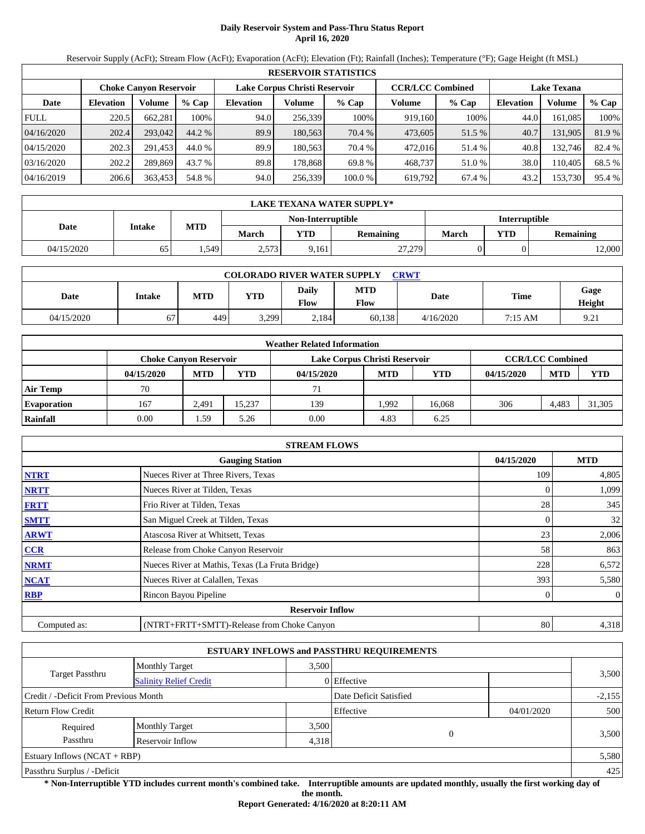# **Daily Reservoir System and Pass-Thru Status Report April 16, 2020**

Reservoir Supply (AcFt); Stream Flow (AcFt); Evaporation (AcFt); Elevation (Ft); Rainfall (Inches); Temperature (°F); Gage Height (ft MSL)

|             | <b>RESERVOIR STATISTICS</b> |                               |         |                               |         |         |                         |         |                    |         |        |  |
|-------------|-----------------------------|-------------------------------|---------|-------------------------------|---------|---------|-------------------------|---------|--------------------|---------|--------|--|
|             |                             | <b>Choke Canvon Reservoir</b> |         | Lake Corpus Christi Reservoir |         |         | <b>CCR/LCC Combined</b> |         | <b>Lake Texana</b> |         |        |  |
| Date        | <b>Elevation</b>            | Volume                        | $%$ Cap | <b>Elevation</b>              | Volume  | $%$ Cap | Volume                  | $%$ Cap | <b>Elevation</b>   | Volume  | % Cap  |  |
| <b>FULL</b> | 220.5                       | 662,281                       | 100%    | 94.0                          | 256,339 | 100%    | 919,160                 | 100%    | 44.0               | 161,085 | 100%   |  |
| 04/16/2020  | 202.4                       | 293,042                       | 44.2 %  | 89.9                          | 180,563 | 70.4 %  | 473,605                 | 51.5 %  | 40.7               | 131,905 | 81.9%  |  |
| 04/15/2020  | 202.3                       | 291.453                       | 44.0 %  | 89.9                          | 180.563 | 70.4 %  | 472,016                 | 51.4 %  | 40.8               | 132,746 | 82.4 % |  |
| 03/16/2020  | 202.2                       | 289,869                       | 43.7 %  | 89.8                          | 178.868 | 69.8 %  | 468,737                 | 51.0 %  | 38.0               | 110.405 | 68.5 % |  |
| 04/16/2019  | 206.6                       | 363,453                       | 54.8 %  | 94.0                          | 256,339 | 100.0%  | 619,792                 | 67.4 %  | 43.2               | 153,730 | 95.4 % |  |

|            | LAKE TEXANA WATER SUPPLY* |       |       |                   |           |               |            |                  |  |  |  |
|------------|---------------------------|-------|-------|-------------------|-----------|---------------|------------|------------------|--|--|--|
|            | Intake                    |       |       | Non-Interruptible |           | Interruptible |            |                  |  |  |  |
| Date       |                           | MTD   | March | <b>VTD</b>        | Remaining | March         | <b>YTD</b> | <b>Remaining</b> |  |  |  |
| 04/15/2020 | 65                        | . 549 | 2,573 | 9,161             | 27,279    |               |            | 2,000            |  |  |  |

| <b>COLORADO RIVER WATER SUPPLY</b><br><b>CRWT</b> |        |            |            |                             |                    |           |             |                |  |  |  |
|---------------------------------------------------|--------|------------|------------|-----------------------------|--------------------|-----------|-------------|----------------|--|--|--|
| Date                                              | Intake | <b>MTD</b> | <b>YTD</b> | <b>Daily</b><br><b>Flow</b> | <b>MTD</b><br>Flow | Date      | <b>Time</b> | Gage<br>Height |  |  |  |
| 04/15/2020                                        | 67     | 449        | 3,299      | 2.184                       | 60.138             | 4/16/2020 | 7:15 AM     | 9.21           |  |  |  |

|                    |            |                               |            | <b>Weather Related Information</b> |            |            |            |                         |            |
|--------------------|------------|-------------------------------|------------|------------------------------------|------------|------------|------------|-------------------------|------------|
|                    |            | <b>Choke Canvon Reservoir</b> |            | Lake Corpus Christi Reservoir      |            |            |            | <b>CCR/LCC Combined</b> |            |
|                    | 04/15/2020 | <b>MTD</b>                    | <b>YTD</b> | 04/15/2020                         | <b>MTD</b> | <b>YTD</b> | 04/15/2020 | <b>MTD</b>              | <b>YTD</b> |
| <b>Air Temp</b>    | 70         |                               |            | 71                                 |            |            |            |                         |            |
| <b>Evaporation</b> | 167        | 2.491                         | 15.237     | 139                                | .992       | 16.068     | 306        | 4.483                   | 31,305     |
| Rainfall           | 0.00       | 1.59                          | 5.26       | 0.00                               | 4.83       | 6.25       |            |                         |            |

|              | <b>STREAM FLOWS</b>                             |            |                |
|--------------|-------------------------------------------------|------------|----------------|
|              | <b>Gauging Station</b>                          | 04/15/2020 | <b>MTD</b>     |
| <b>NTRT</b>  | Nueces River at Three Rivers, Texas             | 109        | 4,805          |
| <b>NRTT</b>  | Nueces River at Tilden, Texas                   |            | 1,099          |
| <b>FRTT</b>  | Frio River at Tilden, Texas                     | 28         | 345            |
| <b>SMTT</b>  | San Miguel Creek at Tilden, Texas               | $\Omega$   | 32             |
| <b>ARWT</b>  | Atascosa River at Whitsett, Texas               | 23         | 2,006          |
| <b>CCR</b>   | Release from Choke Canyon Reservoir             | 58         | 863            |
| <b>NRMT</b>  | Nueces River at Mathis, Texas (La Fruta Bridge) | 228        | 6,572          |
| <b>NCAT</b>  | Nueces River at Calallen, Texas                 | 393        | 5,580          |
| <b>RBP</b>   | Rincon Bayou Pipeline                           | 0          | $\overline{0}$ |
|              | <b>Reservoir Inflow</b>                         |            |                |
| Computed as: | (NTRT+FRTT+SMTT)-Release from Choke Canyon      | 80         | 4,318          |

|                                       |                               |             | <b>ESTUARY INFLOWS and PASSTHRU REQUIREMENTS</b> |            |          |  |
|---------------------------------------|-------------------------------|-------------|--------------------------------------------------|------------|----------|--|
|                                       | <b>Monthly Target</b>         | 3.500       |                                                  |            |          |  |
| Target Passthru                       | <b>Salinity Relief Credit</b> | 0 Effective |                                                  |            | 3,500    |  |
| Credit / -Deficit From Previous Month |                               |             | Date Deficit Satisfied                           |            | $-2,155$ |  |
| <b>Return Flow Credit</b>             |                               |             | Effective                                        | 04/01/2020 | 500      |  |
| Required                              | <b>Monthly Target</b>         | 3,500       |                                                  |            |          |  |
| Passthru                              | Reservoir Inflow              | 4,318       | 0                                                |            | 3,500    |  |
| Estuary Inflows $(NCAT + RBP)$        |                               |             |                                                  |            | 5,580    |  |
| Passthru Surplus / -Deficit           |                               |             |                                                  |            | 425      |  |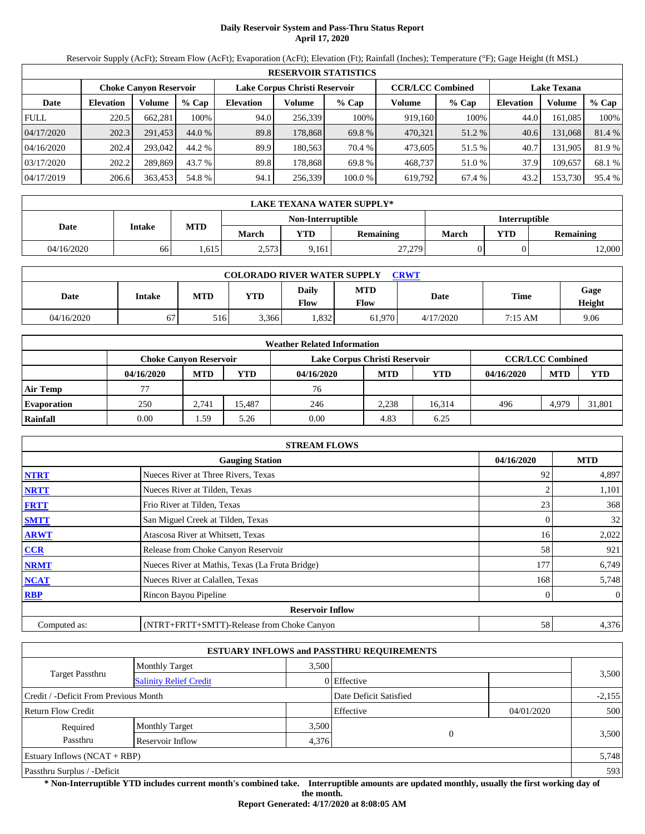# **Daily Reservoir System and Pass-Thru Status Report April 17, 2020**

Reservoir Supply (AcFt); Stream Flow (AcFt); Evaporation (AcFt); Elevation (Ft); Rainfall (Inches); Temperature (°F); Gage Height (ft MSL)

|             | <b>RESERVOIR STATISTICS</b> |                               |         |                               |         |         |                         |         |                    |         |        |  |  |
|-------------|-----------------------------|-------------------------------|---------|-------------------------------|---------|---------|-------------------------|---------|--------------------|---------|--------|--|--|
|             |                             | <b>Choke Canyon Reservoir</b> |         | Lake Corpus Christi Reservoir |         |         | <b>CCR/LCC Combined</b> |         | <b>Lake Texana</b> |         |        |  |  |
| Date        | <b>Elevation</b>            | Volume                        | $%$ Cap | <b>Elevation</b>              | Volume  | $%$ Cap | Volume                  | $%$ Cap | <b>Elevation</b>   | Volume  | % Cap  |  |  |
| <b>FULL</b> | 220.5                       | 662,281                       | 100%    | 94.0                          | 256.339 | 100%    | 919.160                 | 100%    | 44.0               | 161.085 | 100%   |  |  |
| 04/17/2020  | 202.3                       | 291.453                       | 44.0 %  | 89.8                          | 178,868 | 69.8 %  | 470,321                 | 51.2 %  | 40.6               | 131,068 | 81.4 % |  |  |
| 04/16/2020  | 202.4                       | 293,042                       | 44.2 %  | 89.9                          | 180.563 | 70.4 %  | 473,605                 | 51.5 %  | 40.7               | 131.905 | 81.9 % |  |  |
| 03/17/2020  | 202.2                       | 289,869                       | 43.7 %  | 89.8                          | 178.868 | 69.8 %  | 468,737                 | 51.0 %  | 37.9               | 109.657 | 68.1 % |  |  |
| 04/17/2019  | 206.6                       | 363,453                       | 54.8 %  | 94.1                          | 256,339 | 100.0%  | 619,792                 | 67.4 %  | 43.2               | 153,730 | 95.4 % |  |  |

|            | LAKE TEXANA WATER SUPPLY* |            |       |                   |           |               |                         |       |  |  |  |
|------------|---------------------------|------------|-------|-------------------|-----------|---------------|-------------------------|-------|--|--|--|
|            |                           |            |       | Non-Interruptible |           | Interruptible |                         |       |  |  |  |
| Date       | Intake                    | <b>MTD</b> | March | VTD               | Remaining | <b>March</b>  | <b>VTD</b><br>Remaining |       |  |  |  |
| 04/16/2020 | 66                        | .615       | 2,573 | 9,161             | 27,279    |               |                         | 2,000 |  |  |  |

| <b>COLORADO RIVER WATER SUPPLY</b><br><b>CRWT</b> |        |            |            |                             |                    |           |             |                |  |  |  |
|---------------------------------------------------|--------|------------|------------|-----------------------------|--------------------|-----------|-------------|----------------|--|--|--|
| Date                                              | Intake | <b>MTD</b> | <b>YTD</b> | <b>Daily</b><br><b>Flow</b> | <b>MTD</b><br>Flow | Date      | <b>Time</b> | Gage<br>Height |  |  |  |
| 04/16/2020                                        | 67     | 516        | 3.366      | 0.832                       | 61.970             | 4/17/2020 | 7:15 AM     | 9.06           |  |  |  |

|                    | <b>Weather Related Information</b>                                                        |            |            |            |            |        |            |            |            |  |  |  |
|--------------------|-------------------------------------------------------------------------------------------|------------|------------|------------|------------|--------|------------|------------|------------|--|--|--|
|                    | <b>CCR/LCC Combined</b><br>Lake Corpus Christi Reservoir<br><b>Choke Canvon Reservoir</b> |            |            |            |            |        |            |            |            |  |  |  |
|                    | 04/16/2020                                                                                | <b>MTD</b> | <b>YTD</b> | 04/16/2020 | <b>MTD</b> | YTD    | 04/16/2020 | <b>MTD</b> | <b>YTD</b> |  |  |  |
| <b>Air Temp</b>    | 77                                                                                        |            |            | 76         |            |        |            |            |            |  |  |  |
| <b>Evaporation</b> | 250                                                                                       | 2.741      | 15.487     | 246        | 2,238      | 16.314 | 496        | 4.979      | 31,801     |  |  |  |
| Rainfall           | 0.00                                                                                      | 1.59       | 5.26       | 0.00       | 4.83       | 6.25   |            |            |            |  |  |  |

|              | <b>STREAM FLOWS</b>                             |            |                |
|--------------|-------------------------------------------------|------------|----------------|
|              | <b>Gauging Station</b>                          | 04/16/2020 | <b>MTD</b>     |
| <b>NTRT</b>  | Nueces River at Three Rivers, Texas             | 92         | 4,897          |
| <b>NRTT</b>  | Nueces River at Tilden, Texas                   |            | 1,101          |
| <b>FRTT</b>  | Frio River at Tilden, Texas                     | 23         | 368            |
| <b>SMTT</b>  | San Miguel Creek at Tilden, Texas               | 0          | 32             |
| <b>ARWT</b>  | Atascosa River at Whitsett, Texas               | 16         | 2,022          |
| <b>CCR</b>   | Release from Choke Canyon Reservoir             | 58         | 921            |
| <b>NRMT</b>  | Nueces River at Mathis, Texas (La Fruta Bridge) | 177        | 6,749          |
| <b>NCAT</b>  | Nueces River at Calallen, Texas                 | 168        | 5,748          |
| <b>RBP</b>   | Rincon Bayou Pipeline                           | 0          | $\overline{0}$ |
|              | <b>Reservoir Inflow</b>                         |            |                |
| Computed as: | (NTRT+FRTT+SMTT)-Release from Choke Canyon      | 58         | 4,376          |

|                                       |                               |       | <b>ESTUARY INFLOWS and PASSTHRU REQUIREMENTS</b> |            |          |  |
|---------------------------------------|-------------------------------|-------|--------------------------------------------------|------------|----------|--|
|                                       | <b>Monthly Target</b>         | 3.500 |                                                  |            |          |  |
| Target Passthru                       | <b>Salinity Relief Credit</b> |       | 0 Effective                                      |            | 3,500    |  |
| Credit / -Deficit From Previous Month |                               |       | Date Deficit Satisfied                           |            | $-2,155$ |  |
| <b>Return Flow Credit</b>             |                               |       | Effective                                        | 04/01/2020 | 500      |  |
| Required                              | <b>Monthly Target</b>         | 3,500 |                                                  |            |          |  |
| Passthru                              | Reservoir Inflow              | 4,376 | $\theta$                                         |            | 3,500    |  |
| Estuary Inflows $(NCAT + RBP)$        |                               |       |                                                  |            | 5,748    |  |
| Passthru Surplus / -Deficit           |                               |       |                                                  |            | 593      |  |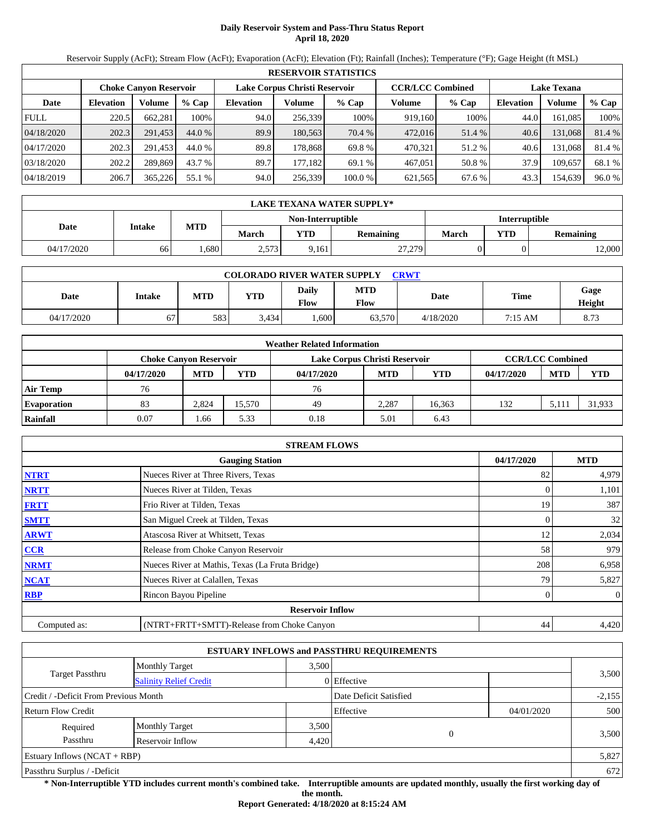# **Daily Reservoir System and Pass-Thru Status Report April 18, 2020**

Reservoir Supply (AcFt); Stream Flow (AcFt); Evaporation (AcFt); Elevation (Ft); Rainfall (Inches); Temperature (°F); Gage Height (ft MSL)

|             | <b>RESERVOIR STATISTICS</b> |                               |         |                  |                               |         |                         |         |                    |         |        |  |  |
|-------------|-----------------------------|-------------------------------|---------|------------------|-------------------------------|---------|-------------------------|---------|--------------------|---------|--------|--|--|
|             |                             | <b>Choke Canvon Reservoir</b> |         |                  | Lake Corpus Christi Reservoir |         | <b>CCR/LCC Combined</b> |         | <b>Lake Texana</b> |         |        |  |  |
| Date        | <b>Elevation</b>            | <b>Volume</b>                 | $%$ Cap | <b>Elevation</b> | Volume                        | $%$ Cap | Volume                  | $%$ Cap | <b>Elevation</b>   | Volume  | % Cap  |  |  |
| <b>FULL</b> | 220.5                       | 662.281                       | 100%    | 94.0             | 256,339                       | 100%    | 919,160                 | 100%    | 44.0               | 161.085 | 100%   |  |  |
| 04/18/2020  | 202.3                       | 291,453                       | 44.0 %  | 89.9             | 180,563                       | 70.4 %  | 472,016                 | 51.4 %  | 40.6               | 131,068 | 81.4 % |  |  |
| 04/17/2020  | 202.3                       | 291,453                       | 44.0 %  | 89.8             | 178.868                       | 69.8 %  | 470.321                 | 51.2 %  | 40.6               | 131.068 | 81.4 % |  |  |
| 03/18/2020  | 202.2                       | 289,869                       | 43.7 %  | 89.7             | 177.182                       | 69.1 %  | 467,051                 | 50.8 %  | 37.9               | 109.657 | 68.1 % |  |  |
| 04/18/2019  | 206.7                       | 365,226                       | 55.1 %  | 94.0             | 256,339                       | 100.0 % | 621,565                 | 67.6 %  | 43.3               | 154,639 | 96.0 % |  |  |

|            | LAKE TEXANA WATER SUPPLY* |      |              |                   |                  |                      |  |                  |  |  |  |
|------------|---------------------------|------|--------------|-------------------|------------------|----------------------|--|------------------|--|--|--|
|            |                           |      |              | Non-Interruptible |                  | <b>Interruptible</b> |  |                  |  |  |  |
| Date       | Intake                    | MTD  | <b>March</b> | <b>VTD</b>        | <b>Remaining</b> | <b>YTD</b><br>March  |  | <b>Remaining</b> |  |  |  |
| 04/17/2020 | 66                        | .680 | 2,573        | 9,161             | 27,279           |                      |  | 2,000            |  |  |  |

| <b>COLORADO RIVER WATER SUPPLY</b><br><b>CRWT</b> |        |            |            |                             |                    |           |             |                |  |  |  |
|---------------------------------------------------|--------|------------|------------|-----------------------------|--------------------|-----------|-------------|----------------|--|--|--|
| Date                                              | Intake | <b>MTD</b> | <b>YTD</b> | <b>Daily</b><br><b>Flow</b> | <b>MTD</b><br>Flow | Date      | <b>Time</b> | Gage<br>Height |  |  |  |
| 04/17/2020                                        | 67     | 583        | 3.434      | .6001                       | 63,570             | 4/18/2020 | 7:15 AM     | 8.73           |  |  |  |

|                    | <b>Weather Related Information</b>                                                        |            |            |            |            |            |            |            |            |  |  |  |
|--------------------|-------------------------------------------------------------------------------------------|------------|------------|------------|------------|------------|------------|------------|------------|--|--|--|
|                    | <b>CCR/LCC Combined</b><br>Lake Corpus Christi Reservoir<br><b>Choke Canyon Reservoir</b> |            |            |            |            |            |            |            |            |  |  |  |
|                    | 04/17/2020                                                                                | <b>MTD</b> | <b>YTD</b> | 04/17/2020 | <b>MTD</b> | <b>YTD</b> | 04/17/2020 | <b>MTD</b> | <b>YTD</b> |  |  |  |
| <b>Air Temp</b>    | 76                                                                                        |            |            | 76         |            |            |            |            |            |  |  |  |
| <b>Evaporation</b> | 83                                                                                        | 2.824      | 15,570     | 49         | 2.287      | 16.363     | 132        | 5.111      | 31,933     |  |  |  |
| Rainfall           | 0.07                                                                                      | 1.66       | 5.33       | 0.18       | 5.01       | 6.43       |            |            |            |  |  |  |

|              | <b>STREAM FLOWS</b>                             |            |                |
|--------------|-------------------------------------------------|------------|----------------|
|              | <b>Gauging Station</b>                          | 04/17/2020 | <b>MTD</b>     |
| <b>NTRT</b>  | Nueces River at Three Rivers, Texas             | 82         | 4,979          |
| <b>NRTT</b>  | Nueces River at Tilden, Texas                   |            | 1,101          |
| <b>FRTT</b>  | Frio River at Tilden, Texas                     | 19         | 387            |
| <b>SMTT</b>  | San Miguel Creek at Tilden, Texas               | 0          | 32             |
| <b>ARWT</b>  | Atascosa River at Whitsett, Texas               | 12         | 2,034          |
| CCR          | Release from Choke Canyon Reservoir             | 58         | 979            |
| <b>NRMT</b>  | Nueces River at Mathis, Texas (La Fruta Bridge) | 208        | 6,958          |
| <b>NCAT</b>  | Nueces River at Calallen, Texas                 | 79         | 5,827          |
| <b>RBP</b>   | Rincon Bayou Pipeline                           | 0          | $\overline{0}$ |
|              | <b>Reservoir Inflow</b>                         |            |                |
| Computed as: | (NTRT+FRTT+SMTT)-Release from Choke Canyon      | 44         | 4,420          |

|                                                  |                       |       | <b>ESTUARY INFLOWS and PASSTHRU REQUIREMENTS</b> |            |          |  |  |
|--------------------------------------------------|-----------------------|-------|--------------------------------------------------|------------|----------|--|--|
|                                                  | <b>Monthly Target</b> | 3.500 |                                                  |            |          |  |  |
| Target Passthru<br><b>Salinity Relief Credit</b> |                       |       | 0 Effective                                      |            | 3,500    |  |  |
| Credit / -Deficit From Previous Month            |                       |       | Date Deficit Satisfied                           |            | $-2,155$ |  |  |
| <b>Return Flow Credit</b>                        |                       |       | Effective                                        | 04/01/2020 | 500      |  |  |
| Required                                         | <b>Monthly Target</b> | 3,500 |                                                  |            |          |  |  |
| Passthru                                         | Reservoir Inflow      | 4.420 | $\theta$                                         |            | 3,500    |  |  |
| Estuary Inflows $(NCAT + RBP)$                   |                       |       |                                                  |            | 5,827    |  |  |
| Passthru Surplus / -Deficit                      |                       |       |                                                  |            |          |  |  |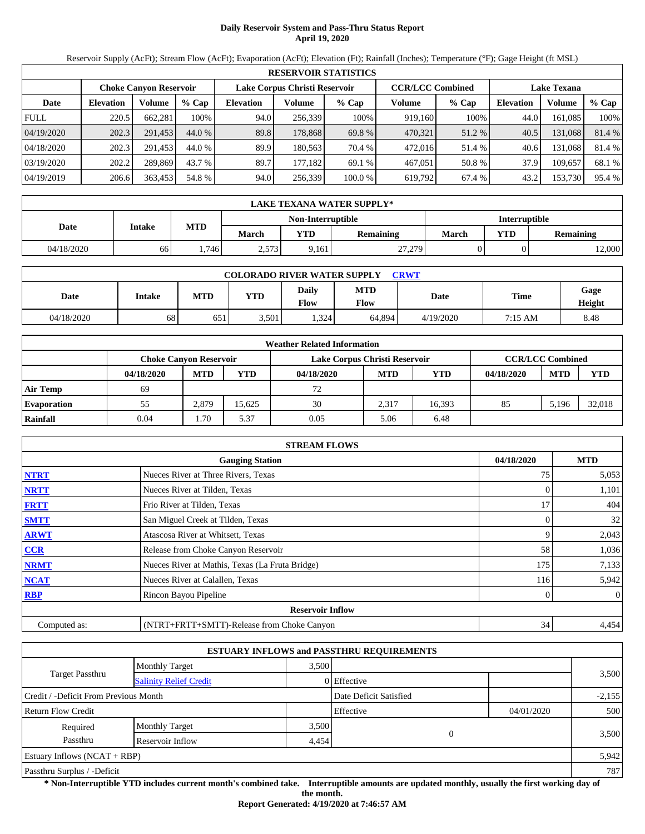# **Daily Reservoir System and Pass-Thru Status Report April 19, 2020**

Reservoir Supply (AcFt); Stream Flow (AcFt); Evaporation (AcFt); Elevation (Ft); Rainfall (Inches); Temperature (°F); Gage Height (ft MSL)

|             | <b>RESERVOIR STATISTICS</b> |                               |         |                  |                               |         |                         |         |                    |         |        |  |
|-------------|-----------------------------|-------------------------------|---------|------------------|-------------------------------|---------|-------------------------|---------|--------------------|---------|--------|--|
|             |                             | <b>Choke Canvon Reservoir</b> |         |                  | Lake Corpus Christi Reservoir |         | <b>CCR/LCC Combined</b> |         | <b>Lake Texana</b> |         |        |  |
| Date        | <b>Elevation</b>            | <b>Volume</b>                 | $%$ Cap | <b>Elevation</b> | Volume                        | $%$ Cap | Volume                  | $%$ Cap | <b>Elevation</b>   | Volume  | % Cap  |  |
| <b>FULL</b> | 220.5                       | 662.281                       | 100%    | 94.0             | 256,339                       | 100%    | 919,160                 | 100%    | 44.0               | 161.085 | 100%   |  |
| 04/19/2020  | 202.3                       | 291,453                       | 44.0 %  | 89.8             | 178,868                       | 69.8 %  | 470,321                 | 51.2 %  | 40.5               | 131,068 | 81.4 % |  |
| 04/18/2020  | 202.3                       | 291,453                       | 44.0 %  | 89.9             | 180.563                       | 70.4 %  | 472,016                 | 51.4 %  | 40.6               | 131.068 | 81.4 % |  |
| 03/19/2020  | 202.2                       | 289,869                       | 43.7 %  | 89.7             | 177.182                       | 69.1 %  | 467,051                 | 50.8 %  | 37.9               | 109.657 | 68.1 % |  |
| 04/19/2019  | 206.6                       | 363,453                       | 54.8 %  | 94.0             | 256,339                       | 100.0 % | 619,792                 | 67.4 %  | 43.2               | 153,730 | 95.4 % |  |

|            | LAKE TEXANA WATER SUPPLY* |      |       |                   |           |                      |            |           |  |  |
|------------|---------------------------|------|-------|-------------------|-----------|----------------------|------------|-----------|--|--|
|            |                           |      |       | Non-Interruptible |           | <b>Interruptible</b> |            |           |  |  |
| Date       | Intake                    | MTD  | March | <b>VTD</b>        | Remaining | March                | <b>YTD</b> | Remaining |  |  |
| 04/18/2020 | 66                        | .746 | 2,573 | 9,161             | 27,279    |                      |            | 12,000    |  |  |

| <b>COLORADO RIVER WATER SUPPLY</b><br><b>CRWT</b> |        |            |            |                             |                    |           |             |                |  |  |  |
|---------------------------------------------------|--------|------------|------------|-----------------------------|--------------------|-----------|-------------|----------------|--|--|--|
| Date                                              | Intake | <b>MTD</b> | <b>YTD</b> | <b>Daily</b><br><b>Flow</b> | <b>MTD</b><br>Flow | Date      | <b>Time</b> | Gage<br>Height |  |  |  |
| 04/18/2020                                        | 68     | 651        | 3,501      | .324                        | 64.894             | 4/19/2020 | 7:15 AM     | 8.48           |  |  |  |

|                    |                               |            |            | <b>Weather Related Information</b> |            |            |            |                         |            |
|--------------------|-------------------------------|------------|------------|------------------------------------|------------|------------|------------|-------------------------|------------|
|                    | <b>Choke Canvon Reservoir</b> |            |            | Lake Corpus Christi Reservoir      |            |            |            | <b>CCR/LCC Combined</b> |            |
|                    | 04/18/2020                    | <b>MTD</b> | <b>YTD</b> | 04/18/2020                         | <b>MTD</b> | <b>YTD</b> | 04/18/2020 | <b>MTD</b>              | <b>YTD</b> |
| <b>Air Temp</b>    | 69                            |            |            | 72                                 |            |            |            |                         |            |
| <b>Evaporation</b> | 55                            | 2.879      | 15.625     | 30                                 | 2.317      | 16.393     | 85         | 5.196                   | 32,018     |
| Rainfall           | 0.04                          | 1.70       | 5.37       | 0.05                               | 5.06       | 6.48       |            |                         |            |

|              | <b>STREAM FLOWS</b>                             |            |                |
|--------------|-------------------------------------------------|------------|----------------|
|              | <b>Gauging Station</b>                          | 04/18/2020 | <b>MTD</b>     |
| <b>NTRT</b>  | Nueces River at Three Rivers, Texas             | 75         | 5,053          |
| <b>NRTT</b>  | Nueces River at Tilden, Texas                   |            | 1,101          |
| <b>FRTT</b>  | Frio River at Tilden, Texas                     | 17         | 404            |
| <b>SMTT</b>  | San Miguel Creek at Tilden, Texas               | 0          | 32             |
| <b>ARWT</b>  | Atascosa River at Whitsett, Texas               | 9          | 2,043          |
| CCR          | Release from Choke Canyon Reservoir             | 58         | 1,036          |
| <b>NRMT</b>  | Nueces River at Mathis, Texas (La Fruta Bridge) | 175        | 7,133          |
| <b>NCAT</b>  | Nueces River at Calallen, Texas                 | 116        | 5,942          |
| <b>RBP</b>   | Rincon Bayou Pipeline                           | 0          | $\overline{0}$ |
|              | <b>Reservoir Inflow</b>                         |            |                |
| Computed as: | (NTRT+FRTT+SMTT)-Release from Choke Canyon      | 34         | 4,454          |

|                                       |                               |       | <b>ESTUARY INFLOWS and PASSTHRU REQUIREMENTS</b> |            |          |
|---------------------------------------|-------------------------------|-------|--------------------------------------------------|------------|----------|
|                                       | <b>Monthly Target</b>         | 3.500 |                                                  |            |          |
| Target Passthru                       | <b>Salinity Relief Credit</b> |       | 0 Effective                                      |            | 3,500    |
| Credit / -Deficit From Previous Month |                               |       | Date Deficit Satisfied                           |            | $-2,155$ |
| <b>Return Flow Credit</b>             |                               |       | Effective                                        | 04/01/2020 | 500      |
| Required                              | <b>Monthly Target</b>         | 3,500 |                                                  |            |          |
| Passthru                              | Reservoir Inflow              | 4,454 | $\overline{0}$                                   |            | 3,500    |
| Estuary Inflows $(NCAT + RBP)$        |                               |       |                                                  |            | 5,942    |
| Passthru Surplus / -Deficit           |                               |       |                                                  |            | 787      |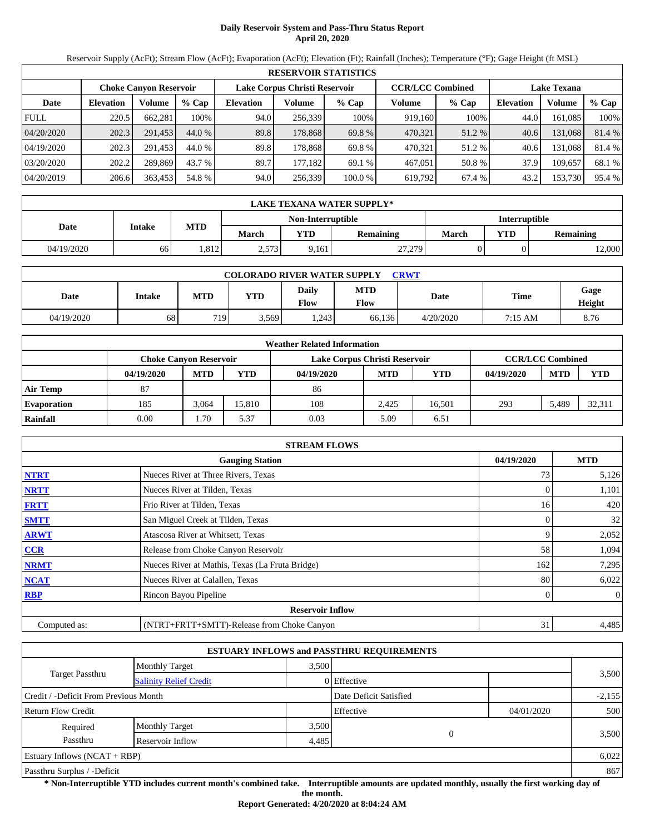# **Daily Reservoir System and Pass-Thru Status Report April 20, 2020**

Reservoir Supply (AcFt); Stream Flow (AcFt); Evaporation (AcFt); Elevation (Ft); Rainfall (Inches); Temperature (°F); Gage Height (ft MSL)

|             | <b>RESERVOIR STATISTICS</b> |                               |         |                  |                               |         |                         |         |                    |         |        |  |
|-------------|-----------------------------|-------------------------------|---------|------------------|-------------------------------|---------|-------------------------|---------|--------------------|---------|--------|--|
|             |                             | <b>Choke Canvon Reservoir</b> |         |                  | Lake Corpus Christi Reservoir |         | <b>CCR/LCC Combined</b> |         | <b>Lake Texana</b> |         |        |  |
| Date        | <b>Elevation</b>            | <b>Volume</b>                 | $%$ Cap | <b>Elevation</b> | Volume                        | $%$ Cap | Volume                  | $%$ Cap | <b>Elevation</b>   | Volume  | % Cap  |  |
| <b>FULL</b> | 220.5                       | 662.281                       | 100%    | 94.0             | 256,339                       | 100%    | 919,160                 | 100%    | 44.0               | 161.085 | 100%   |  |
| 04/20/2020  | 202.3                       | 291,453                       | 44.0 %  | 89.8             | 178,868                       | 69.8 %  | 470,321                 | 51.2 %  | 40.6               | 131,068 | 81.4 % |  |
| 04/19/2020  | 202.3                       | 291,453                       | 44.0 %  | 89.8             | 178.868                       | 69.8 %  | 470.321                 | 51.2 %  | 40.6               | 131.068 | 81.4 % |  |
| 03/20/2020  | 202.2                       | 289,869                       | 43.7 %  | 89.7             | 177.182                       | 69.1 %  | 467,051                 | 50.8 %  | 37.9               | 109.657 | 68.1 % |  |
| 04/20/2019  | 206.6                       | 363,453                       | 54.8 %  | 94.0             | 256,339                       | 100.0 % | 619,792                 | 67.4 %  | 43.2               | 153,730 | 95.4 % |  |

|            | LAKE TEXANA WATER SUPPLY* |      |              |                   |                  |                      |            |                  |  |  |  |
|------------|---------------------------|------|--------------|-------------------|------------------|----------------------|------------|------------------|--|--|--|
|            |                           |      |              | Non-Interruptible |                  | <b>Interruptible</b> |            |                  |  |  |  |
| Date       | Intake                    | MTD  | <b>March</b> | <b>VTD</b>        | <b>Remaining</b> | March                | <b>YTD</b> | <b>Remaining</b> |  |  |  |
| 04/19/2020 | 66                        | .812 | 2,573        | 9,161             | 27,279           |                      |            | 2,000            |  |  |  |

| <b>COLORADO RIVER WATER SUPPLY</b><br><b>CRWT</b> |        |                  |            |                             |                    |           |             |                |  |  |  |
|---------------------------------------------------|--------|------------------|------------|-----------------------------|--------------------|-----------|-------------|----------------|--|--|--|
| Date                                              | Intake | <b>MTD</b>       | <b>YTD</b> | <b>Daily</b><br><b>Flow</b> | <b>MTD</b><br>Flow | Date      | <b>Time</b> | Gage<br>Height |  |  |  |
| 04/19/2020                                        | 68     | 719 <sub>1</sub> | 3,569      | .243                        | 66.136             | 4/20/2020 | 7:15 AM     | 8.76           |  |  |  |

|                    |                               |            |            | <b>Weather Related Information</b> |            |            |            |                         |        |
|--------------------|-------------------------------|------------|------------|------------------------------------|------------|------------|------------|-------------------------|--------|
|                    | <b>Choke Canvon Reservoir</b> |            |            | Lake Corpus Christi Reservoir      |            |            |            | <b>CCR/LCC Combined</b> |        |
|                    | 04/19/2020                    | <b>MTD</b> | <b>YTD</b> | 04/19/2020                         | <b>MTD</b> | <b>YTD</b> | 04/19/2020 | <b>MTD</b>              | YTD    |
| <b>Air Temp</b>    | 87                            |            |            | 86                                 |            |            |            |                         |        |
| <b>Evaporation</b> | 185                           | 3.064      | 15.810     | 108                                | 2.425      | 16.501     | 293        | 5.489                   | 32,311 |
| Rainfall           | 0.00                          | 1.70       | 5.37       | 0.03                               | 5.09       | 6.51       |            |                         |        |

|              | <b>STREAM FLOWS</b>                             |            |                |
|--------------|-------------------------------------------------|------------|----------------|
|              | <b>Gauging Station</b>                          | 04/19/2020 | <b>MTD</b>     |
| <b>NTRT</b>  | Nueces River at Three Rivers, Texas             | 73         | 5,126          |
| <b>NRTT</b>  | Nueces River at Tilden, Texas                   |            | 1,101          |
| <b>FRTT</b>  | Frio River at Tilden, Texas                     | 16         | 420            |
| <b>SMTT</b>  | San Miguel Creek at Tilden, Texas               | $\Omega$   | 32             |
| <b>ARWT</b>  | Atascosa River at Whitsett, Texas               | 9          | 2,052          |
| CCR          | Release from Choke Canyon Reservoir             | 58         | 1,094          |
| <b>NRMT</b>  | Nueces River at Mathis, Texas (La Fruta Bridge) | 162        | 7,295          |
| <b>NCAT</b>  | Nueces River at Calallen, Texas                 | 80         | 6,022          |
| <b>RBP</b>   | Rincon Bayou Pipeline                           | 0          | $\overline{0}$ |
|              | <b>Reservoir Inflow</b>                         |            |                |
| Computed as: | (NTRT+FRTT+SMTT)-Release from Choke Canyon      | 31         | 4,485          |

|                                                         |                       |       | <b>ESTUARY INFLOWS and PASSTHRU REQUIREMENTS</b> |            |          |
|---------------------------------------------------------|-----------------------|-------|--------------------------------------------------|------------|----------|
|                                                         | <b>Monthly Target</b> | 3,500 |                                                  |            |          |
| <b>Target Passthru</b><br><b>Salinity Relief Credit</b> |                       |       | 0 Effective                                      |            | 3,500    |
| Credit / -Deficit From Previous Month                   |                       |       | Date Deficit Satisfied                           |            | $-2,155$ |
| <b>Return Flow Credit</b>                               |                       |       | Effective                                        | 04/01/2020 | 500      |
| Required                                                | <b>Monthly Target</b> | 3,500 |                                                  |            |          |
| Passthru                                                | Reservoir Inflow      | 4,485 | $\Omega$                                         |            | 3,500    |
| Estuary Inflows $(NCAT + RBP)$                          |                       |       |                                                  |            | 6,022    |
| Passthru Surplus / -Deficit                             |                       |       |                                                  |            | 867      |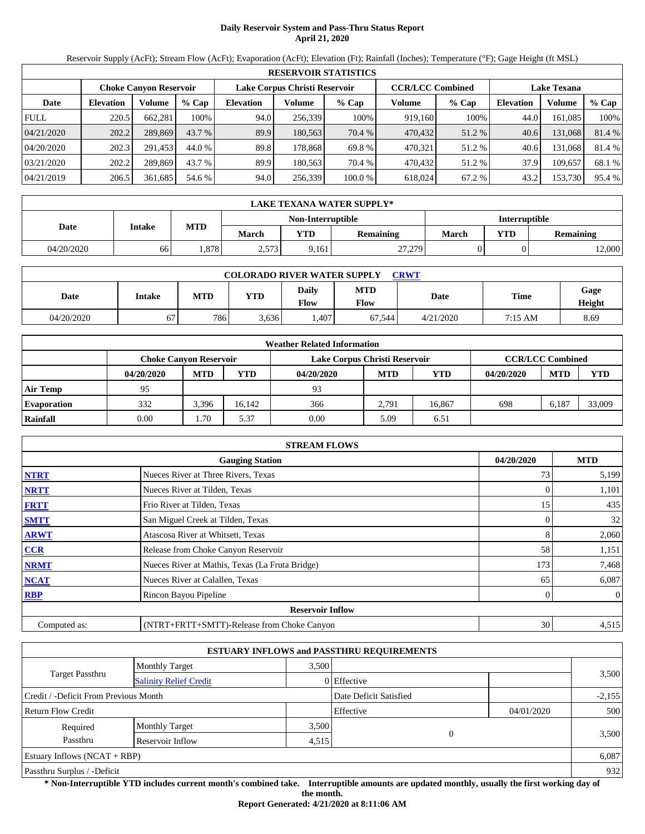# **Daily Reservoir System and Pass-Thru Status Report April 21, 2020**

Reservoir Supply (AcFt); Stream Flow (AcFt); Evaporation (AcFt); Elevation (Ft); Rainfall (Inches); Temperature (°F); Gage Height (ft MSL)

|             | <b>RESERVOIR STATISTICS</b> |                               |         |                               |         |         |                         |        |                    |         |        |  |
|-------------|-----------------------------|-------------------------------|---------|-------------------------------|---------|---------|-------------------------|--------|--------------------|---------|--------|--|
|             |                             | <b>Choke Canvon Reservoir</b> |         | Lake Corpus Christi Reservoir |         |         | <b>CCR/LCC Combined</b> |        | <b>Lake Texana</b> |         |        |  |
| Date        | <b>Elevation</b>            | Volume                        | $%$ Cap | <b>Elevation</b>              | Volume  | $%$ Cap | Volume                  | % Cap  | <b>Elevation</b>   | Volume  | % Cap  |  |
| <b>FULL</b> | 220.5                       | 662,281                       | 100%    | 94.0                          | 256,339 | 100%    | 919,160                 | 100%   | 44.0               | 161,085 | 100%   |  |
| 04/21/2020  | 202.2                       | 289,869                       | 43.7 %  | 89.9                          | 180,563 | 70.4 %  | 470,432                 | 51.2 % | 40.6               | 131,068 | 81.4 % |  |
| 04/20/2020  | 202.3                       | 291.453                       | 44.0 %  | 89.8                          | 178.868 | 69.8 %  | 470.321                 | 51.2 % | 40.6               | 131,068 | 81.4 % |  |
| 03/21/2020  | 202.2                       | 289,869                       | 43.7 %  | 89.9                          | 180.563 | 70.4 %  | 470.432                 | 51.2 % | 37.9               | 109.657 | 68.1 % |  |
| 04/21/2019  | 206.5                       | 361,685                       | 54.6 %  | 94.0                          | 256,339 | 100.0%  | 618,024                 | 67.2 % | 43.2               | 153,730 | 95.4 % |  |

|            | LAKE TEXANA WATER SUPPLY* |                   |       |                   |           |               |            |                  |  |  |  |
|------------|---------------------------|-------------------|-------|-------------------|-----------|---------------|------------|------------------|--|--|--|
|            | Intake                    | MTD               |       | Non-Interruptible |           | Interruptible |            |                  |  |  |  |
| Date       |                           |                   | March | <b>VTD</b>        | Remaining | March         | <b>YTD</b> | <b>Remaining</b> |  |  |  |
| 04/20/2020 | 66                        | .878 <sup>1</sup> | 2,573 | 9,161             | 27,279    |               |            | 2,000            |  |  |  |

| <b>COLORADO RIVER WATER SUPPLY</b><br><b>CRWT</b> |        |            |            |                      |                    |           |             |                |  |  |  |
|---------------------------------------------------|--------|------------|------------|----------------------|--------------------|-----------|-------------|----------------|--|--|--|
| Date                                              | Intake | <b>MTD</b> | <b>YTD</b> | Daily<br><b>Flow</b> | <b>MTD</b><br>Flow | Date      | <b>Time</b> | Gage<br>Height |  |  |  |
| 04/20/2020                                        | 67     | 786        | 3.636      | .407                 | 67.544             | 4/21/2020 | 7:15 AM     | 8.69           |  |  |  |

|                    | <b>Weather Related Information</b> |            |            |                               |                         |        |            |            |            |  |  |
|--------------------|------------------------------------|------------|------------|-------------------------------|-------------------------|--------|------------|------------|------------|--|--|
|                    | <b>Choke Canvon Reservoir</b>      |            |            | Lake Corpus Christi Reservoir | <b>CCR/LCC Combined</b> |        |            |            |            |  |  |
|                    | 04/20/2020                         | <b>MTD</b> | <b>YTD</b> | 04/20/2020                    | <b>MTD</b>              | YTD    | 04/20/2020 | <b>MTD</b> | <b>YTD</b> |  |  |
| <b>Air Temp</b>    | 95                                 |            |            | 93                            |                         |        |            |            |            |  |  |
| <b>Evaporation</b> | 332                                | 3,396      | 16.142     | 366                           | 2.791                   | 16,867 | 698        | 6,187      | 33,009     |  |  |
| Rainfall           | 0.00                               | 1.70       | 5.37       | 0.00                          | 5.09                    | 6.51   |            |            |            |  |  |

|              | <b>STREAM FLOWS</b>                             |            |                |
|--------------|-------------------------------------------------|------------|----------------|
|              | <b>Gauging Station</b>                          | 04/20/2020 | <b>MTD</b>     |
| <b>NTRT</b>  | Nueces River at Three Rivers, Texas             | 73         | 5,199          |
| <b>NRTT</b>  | Nueces River at Tilden, Texas                   |            | 1,101          |
| <b>FRTT</b>  | Frio River at Tilden, Texas                     | 15         | 435            |
| <b>SMTT</b>  | San Miguel Creek at Tilden, Texas               | 0          | 32             |
| <b>ARWT</b>  | Atascosa River at Whitsett, Texas               | 8          | 2,060          |
| CCR          | Release from Choke Canyon Reservoir             | 58         | 1,151          |
| <b>NRMT</b>  | Nueces River at Mathis, Texas (La Fruta Bridge) | 173        | 7,468          |
| <b>NCAT</b>  | Nueces River at Calallen, Texas                 | 65         | 6,087          |
| <b>RBP</b>   | Rincon Bayou Pipeline                           | 0          | $\overline{0}$ |
|              | <b>Reservoir Inflow</b>                         |            |                |
| Computed as: | (NTRT+FRTT+SMTT)-Release from Choke Canyon      | 30         | 4,515          |

|                                       |                               |       | <b>ESTUARY INFLOWS and PASSTHRU REQUIREMENTS</b> |            |          |  |  |
|---------------------------------------|-------------------------------|-------|--------------------------------------------------|------------|----------|--|--|
|                                       | <b>Monthly Target</b>         | 3.500 |                                                  |            |          |  |  |
| Target Passthru                       | <b>Salinity Relief Credit</b> |       | 0 Effective                                      |            | 3,500    |  |  |
| Credit / -Deficit From Previous Month |                               |       | Date Deficit Satisfied                           |            | $-2,155$ |  |  |
| <b>Return Flow Credit</b>             |                               |       | Effective                                        | 04/01/2020 | 500      |  |  |
| Required                              | <b>Monthly Target</b>         | 3,500 |                                                  |            |          |  |  |
| Passthru                              | Reservoir Inflow              | 4,515 | 0                                                |            | 3,500    |  |  |
| Estuary Inflows $(NCAT + RBP)$        |                               |       |                                                  |            | 6,087    |  |  |
| Passthru Surplus / -Deficit           |                               |       |                                                  |            |          |  |  |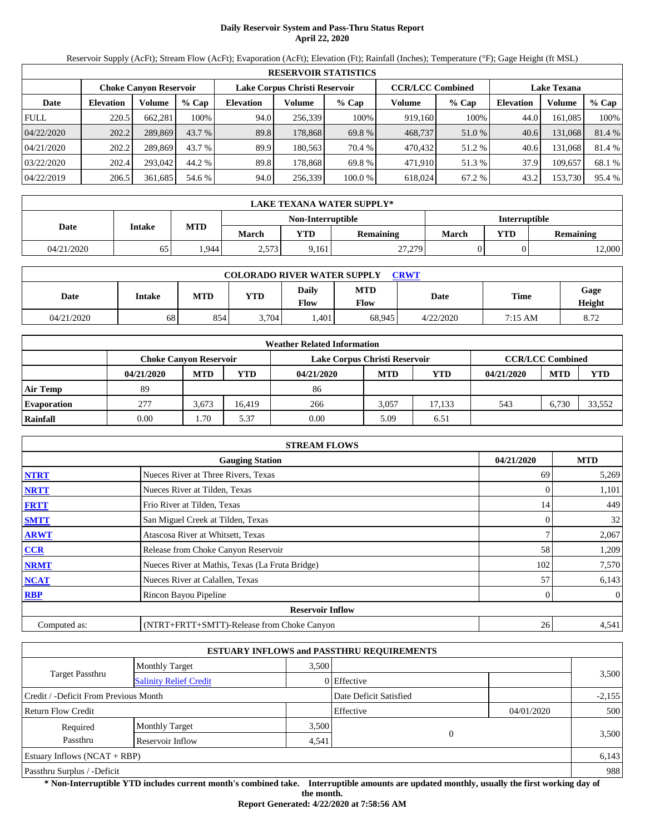# **Daily Reservoir System and Pass-Thru Status Report April 22, 2020**

Reservoir Supply (AcFt); Stream Flow (AcFt); Evaporation (AcFt); Elevation (Ft); Rainfall (Inches); Temperature (°F); Gage Height (ft MSL)

|             | <b>RESERVOIR STATISTICS</b> |                               |         |                  |                               |         |                         |         |                    |         |        |  |
|-------------|-----------------------------|-------------------------------|---------|------------------|-------------------------------|---------|-------------------------|---------|--------------------|---------|--------|--|
|             |                             | <b>Choke Canvon Reservoir</b> |         |                  | Lake Corpus Christi Reservoir |         | <b>CCR/LCC Combined</b> |         | <b>Lake Texana</b> |         |        |  |
| Date        | <b>Elevation</b>            | Volume                        | $%$ Cap | <b>Elevation</b> | Volume                        | $%$ Cap | Volume                  | $%$ Cap | <b>Elevation</b>   | Volume  | % Cap  |  |
| <b>FULL</b> | 220.5                       | 662,281                       | 100%    | 94.0             | 256,339                       | 100%    | 919,160                 | 100%    | 44.0               | 161.085 | 100%   |  |
| 04/22/2020  | 202.2                       | 289,869                       | 43.7 %  | 89.8             | 178,868                       | 69.8 %  | 468,737                 | 51.0 %  | 40.6               | 131,068 | 81.4 % |  |
| 04/21/2020  | 202.2                       | 289.869                       | 43.7 %  | 89.9             | 180.563                       | 70.4 %  | 470,432                 | 51.2 %  | 40.6               | 131.068 | 81.4 % |  |
| 03/22/2020  | 202.4                       | 293,042                       | 44.2 %  | 89.8             | 178.868                       | 69.8 %  | 471.910                 | 51.3 %  | 37.9               | 109.657 | 68.1 % |  |
| 04/22/2019  | 206.5                       | 361,685                       | 54.6 %  | 94.0             | 256,339                       | 100.0 % | 618,024                 | 67.2 %  | 43.2               | 153,730 | 95.4 % |  |

|            | LAKE TEXANA WATER SUPPLY* |       |       |                   |           |               |            |                  |  |  |  |
|------------|---------------------------|-------|-------|-------------------|-----------|---------------|------------|------------------|--|--|--|
|            | Intake                    | MTD   |       | Non-Interruptible |           | Interruptible |            |                  |  |  |  |
| Date       |                           |       | March | <b>VTD</b>        | Remaining | March         | <b>YTD</b> | <b>Remaining</b> |  |  |  |
| 04/21/2020 | 65                        | 1.944 | 2,573 | 9,161             | 27,279    |               |            | 2,000            |  |  |  |

| <b>COLORADO RIVER WATER SUPPLY</b><br><b>CRWT</b> |        |            |            |                             |                    |           |             |                |  |  |  |
|---------------------------------------------------|--------|------------|------------|-----------------------------|--------------------|-----------|-------------|----------------|--|--|--|
| Date                                              | Intake | <b>MTD</b> | <b>YTD</b> | <b>Daily</b><br><b>Flow</b> | <b>MTD</b><br>Flow | Date      | <b>Time</b> | Gage<br>Height |  |  |  |
| 04/21/2020                                        | 68     | 854        | 3.704      | .401                        | 68.945             | 4/22/2020 | 7:15 AM     | 8.72           |  |  |  |

|                    |            |                               |            | <b>Weather Related Information</b> |            |            |            |                         |            |
|--------------------|------------|-------------------------------|------------|------------------------------------|------------|------------|------------|-------------------------|------------|
|                    |            | <b>Choke Canvon Reservoir</b> |            | Lake Corpus Christi Reservoir      |            |            |            | <b>CCR/LCC Combined</b> |            |
|                    | 04/21/2020 | <b>MTD</b>                    | <b>YTD</b> | 04/21/2020                         | <b>MTD</b> | <b>YTD</b> | 04/21/2020 | <b>MTD</b>              | <b>YTD</b> |
| <b>Air Temp</b>    | 89         |                               |            | 86                                 |            |            |            |                         |            |
| <b>Evaporation</b> | 277        | 3.673                         | 16.419     | 266                                | 3.057      | 17.133     | 543        | 6.730                   | 33.552     |
| Rainfall           | 0.00       | 1.70                          | 5.37       | 0.00                               | 5.09       | 6.51       |            |                         |            |

|              | <b>STREAM FLOWS</b>                             |     |                |  |  |  |  |  |
|--------------|-------------------------------------------------|-----|----------------|--|--|--|--|--|
|              | <b>Gauging Station</b>                          |     |                |  |  |  |  |  |
| <b>NTRT</b>  | Nueces River at Three Rivers, Texas             | 69  | 5,269          |  |  |  |  |  |
| <b>NRTT</b>  | Nueces River at Tilden, Texas                   |     | 1,101          |  |  |  |  |  |
| <b>FRTT</b>  | Frio River at Tilden, Texas                     | 14  | 449            |  |  |  |  |  |
| <b>SMTT</b>  | San Miguel Creek at Tilden, Texas               |     | 32             |  |  |  |  |  |
| <b>ARWT</b>  | Atascosa River at Whitsett, Texas               |     | 2,067          |  |  |  |  |  |
| <b>CCR</b>   | Release from Choke Canyon Reservoir             | 58  | 1,209          |  |  |  |  |  |
| <b>NRMT</b>  | Nueces River at Mathis, Texas (La Fruta Bridge) | 102 | 7,570          |  |  |  |  |  |
| <b>NCAT</b>  | Nueces River at Calallen, Texas                 | 57  | 6,143          |  |  |  |  |  |
| <b>RBP</b>   | Rincon Bayou Pipeline                           |     | $\overline{0}$ |  |  |  |  |  |
|              | <b>Reservoir Inflow</b>                         |     |                |  |  |  |  |  |
| Computed as: | (NTRT+FRTT+SMTT)-Release from Choke Canyon      | 26  | 4,541          |  |  |  |  |  |

|                                                  |                       |       | <b>ESTUARY INFLOWS and PASSTHRU REQUIREMENTS</b> |            |          |
|--------------------------------------------------|-----------------------|-------|--------------------------------------------------|------------|----------|
|                                                  | <b>Monthly Target</b> | 3.500 |                                                  |            |          |
| Target Passthru<br><b>Salinity Relief Credit</b> |                       |       | 0 Effective                                      |            | 3,500    |
| Credit / -Deficit From Previous Month            |                       |       | Date Deficit Satisfied                           |            | $-2,155$ |
| <b>Return Flow Credit</b>                        |                       |       | Effective                                        | 04/01/2020 | 500      |
| Required                                         | <b>Monthly Target</b> | 3,500 |                                                  |            |          |
| Passthru                                         | Reservoir Inflow      | 4,541 | 0                                                |            | 3,500    |
| Estuary Inflows $(NCAT + RBP)$                   |                       |       |                                                  |            | 6,143    |
| Passthru Surplus / -Deficit                      |                       |       |                                                  |            | 988      |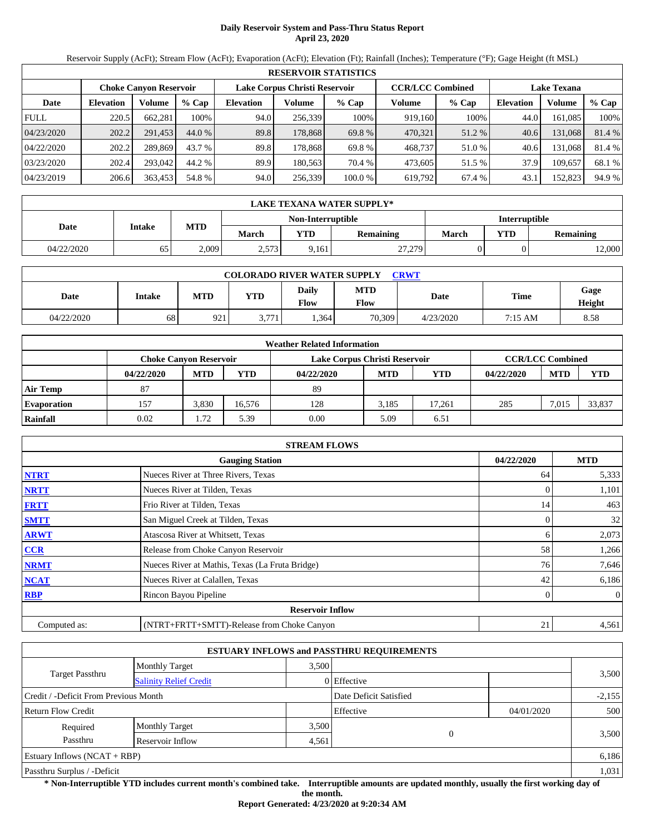# **Daily Reservoir System and Pass-Thru Status Report April 23, 2020**

Reservoir Supply (AcFt); Stream Flow (AcFt); Evaporation (AcFt); Elevation (Ft); Rainfall (Inches); Temperature (°F); Gage Height (ft MSL)

|             | <b>RESERVOIR STATISTICS</b> |                               |         |                  |                               |         |                         |         |                    |         |        |
|-------------|-----------------------------|-------------------------------|---------|------------------|-------------------------------|---------|-------------------------|---------|--------------------|---------|--------|
|             |                             | <b>Choke Canvon Reservoir</b> |         |                  | Lake Corpus Christi Reservoir |         | <b>CCR/LCC Combined</b> |         | <b>Lake Texana</b> |         |        |
| Date        | <b>Elevation</b>            | Volume                        | $%$ Cap | <b>Elevation</b> | Volume                        | % Cap   | Volume                  | $%$ Cap | <b>Elevation</b>   | Volume  | % Cap  |
| <b>FULL</b> | 220.5                       | 662,281                       | 100%    | 94.0             | 256.339                       | 100%    | 919.160                 | 100%    | 44.0               | 161.085 | 100%   |
| 04/23/2020  | 202.2                       | 291.453                       | 44.0 %  | 89.8             | 178,868                       | 69.8 %  | 470,321                 | 51.2 %  | 40.6               | 131,068 | 81.4 % |
| 04/22/2020  | 202.2                       | 289.869                       | 43.7 %  | 89.8             | 178.868                       | 69.8 %  | 468,737                 | 51.0 %  | 40.6               | 131.068 | 81.4 % |
| 03/23/2020  | 202.4                       | 293,042                       | 44.2 %  | 89.9             | 180.563                       | 70.4 %  | 473.605                 | 51.5 %  | 37.9               | 109.657 | 68.1 % |
| 04/23/2019  | 206.6                       | 363,453                       | 54.8 %  | 94.0             | 256,339                       | 100.0 % | 619,792                 | 67.4 %  | 43.1               | 152,823 | 94.9 % |

|            | LAKE TEXANA WATER SUPPLY* |       |       |                   |           |               |            |                  |  |
|------------|---------------------------|-------|-------|-------------------|-----------|---------------|------------|------------------|--|
|            | Intake                    |       |       | Non-Interruptible |           | Interruptible |            |                  |  |
| Date       |                           | MTD   | March | <b>VTD</b>        | Remaining | March         | <b>YTD</b> | <b>Remaining</b> |  |
| 04/22/2020 | 65                        | 2,009 | 2,573 | 9,161             | 27,279    |               |            | 2,000            |  |

| <b>COLORADO RIVER WATER SUPPLY</b><br><b>CRWT</b> |        |            |            |                             |                    |           |             |                |  |  |
|---------------------------------------------------|--------|------------|------------|-----------------------------|--------------------|-----------|-------------|----------------|--|--|
| Date                                              | Intake | <b>MTD</b> | <b>YTD</b> | <b>Daily</b><br><b>Flow</b> | <b>MTD</b><br>Flow | Date      | <b>Time</b> | Gage<br>Height |  |  |
| 04/22/2020                                        | 68     | 921        | 3,771      | .364                        | 70,309             | 4/23/2020 | 7:15 AM     | 8.58           |  |  |

|                    |                               |            |            | <b>Weather Related Information</b> |            |        |            |                         |            |
|--------------------|-------------------------------|------------|------------|------------------------------------|------------|--------|------------|-------------------------|------------|
|                    | <b>Choke Canyon Reservoir</b> |            |            | Lake Corpus Christi Reservoir      |            |        |            | <b>CCR/LCC Combined</b> |            |
|                    | 04/22/2020                    | <b>MTD</b> | <b>YTD</b> | 04/22/2020                         | <b>MTD</b> | YTD    | 04/22/2020 | <b>MTD</b>              | <b>YTD</b> |
| <b>Air Temp</b>    | 87                            |            |            | 89                                 |            |        |            |                         |            |
| <b>Evaporation</b> | 157                           | 3.830      | 16.576     | 128                                | 3.185      | 17.261 | 285        | 7.015                   | 33,837     |
| Rainfall           | 0.02                          | 1.72       | 5.39       | 0.00                               | 5.09       | 6.51   |            |                         |            |

|              | <b>STREAM FLOWS</b>                             |                |              |
|--------------|-------------------------------------------------|----------------|--------------|
|              | <b>Gauging Station</b>                          | 04/22/2020     | <b>MTD</b>   |
| <b>NTRT</b>  | Nueces River at Three Rivers, Texas             | 64             | 5,333        |
| <b>NRTT</b>  | Nueces River at Tilden, Texas                   |                | 1,101        |
| <b>FRTT</b>  | Frio River at Tilden, Texas                     | 14             | 463          |
| <b>SMTT</b>  | San Miguel Creek at Tilden, Texas               | $\overline{0}$ | 32           |
| <b>ARWT</b>  | Atascosa River at Whitsett, Texas               | 6              | 2,073        |
| CCR          | Release from Choke Canyon Reservoir             | 58             | 1,266        |
| <b>NRMT</b>  | Nueces River at Mathis, Texas (La Fruta Bridge) | 76             | 7,646        |
| <b>NCAT</b>  | Nueces River at Calallen, Texas                 | 42             | 6,186        |
| <b>RBP</b>   | Rincon Bayou Pipeline                           | $\mathbf{0}$   | $\mathbf{0}$ |
|              | <b>Reservoir Inflow</b>                         |                |              |
| Computed as: | (NTRT+FRTT+SMTT)-Release from Choke Canyon      | 21             | 4,561        |

|                                       |                               |       | <b>ESTUARY INFLOWS and PASSTHRU REQUIREMENTS</b> |            |          |
|---------------------------------------|-------------------------------|-------|--------------------------------------------------|------------|----------|
|                                       | <b>Monthly Target</b>         | 3,500 |                                                  |            |          |
| Target Passthru                       | <b>Salinity Relief Credit</b> |       | 0 Effective                                      |            | 3,500    |
| Credit / -Deficit From Previous Month |                               |       | Date Deficit Satisfied                           |            | $-2,155$ |
| <b>Return Flow Credit</b>             |                               |       | Effective                                        | 04/01/2020 | 500      |
| Required                              | <b>Monthly Target</b>         | 3,500 |                                                  |            |          |
| Passthru<br>Reservoir Inflow<br>4,561 |                               |       | $\overline{0}$                                   |            | 3,500    |
| Estuary Inflows $(NCAT + RBP)$        |                               |       |                                                  |            | 6,186    |
| Passthru Surplus / -Deficit           |                               |       |                                                  |            | 1,031    |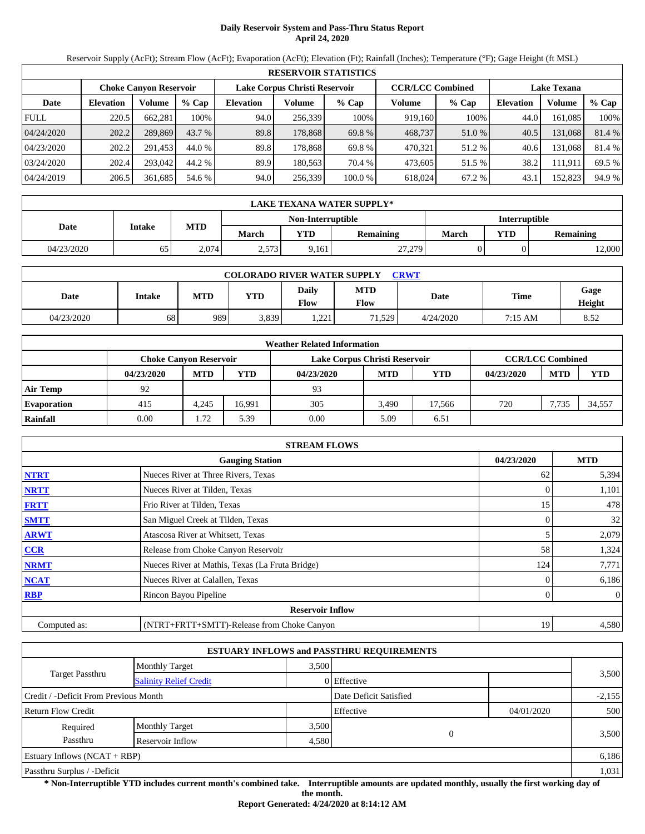# **Daily Reservoir System and Pass-Thru Status Report April 24, 2020**

Reservoir Supply (AcFt); Stream Flow (AcFt); Evaporation (AcFt); Elevation (Ft); Rainfall (Inches); Temperature (°F); Gage Height (ft MSL)

|             | <b>RESERVOIR STATISTICS</b> |                               |         |                  |                               |         |                         |         |                    |         |        |
|-------------|-----------------------------|-------------------------------|---------|------------------|-------------------------------|---------|-------------------------|---------|--------------------|---------|--------|
|             |                             | <b>Choke Canyon Reservoir</b> |         |                  | Lake Corpus Christi Reservoir |         | <b>CCR/LCC Combined</b> |         | <b>Lake Texana</b> |         |        |
| Date        | <b>Elevation</b>            | Volume                        | $%$ Cap | <b>Elevation</b> | Volume                        | $%$ Cap | Volume                  | $%$ Cap | <b>Elevation</b>   | Volume  | % Cap  |
| <b>FULL</b> | 220.5                       | 662,281                       | 100%    | 94.0             | 256,339                       | 100%    | 919,160                 | 100%    | 44.0               | 161,085 | 100%   |
| 04/24/2020  | 202.2                       | 289,869                       | 43.7 %  | 89.8             | 178,868                       | 69.8 %  | 468,737                 | 51.0 %  | 40.5               | 131,068 | 81.4 % |
| 04/23/2020  | 202.2                       | 291.453                       | 44.0 %  | 89.8             | 178.868                       | 69.8 %  | 470,321                 | 51.2 %  | 40.6               | 131,068 | 81.4 % |
| 03/24/2020  | 202.4                       | 293,042                       | 44.2 %  | 89.9             | 180.563                       | 70.4 %  | 473.605                 | 51.5 %  | 38.2               | 111,911 | 69.5 % |
| 04/24/2019  | 206.5                       | 361,685                       | 54.6 %  | 94.0             | 256,339                       | 100.0%  | 618,024                 | 67.2 %  | 43.1               | 152,823 | 94.9 % |

|            | LAKE TEXANA WATER SUPPLY* |       |       |                   |           |               |            |                  |  |
|------------|---------------------------|-------|-------|-------------------|-----------|---------------|------------|------------------|--|
|            | Intake                    |       |       | Non-Interruptible |           | Interruptible |            |                  |  |
| Date       |                           | MTD   | March | <b>VTD</b>        | Remaining | March         | <b>YTD</b> | <b>Remaining</b> |  |
| 04/23/2020 | 65                        | 2,074 | 2,573 | 9,161             | 27,279    |               |            | 2,000            |  |

| <b>COLORADO RIVER WATER SUPPLY</b><br><b>CRWT</b> |        |            |            |                             |                    |           |         |                |  |  |
|---------------------------------------------------|--------|------------|------------|-----------------------------|--------------------|-----------|---------|----------------|--|--|
| Date                                              | Intake | <b>MTD</b> | <b>YTD</b> | <b>Daily</b><br><b>Flow</b> | <b>MTD</b><br>Flow | Date      | Time    | Gage<br>Height |  |  |
| 04/23/2020                                        | 68     | 989        | 3,839      | 221.<br>.                   | 71,529             | 4/24/2020 | 7:15 AM | 8.52           |  |  |

|                    |                               |            |            | <b>Weather Related Information</b> |            |            |            |                         |            |
|--------------------|-------------------------------|------------|------------|------------------------------------|------------|------------|------------|-------------------------|------------|
|                    | <b>Choke Canvon Reservoir</b> |            |            | Lake Corpus Christi Reservoir      |            |            |            | <b>CCR/LCC Combined</b> |            |
|                    | 04/23/2020                    | <b>MTD</b> | <b>YTD</b> | 04/23/2020                         | <b>MTD</b> | <b>YTD</b> | 04/23/2020 | <b>MTD</b>              | <b>YTD</b> |
| <b>Air Temp</b>    | 92                            |            |            | 93                                 |            |            |            |                         |            |
| <b>Evaporation</b> | 415                           | 4.245      | 16.991     | 305                                | 3.490      | 17.566     | 720        | 7.735                   | 34,557     |
| Rainfall           | 0.00                          | 1.72       | 5.39       | 0.00                               | 5.09       | 6.51       |            |                         |            |

|              | <b>STREAM FLOWS</b>                             |            |                |
|--------------|-------------------------------------------------|------------|----------------|
|              | <b>Gauging Station</b>                          | 04/23/2020 | <b>MTD</b>     |
| <b>NTRT</b>  | Nueces River at Three Rivers, Texas             | 62         | 5,394          |
| <b>NRTT</b>  | Nueces River at Tilden, Texas                   |            | 1,101          |
| <b>FRTT</b>  | Frio River at Tilden, Texas                     | 15         | 478            |
| <b>SMTT</b>  | San Miguel Creek at Tilden, Texas               |            | 32             |
| <b>ARWT</b>  | Atascosa River at Whitsett, Texas               |            | 2,079          |
| <b>CCR</b>   | Release from Choke Canyon Reservoir             | 58         | 1,324          |
| <b>NRMT</b>  | Nueces River at Mathis, Texas (La Fruta Bridge) | 124        | 7,771          |
| <b>NCAT</b>  | Nueces River at Calallen, Texas                 |            | 6,186          |
| <b>RBP</b>   | Rincon Bayou Pipeline                           |            | $\overline{0}$ |
|              | <b>Reservoir Inflow</b>                         |            |                |
| Computed as: | (NTRT+FRTT+SMTT)-Release from Choke Canyon      | 19         | 4,580          |

|                                       |                               |       | <b>ESTUARY INFLOWS and PASSTHRU REQUIREMENTS</b> |            |          |
|---------------------------------------|-------------------------------|-------|--------------------------------------------------|------------|----------|
|                                       | <b>Monthly Target</b>         | 3.500 |                                                  |            |          |
| Target Passthru                       | <b>Salinity Relief Credit</b> |       | 0 Effective                                      |            | 3,500    |
| Credit / -Deficit From Previous Month |                               |       | Date Deficit Satisfied                           |            | $-2,155$ |
| <b>Return Flow Credit</b>             |                               |       | Effective                                        | 04/01/2020 | 500      |
| Required                              | <b>Monthly Target</b>         | 3,500 |                                                  |            |          |
| Passthru                              | Reservoir Inflow              | 4,580 |                                                  | $\theta$   | 3,500    |
| Estuary Inflows $(NCAT + RBP)$        |                               |       |                                                  |            | 6,186    |
| Passthru Surplus / -Deficit           |                               |       |                                                  |            | 1,031    |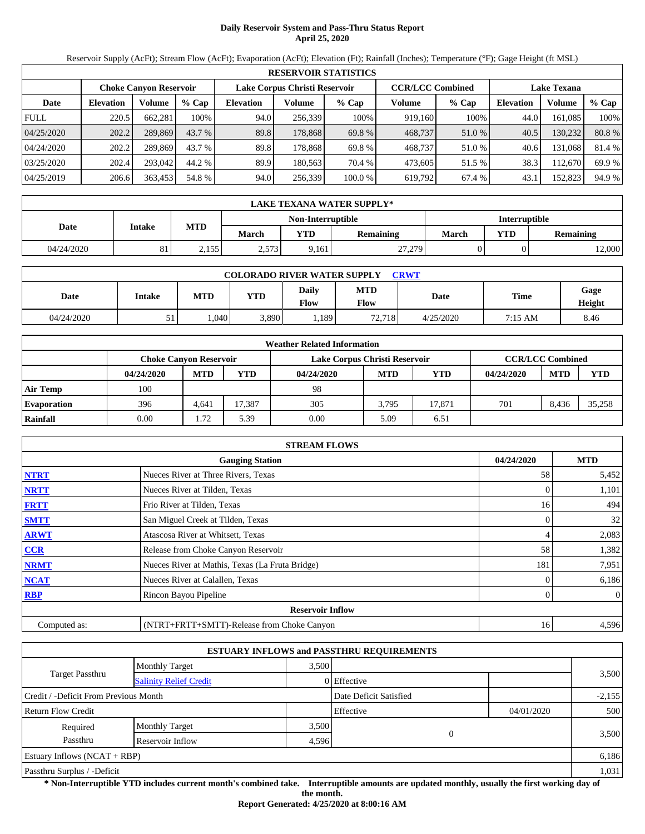# **Daily Reservoir System and Pass-Thru Status Report April 25, 2020**

Reservoir Supply (AcFt); Stream Flow (AcFt); Evaporation (AcFt); Elevation (Ft); Rainfall (Inches); Temperature (°F); Gage Height (ft MSL)

|             | <b>RESERVOIR STATISTICS</b> |                               |         |                  |                               |         |                         |         |                    |         |        |  |  |
|-------------|-----------------------------|-------------------------------|---------|------------------|-------------------------------|---------|-------------------------|---------|--------------------|---------|--------|--|--|
|             |                             | <b>Choke Canvon Reservoir</b> |         |                  | Lake Corpus Christi Reservoir |         | <b>CCR/LCC Combined</b> |         | <b>Lake Texana</b> |         |        |  |  |
| Date        | <b>Elevation</b>            | <b>Volume</b>                 | $%$ Cap | <b>Elevation</b> | Volume                        | $%$ Cap | Volume                  | $%$ Cap | <b>Elevation</b>   | Volume  | % Cap  |  |  |
| <b>FULL</b> | 220.5                       | 662.281                       | 100%    | 94.0             | 256,339                       | 100%    | 919,160                 | 100%    | 44.0               | 161.085 | 100%   |  |  |
| 04/25/2020  | 202.2                       | 289,869                       | 43.7 %  | 89.8             | 178,868                       | 69.8 %  | 468,737                 | 51.0 %  | 40.5               | 130,232 | 80.8%  |  |  |
| 04/24/2020  | 202.2                       | 289.869                       | 43.7 %  | 89.8             | 178.868                       | 69.8 %  | 468,737                 | 51.0 %  | 40.6               | 131.068 | 81.4 % |  |  |
| 03/25/2020  | 202.4                       | 293,042                       | 44.2 %  | 89.9             | 180.563                       | 70.4 %  | 473.605                 | 51.5 %  | 38.3               | 112.670 | 69.9%  |  |  |
| 04/25/2019  | 206.6                       | 363,453                       | 54.8 %  | 94.0             | 256,339                       | 100.0 % | 619,792                 | 67.4 %  | 43.1               | 152,823 | 94.9 % |  |  |

|            | LAKE TEXANA WATER SUPPLY* |            |       |                   |                  |                      |            |                  |  |  |  |
|------------|---------------------------|------------|-------|-------------------|------------------|----------------------|------------|------------------|--|--|--|
|            |                           |            |       | Non-Interruptible |                  | <b>Interruptible</b> |            |                  |  |  |  |
| Date       | Intake                    | <b>MTD</b> | March | $\mathbf{v}$ TD   | <b>Remaining</b> | March                | <b>YTD</b> | <b>Remaining</b> |  |  |  |
| 04/24/2020 | ΟI                        | 2,155      | 2,573 | 9,161             | 27,279           |                      |            | 12,000           |  |  |  |

| <b>COLORADO RIVER WATER SUPPLY</b><br><b>CRWT</b> |          |            |            |                             |                    |           |         |                |  |  |  |
|---------------------------------------------------|----------|------------|------------|-----------------------------|--------------------|-----------|---------|----------------|--|--|--|
| Date                                              | Intake   | <b>MTD</b> | <b>YTD</b> | <b>Daily</b><br><b>Flow</b> | <b>MTD</b><br>Flow | Date      | Time    | Gage<br>Height |  |  |  |
| 04/24/2020                                        | 51<br>JІ | .040       | 3,890      | .189                        | 72,718             | 4/25/2020 | 7:15 AM | 8.46           |  |  |  |

|                    | <b>Weather Related Information</b> |            |            |                               |            |        |            |                         |            |  |  |
|--------------------|------------------------------------|------------|------------|-------------------------------|------------|--------|------------|-------------------------|------------|--|--|
|                    | <b>Choke Canyon Reservoir</b>      |            |            | Lake Corpus Christi Reservoir |            |        |            | <b>CCR/LCC Combined</b> |            |  |  |
|                    | 04/24/2020                         | <b>MTD</b> | <b>YTD</b> | 04/24/2020                    | <b>MTD</b> | YTD    | 04/24/2020 | <b>MTD</b>              | <b>YTD</b> |  |  |
| <b>Air Temp</b>    | 100                                |            |            | 98                            |            |        |            |                         |            |  |  |
| <b>Evaporation</b> | 396                                | 4.641      | 17.387     | 305                           | 3,795      | 17.871 | 701        | 8.436                   | 35,258     |  |  |
| Rainfall           | 0.00                               | 1.72       | 5.39       | 0.00                          | 5.09       | 6.51   |            |                         |            |  |  |

|              | <b>STREAM FLOWS</b>                             |              |              |
|--------------|-------------------------------------------------|--------------|--------------|
|              | <b>Gauging Station</b>                          | 04/24/2020   | <b>MTD</b>   |
| <b>NTRT</b>  | Nueces River at Three Rivers, Texas             | 58           | 5,452        |
| <b>NRTT</b>  | Nueces River at Tilden, Texas                   |              | 1,101        |
| <b>FRTT</b>  | Frio River at Tilden, Texas                     | 16           | 494          |
| <b>SMTT</b>  | San Miguel Creek at Tilden, Texas               | $\Omega$     | 32           |
| <b>ARWT</b>  | Atascosa River at Whitsett, Texas               | 4            | 2,083        |
| CCR          | Release from Choke Canyon Reservoir             | 58           | 1,382        |
| <b>NRMT</b>  | Nueces River at Mathis, Texas (La Fruta Bridge) | 181          | 7,951        |
| <b>NCAT</b>  | Nueces River at Calallen, Texas                 |              | 6,186        |
| <b>RBP</b>   | Rincon Bayou Pipeline                           | $\mathbf{0}$ | $\mathbf{0}$ |
|              | <b>Reservoir Inflow</b>                         |              |              |
| Computed as: | (NTRT+FRTT+SMTT)-Release from Choke Canyon      | 16           | 4,596        |

|                                                  |                       |       | <b>ESTUARY INFLOWS and PASSTHRU REQUIREMENTS</b> |            |          |
|--------------------------------------------------|-----------------------|-------|--------------------------------------------------|------------|----------|
|                                                  | <b>Monthly Target</b> | 3.500 |                                                  |            |          |
| Target Passthru<br><b>Salinity Relief Credit</b> |                       |       | 0 Effective                                      |            | 3,500    |
| Credit / -Deficit From Previous Month            |                       |       | Date Deficit Satisfied                           |            | $-2,155$ |
| <b>Return Flow Credit</b>                        |                       |       | Effective                                        | 04/01/2020 | 500      |
| Required                                         | <b>Monthly Target</b> | 3,500 |                                                  |            |          |
| Passthru                                         | Reservoir Inflow      | 4,596 |                                                  | $\theta$   | 3,500    |
| Estuary Inflows $(NCAT + RBP)$                   |                       |       |                                                  |            | 6,186    |
| Passthru Surplus / -Deficit                      |                       |       |                                                  |            | 1,031    |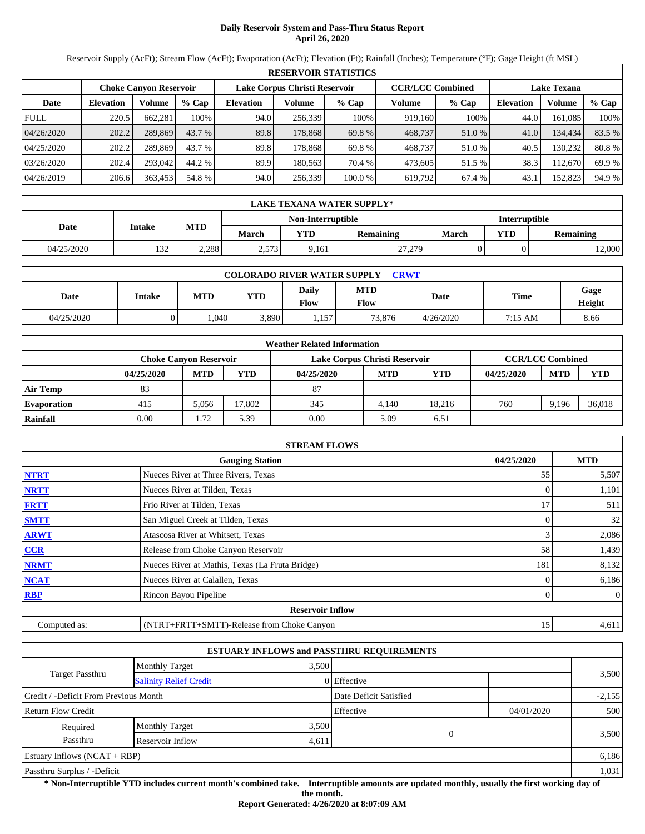# **Daily Reservoir System and Pass-Thru Status Report April 26, 2020**

Reservoir Supply (AcFt); Stream Flow (AcFt); Evaporation (AcFt); Elevation (Ft); Rainfall (Inches); Temperature (°F); Gage Height (ft MSL)

|             | <b>RESERVOIR STATISTICS</b> |                               |         |                               |         |         |                         |        |                    |         |        |  |
|-------------|-----------------------------|-------------------------------|---------|-------------------------------|---------|---------|-------------------------|--------|--------------------|---------|--------|--|
|             |                             | <b>Choke Canvon Reservoir</b> |         | Lake Corpus Christi Reservoir |         |         | <b>CCR/LCC Combined</b> |        | <b>Lake Texana</b> |         |        |  |
| Date        | <b>Elevation</b>            | Volume                        | $%$ Cap | <b>Elevation</b>              | Volume  | $%$ Cap | Volume                  | % Cap  | <b>Elevation</b>   | Volume  | % Cap  |  |
| <b>FULL</b> | 220.5                       | 662,281                       | 100%    | 94.0                          | 256.339 | 100%    | 919,160                 | 100%   | 44.0               | 161,085 | 100%   |  |
| 04/26/2020  | 202.2                       | 289,869                       | 43.7 %  | 89.8                          | 178,868 | 69.8 %  | 468,737                 | 51.0 % | 41.0               | 134,434 | 83.5 % |  |
| 04/25/2020  | 202.2                       | 289.869                       | 43.7 %  | 89.8                          | 178.868 | 69.8 %  | 468,737                 | 51.0 % | 40.5               | 130.232 | 80.8%  |  |
| 03/26/2020  | 202.4                       | 293,042                       | 44.2 %  | 89.9                          | 180.563 | 70.4 %  | 473.605                 | 51.5 % | 38.3               | 12.670  | 69.9 % |  |
| 04/26/2019  | 206.6                       | 363,453                       | 54.8 %  | 94.0                          | 256,339 | 100.0%  | 619,792                 | 67.4 % | 43.1               | 152,823 | 94.9 % |  |

|            | LAKE TEXANA WATER SUPPLY* |       |       |                   |           |               |            |                  |  |  |  |
|------------|---------------------------|-------|-------|-------------------|-----------|---------------|------------|------------------|--|--|--|
|            | Intake                    |       |       | Non-Interruptible |           | Interruptible |            |                  |  |  |  |
| Date       |                           | MTD   | March | <b>VTD</b>        | Remaining | March         | <b>YTD</b> | <b>Remaining</b> |  |  |  |
| 04/25/2020 | 132<br>1 J 4              | 2,288 | 2,573 | 9,161             | 27,279    |               |            | 2,000            |  |  |  |

| <b>COLORADO RIVER WATER SUPPLY</b><br><b>CRWT</b> |        |            |            |                      |                    |           |         |                |  |  |  |
|---------------------------------------------------|--------|------------|------------|----------------------|--------------------|-----------|---------|----------------|--|--|--|
| Date                                              | Intake | <b>MTD</b> | <b>YTD</b> | <b>Daily</b><br>Flow | <b>MTD</b><br>Flow | Date      | Time    | Gage<br>Height |  |  |  |
| 04/25/2020                                        |        | .040       | 3,890      | .157                 | 73.876             | 4/26/2020 | 7:15 AM | 8.66           |  |  |  |

|                    |                               |            |            | <b>Weather Related Information</b> |            |        |            |                         |            |
|--------------------|-------------------------------|------------|------------|------------------------------------|------------|--------|------------|-------------------------|------------|
|                    | <b>Choke Canvon Reservoir</b> |            |            | Lake Corpus Christi Reservoir      |            |        |            | <b>CCR/LCC Combined</b> |            |
|                    | 04/25/2020                    | <b>MTD</b> | <b>YTD</b> | 04/25/2020                         | <b>MTD</b> | YTD    | 04/25/2020 | <b>MTD</b>              | <b>YTD</b> |
| <b>Air Temp</b>    | 83                            |            |            | 87                                 |            |        |            |                         |            |
| <b>Evaporation</b> | 415                           | 5,056      | 17.802     | 345                                | 4.140      | 18.216 | 760        | 9.196                   | 36,018     |
| Rainfall           | 0.00                          | 1.72       | 5.39       | 0.00                               | 5.09       | 6.51   |            |                         |            |

|              | <b>STREAM FLOWS</b>                             |            |                |
|--------------|-------------------------------------------------|------------|----------------|
|              | <b>Gauging Station</b>                          | 04/25/2020 | <b>MTD</b>     |
| <b>NTRT</b>  | Nueces River at Three Rivers, Texas             | 55         | 5,507          |
| <b>NRTT</b>  | Nueces River at Tilden, Texas                   |            | 1,101          |
| <b>FRTT</b>  | Frio River at Tilden, Texas                     | 17         | 511            |
| <b>SMTT</b>  | San Miguel Creek at Tilden, Texas               | 0          | 32             |
| <b>ARWT</b>  | Atascosa River at Whitsett, Texas               | 3          | 2,086          |
| <b>CCR</b>   | Release from Choke Canyon Reservoir             | 58         | 1,439          |
| <b>NRMT</b>  | Nueces River at Mathis, Texas (La Fruta Bridge) | 181        | 8,132          |
| <b>NCAT</b>  | Nueces River at Calallen, Texas                 |            | 6,186          |
| <b>RBP</b>   | Rincon Bayou Pipeline                           | 0          | $\overline{0}$ |
|              | <b>Reservoir Inflow</b>                         |            |                |
| Computed as: | (NTRT+FRTT+SMTT)-Release from Choke Canyon      | 15         | 4,611          |

|                                                  |                       |       | <b>ESTUARY INFLOWS and PASSTHRU REQUIREMENTS</b> |            |          |
|--------------------------------------------------|-----------------------|-------|--------------------------------------------------|------------|----------|
|                                                  | <b>Monthly Target</b> | 3.500 |                                                  |            |          |
| Target Passthru<br><b>Salinity Relief Credit</b> |                       |       | 0 Effective                                      |            | 3,500    |
| Credit / -Deficit From Previous Month            |                       |       | Date Deficit Satisfied                           |            | $-2,155$ |
| <b>Return Flow Credit</b>                        |                       |       | Effective                                        | 04/01/2020 | 500      |
| Required                                         | <b>Monthly Target</b> | 3,500 |                                                  |            |          |
| Passthru                                         | Reservoir Inflow      | 4,611 | 0                                                |            | 3,500    |
| Estuary Inflows $(NCAT + RBP)$                   |                       |       |                                                  |            | 6,186    |
| Passthru Surplus / -Deficit                      |                       |       |                                                  |            | 1,031    |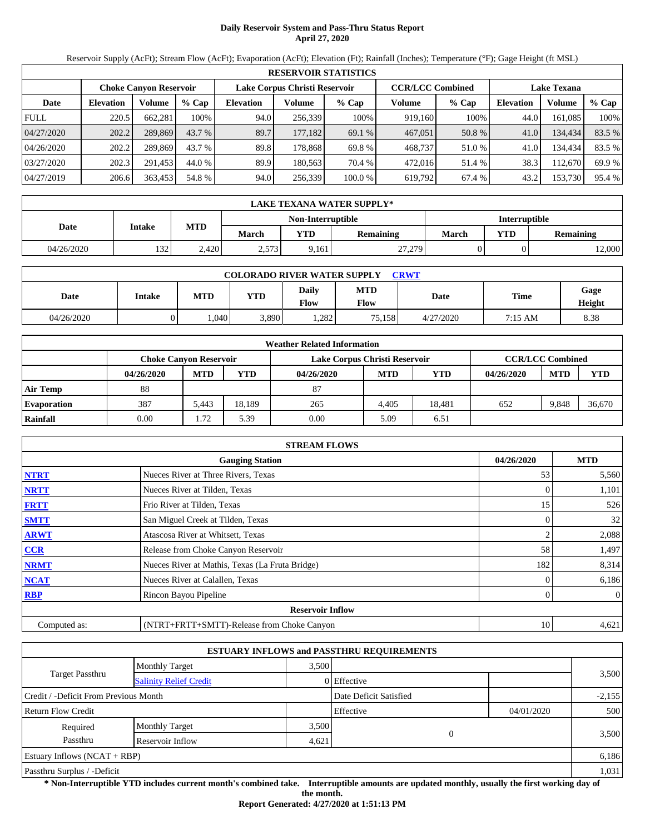# **Daily Reservoir System and Pass-Thru Status Report April 27, 2020**

Reservoir Supply (AcFt); Stream Flow (AcFt); Evaporation (AcFt); Elevation (Ft); Rainfall (Inches); Temperature (°F); Gage Height (ft MSL)

|             | <b>RESERVOIR STATISTICS</b> |                               |         |                               |         |         |                         |        |                    |         |        |  |  |
|-------------|-----------------------------|-------------------------------|---------|-------------------------------|---------|---------|-------------------------|--------|--------------------|---------|--------|--|--|
|             |                             | <b>Choke Canvon Reservoir</b> |         | Lake Corpus Christi Reservoir |         |         | <b>CCR/LCC Combined</b> |        | <b>Lake Texana</b> |         |        |  |  |
| Date        | <b>Elevation</b>            | Volume                        | $%$ Cap | <b>Elevation</b>              | Volume  | $%$ Cap | Volume                  | % Cap  | <b>Elevation</b>   | Volume  | % Cap  |  |  |
| <b>FULL</b> | 220.5                       | 662,281                       | 100%    | 94.0                          | 256,339 | 100%    | 919,160                 | 100%   | 44.0               | 161,085 | 100%   |  |  |
| 04/27/2020  | 202.2                       | 289,869                       | 43.7 %  | 89.7                          | 177,182 | 69.1 %  | 467,051                 | 50.8 % | 41.0               | 134.434 | 83.5 % |  |  |
| 04/26/2020  | 202.2                       | 289.869                       | 43.7 %  | 89.8                          | 178.868 | 69.8 %  | 468,737                 | 51.0 % | 41.0               | 134.434 | 83.5 % |  |  |
| 03/27/2020  | 202.3                       | 291.453                       | 44.0 %  | 89.9                          | 180.563 | 70.4 %  | 472,016                 | 51.4 % | 38.3               | 12.670  | 69.9 % |  |  |
| 04/27/2019  | 206.6                       | 363,453                       | 54.8 %  | 94.0                          | 256,339 | 100.0%  | 619,792                 | 67.4 % | 43.2               | 153,730 | 95.4 % |  |  |

|            | LAKE TEXANA WATER SUPPLY* |       |       |                   |           |                      |            |           |  |  |
|------------|---------------------------|-------|-------|-------------------|-----------|----------------------|------------|-----------|--|--|
|            | Intake                    |       |       | Non-Interruptible |           | <b>Interruptible</b> |            |           |  |  |
| Date       |                           | MTD   | March | <b>VTD</b>        | Remaining | March                | <b>YTD</b> | Remaining |  |  |
| 04/26/2020 | 122<br>1 J 4              | 2,420 | 2,573 | 9,161             | 27,279    |                      |            | 12,000    |  |  |

| <b>COLORADO RIVER WATER SUPPLY</b><br><b>CRWT</b> |        |            |       |                      |             |             |             |                |  |  |
|---------------------------------------------------|--------|------------|-------|----------------------|-------------|-------------|-------------|----------------|--|--|
| Date                                              | Intake | <b>MTD</b> | YTD   | <b>Daily</b><br>Flow | MTD<br>Flow | <b>Date</b> | <b>Time</b> | Gage<br>Height |  |  |
| 04/26/2020                                        |        | .040       | 3,890 | .282                 | 75.158      | 4/27/2020   | 7:15 AM     | 8.38           |  |  |

| <b>Weather Related Information</b> |            |                                                                                           |            |            |            |            |            |            |            |  |  |
|------------------------------------|------------|-------------------------------------------------------------------------------------------|------------|------------|------------|------------|------------|------------|------------|--|--|
|                                    |            | <b>CCR/LCC Combined</b><br>Lake Corpus Christi Reservoir<br><b>Choke Canyon Reservoir</b> |            |            |            |            |            |            |            |  |  |
|                                    | 04/26/2020 | <b>MTD</b>                                                                                | <b>YTD</b> | 04/26/2020 | <b>MTD</b> | <b>YTD</b> | 04/26/2020 | <b>MTD</b> | <b>YTD</b> |  |  |
| <b>Air Temp</b>                    | 88         |                                                                                           |            | 87         |            |            |            |            |            |  |  |
| <b>Evaporation</b>                 | 387        | 5.443                                                                                     | 18.189     | 265        | 4.405      | 18.481     | 652        | 9.848      | 36,670     |  |  |
| Rainfall                           | 0.00       | 1.72                                                                                      | 5.39       | 0.00       | 5.09       | 6.51       |            |            |            |  |  |

|              | <b>STREAM FLOWS</b>                             |            |                |
|--------------|-------------------------------------------------|------------|----------------|
|              | <b>Gauging Station</b>                          | 04/26/2020 | <b>MTD</b>     |
| <b>NTRT</b>  | Nueces River at Three Rivers, Texas             | 53         | 5,560          |
| <b>NRTT</b>  | Nueces River at Tilden, Texas                   |            | 1,101          |
| <b>FRTT</b>  | Frio River at Tilden, Texas                     | 15         | 526            |
| <b>SMTT</b>  | San Miguel Creek at Tilden, Texas               | $\Omega$   | 32             |
| <b>ARWT</b>  | Atascosa River at Whitsett, Texas               |            | 2,088          |
| <b>CCR</b>   | Release from Choke Canyon Reservoir             | 58         | 1,497          |
| <b>NRMT</b>  | Nueces River at Mathis, Texas (La Fruta Bridge) | 182        | 8,314          |
| <b>NCAT</b>  | Nueces River at Calallen, Texas                 |            | 6,186          |
| <b>RBP</b>   | Rincon Bayou Pipeline                           | 0          | $\overline{0}$ |
|              | <b>Reservoir Inflow</b>                         |            |                |
| Computed as: | (NTRT+FRTT+SMTT)-Release from Choke Canyon      | 10         | 4,621          |

|                                       |                               |       | <b>ESTUARY INFLOWS and PASSTHRU REQUIREMENTS</b> |            |          |  |
|---------------------------------------|-------------------------------|-------|--------------------------------------------------|------------|----------|--|
|                                       | <b>Monthly Target</b>         | 3.500 |                                                  |            | 3,500    |  |
| Target Passthru                       | <b>Salinity Relief Credit</b> |       | 0 Effective                                      |            |          |  |
| Credit / -Deficit From Previous Month |                               |       | Date Deficit Satisfied                           |            | $-2,155$ |  |
| <b>Return Flow Credit</b>             |                               |       | Effective                                        | 04/01/2020 | 500      |  |
| Required                              | <b>Monthly Target</b>         | 3,500 |                                                  |            |          |  |
| Passthru                              | Reservoir Inflow              | 4,621 |                                                  | $\theta$   | 3,500    |  |
| Estuary Inflows $(NCAT + RBP)$        |                               |       |                                                  |            | 6,186    |  |
| Passthru Surplus / -Deficit           |                               |       |                                                  |            | 1,031    |  |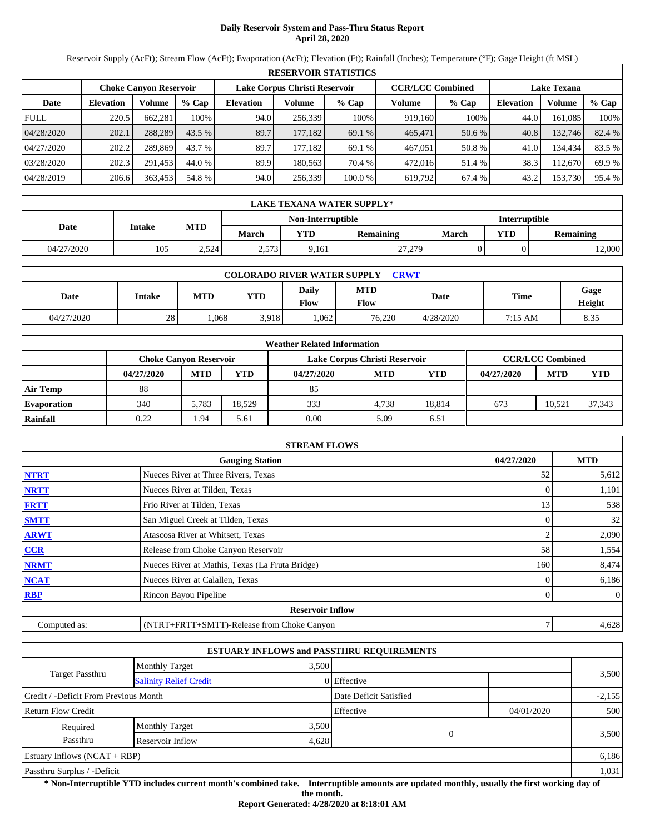# **Daily Reservoir System and Pass-Thru Status Report April 28, 2020**

Reservoir Supply (AcFt); Stream Flow (AcFt); Evaporation (AcFt); Elevation (Ft); Rainfall (Inches); Temperature (°F); Gage Height (ft MSL)

|             | <b>RESERVOIR STATISTICS</b> |                               |          |                  |                                                          |         |         |         |                  |                    |        |  |  |
|-------------|-----------------------------|-------------------------------|----------|------------------|----------------------------------------------------------|---------|---------|---------|------------------|--------------------|--------|--|--|
|             |                             | <b>Choke Canyon Reservoir</b> |          |                  | <b>CCR/LCC Combined</b><br>Lake Corpus Christi Reservoir |         |         |         |                  | <b>Lake Texana</b> |        |  |  |
| Date        | <b>Elevation</b>            | Volume                        | $%$ Cap  | <b>Elevation</b> | Volume                                                   | $%$ Cap | Volume  | $%$ Cap | <b>Elevation</b> | Volume             | % Cap  |  |  |
| <b>FULL</b> | 220.5                       | 662,281                       | 100%     | 94.0             | 256,339                                                  | 100%    | 919,160 | 100%    | 44.0             | 161.085            | 100%   |  |  |
| 04/28/2020  | 202.1                       | 288.289                       | $43.5\%$ | 89.7             | 177,182                                                  | 69.1 %  | 465,471 | 50.6 %  | 40.8             | 132,746            | 82.4 % |  |  |
| 04/27/2020  | 202.2                       | 289.869                       | 43.7 %   | 89.7             | 177.182                                                  | 69.1 %  | 467,051 | 50.8 %  | 41.0             | 134,434            | 83.5 % |  |  |
| 03/28/2020  | 202.3                       | 291.453                       | 44.0 %   | 89.9             | 180.563                                                  | 70.4 %  | 472,016 | 51.4 %  | 38.3             | 12,670             | 69.9 % |  |  |
| 04/28/2019  | 206.6                       | 363,453                       | 54.8 %   | 94.0             | 256,339                                                  | 100.0%  | 619,792 | 67.4 %  | 43.2             | 153,730            | 95.4 % |  |  |

|            | LAKE TEXANA WATER SUPPLY* |       |       |                   |           |                      |            |           |  |  |
|------------|---------------------------|-------|-------|-------------------|-----------|----------------------|------------|-----------|--|--|
|            | Intake                    | MTD   |       | Non-Interruptible |           | <b>Interruptible</b> |            |           |  |  |
| Date       |                           |       | March | <b>VTD</b>        | Remaining | March                | <b>YTD</b> | Remaining |  |  |
| 04/27/2020 | 105                       | 2,524 | 2,573 | 9,161             | 27,279    |                      |            | 12,000    |  |  |

| <b>COLORADO RIVER WATER SUPPLY</b><br><b>CRWT</b> |        |      |            |                      |             |             |             |                |  |  |
|---------------------------------------------------|--------|------|------------|----------------------|-------------|-------------|-------------|----------------|--|--|
| Date                                              | Intake | MTD  | <b>YTD</b> | <b>Daily</b><br>Flow | MTD<br>Flow | <b>Date</b> | <b>Time</b> | Gage<br>Height |  |  |
| 04/27/2020                                        | 28     | .068 | 3.918      | .062                 | 76.220      | 4/28/2020   | 7:15 AM     | 8.35           |  |  |

|                    | <b>Weather Related Information</b> |            |        |                               |            |            |            |                         |            |  |  |
|--------------------|------------------------------------|------------|--------|-------------------------------|------------|------------|------------|-------------------------|------------|--|--|
|                    | <b>Choke Canvon Reservoir</b>      |            |        | Lake Corpus Christi Reservoir |            |            |            | <b>CCR/LCC Combined</b> |            |  |  |
|                    | 04/27/2020                         | <b>MTD</b> | YTD    | 04/27/2020                    | <b>MTD</b> | <b>YTD</b> | 04/27/2020 | <b>MTD</b>              | <b>YTD</b> |  |  |
| <b>Air Temp</b>    | 88                                 |            |        | 85                            |            |            |            |                         |            |  |  |
| <b>Evaporation</b> | 340                                | 5.783      | 18.529 | 333                           | 4.738      | 18.814     | 673        | 10.521                  | 37,343     |  |  |
| Rainfall           | 0.22                               | . 94       | 5.61   | 0.00                          | 5.09       | 6.51       |            |                         |            |  |  |

|              | <b>STREAM FLOWS</b>                             |            |                |
|--------------|-------------------------------------------------|------------|----------------|
|              | <b>Gauging Station</b>                          | 04/27/2020 | <b>MTD</b>     |
| <b>NTRT</b>  | Nueces River at Three Rivers, Texas             | 52         | 5,612          |
| <b>NRTT</b>  | Nueces River at Tilden, Texas                   |            | 1,101          |
| <b>FRTT</b>  | Frio River at Tilden, Texas                     | 13         | 538            |
| <b>SMTT</b>  | San Miguel Creek at Tilden, Texas               |            | 32             |
| <b>ARWT</b>  | Atascosa River at Whitsett, Texas               |            | 2,090          |
| CCR          | Release from Choke Canyon Reservoir             | 58         | 1,554          |
| <b>NRMT</b>  | Nueces River at Mathis, Texas (La Fruta Bridge) | 160        | 8,474          |
| <b>NCAT</b>  | Nueces River at Calallen, Texas                 |            | 6,186          |
| <b>RBP</b>   | Rincon Bayou Pipeline                           |            | $\overline{0}$ |
|              | <b>Reservoir Inflow</b>                         |            |                |
| Computed as: | (NTRT+FRTT+SMTT)-Release from Choke Canyon      |            | 4,628          |

|                                                  |                       |       | <b>ESTUARY INFLOWS and PASSTHRU REQUIREMENTS</b> |            |          |  |
|--------------------------------------------------|-----------------------|-------|--------------------------------------------------|------------|----------|--|
|                                                  | <b>Monthly Target</b> | 3.500 |                                                  |            |          |  |
| Target Passthru<br><b>Salinity Relief Credit</b> |                       |       | 0 Effective                                      |            | 3,500    |  |
| Credit / -Deficit From Previous Month            |                       |       | Date Deficit Satisfied                           |            | $-2,155$ |  |
| <b>Return Flow Credit</b>                        |                       |       | Effective                                        | 04/01/2020 | 500      |  |
| Required                                         | <b>Monthly Target</b> | 3,500 |                                                  |            |          |  |
| Passthru<br>Reservoir Inflow<br>4,628            |                       |       | $\Omega$                                         |            | 3,500    |  |
| Estuary Inflows $(NCAT + RBP)$                   |                       |       |                                                  |            | 6,186    |  |
| Passthru Surplus / -Deficit                      |                       |       |                                                  |            | 1,031    |  |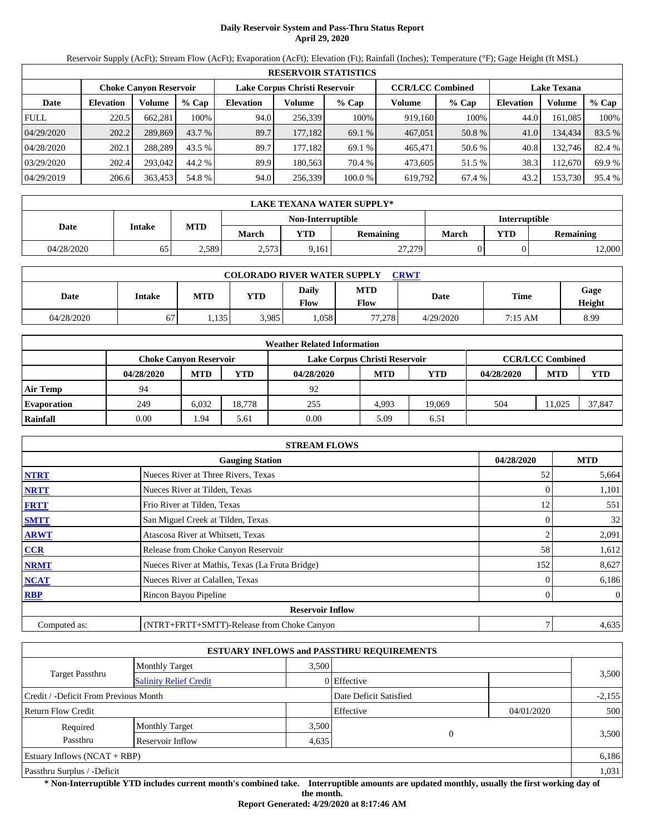## **Daily Reservoir System and Pass-Thru Status Report April 29, 2020**

Reservoir Supply (AcFt); Stream Flow (AcFt); Evaporation (AcFt); Elevation (Ft); Rainfall (Inches); Temperature (°F); Gage Height (ft MSL)

|             | <b>RESERVOIR STATISTICS</b> |                        |         |                               |         |         |                         |         |                    |         |        |  |  |
|-------------|-----------------------------|------------------------|---------|-------------------------------|---------|---------|-------------------------|---------|--------------------|---------|--------|--|--|
|             |                             | Choke Canvon Reservoir |         | Lake Corpus Christi Reservoir |         |         | <b>CCR/LCC Combined</b> |         | <b>Lake Texana</b> |         |        |  |  |
| Date        | <b>Elevation</b>            | Volume                 | $%$ Cap | <b>Elevation</b>              | Volume  | $%$ Cap | Volume                  | $%$ Cap | <b>Elevation</b>   | Volume  | % Cap  |  |  |
| <b>FULL</b> | 220.5                       | 662,281                | 100%    | 94.0                          | 256,339 | 100%    | 919,160                 | 100%    | 44.0               | 161.085 | 100%   |  |  |
| 04/29/2020  | 202.2                       | 289,869                | 43.7 %  | 89.7                          | 177,182 | 69.1 %  | 467,051                 | 50.8 %  | 41.0               | 134.434 | 83.5 % |  |  |
| 04/28/2020  | 202.1                       | 288.289                | 43.5 %  | 89.7                          | 177.182 | 69.1 %  | 465,471                 | 50.6 %  | 40.8               | 132,746 | 82.4 % |  |  |
| 03/29/2020  | 202.4                       | 293,042                | 44.2 %  | 89.9                          | 180.563 | 70.4 %  | 473.605                 | 51.5 %  | 38.3               | 112.670 | 69.9 % |  |  |
| 04/29/2019  | 206.6                       | 363,453                | 54.8 %  | 94.0                          | 256,339 | 100.0 % | 619,792                 | 67.4 %  | 43.2               | 153,730 | 95.4 % |  |  |

|            | LAKE TEXANA WATER SUPPLY* |       |       |                         |        |                      |            |           |  |  |  |
|------------|---------------------------|-------|-------|-------------------------|--------|----------------------|------------|-----------|--|--|--|
|            |                           |       |       | Non-Interruptible       |        | <b>Interruptible</b> |            |           |  |  |  |
| Date       | Intake                    | MTD   | March | <b>VTD</b><br>Remaining |        | March                | <b>YTD</b> | Remaining |  |  |  |
| 04/28/2020 | 65                        | 2,589 | 2,573 | 9,161                   | 27,279 |                      |            | 12,000    |  |  |  |

| <b>COLORADO RIVER WATER SUPPLY</b><br><b>CRWT</b> |        |       |            |                      |             |             |         |                |  |  |  |
|---------------------------------------------------|--------|-------|------------|----------------------|-------------|-------------|---------|----------------|--|--|--|
| Date                                              | Intake | MTD   | <b>YTD</b> | <b>Daily</b><br>Flow | MTD<br>Flow | <b>Date</b> | Time    | Gage<br>Height |  |  |  |
| 04/28/2020                                        | 67     | 1,135 | 3,985      | .058                 | 77.278      | 4/29/2020   | 7:15 AM | 8.99           |  |  |  |

|                    | <b>Weather Related Information</b> |                                                                                           |        |            |            |            |            |            |            |  |  |  |
|--------------------|------------------------------------|-------------------------------------------------------------------------------------------|--------|------------|------------|------------|------------|------------|------------|--|--|--|
|                    |                                    | <b>CCR/LCC Combined</b><br>Lake Corpus Christi Reservoir<br><b>Choke Canvon Reservoir</b> |        |            |            |            |            |            |            |  |  |  |
|                    | 04/28/2020                         | <b>MTD</b>                                                                                | YTD    | 04/28/2020 | <b>MTD</b> | <b>YTD</b> | 04/28/2020 | <b>MTD</b> | <b>YTD</b> |  |  |  |
| <b>Air Temp</b>    | 94                                 |                                                                                           |        | 92         |            |            |            |            |            |  |  |  |
| <b>Evaporation</b> | 249                                | 6.032                                                                                     | 18.778 | 255        | 4.993      | 19.069     | 504        | 11.025     | 37,847     |  |  |  |
| Rainfall           | 0.00                               | . 94                                                                                      | 5.61   | 0.00       | 5.09       | 6.51       |            |            |            |  |  |  |

|              | <b>STREAM FLOWS</b>                             |            |              |
|--------------|-------------------------------------------------|------------|--------------|
|              | <b>Gauging Station</b>                          | 04/28/2020 | <b>MTD</b>   |
| <b>NTRT</b>  | Nueces River at Three Rivers, Texas             | 52         | 5,664        |
| <b>NRTT</b>  | Nueces River at Tilden, Texas                   |            | 1,101        |
| <b>FRTT</b>  | Frio River at Tilden, Texas                     | 12         | 551          |
| <b>SMTT</b>  | San Miguel Creek at Tilden, Texas               |            | 32           |
| <b>ARWT</b>  | Atascosa River at Whitsett, Texas               |            | 2,091        |
| CCR          | Release from Choke Canyon Reservoir             | 58         | 1,612        |
| <b>NRMT</b>  | Nueces River at Mathis, Texas (La Fruta Bridge) | 152        | 8,627        |
| <b>NCAT</b>  | Nueces River at Calallen, Texas                 |            | 6,186        |
| <b>RBP</b>   | Rincon Bayou Pipeline                           |            | $\mathbf{0}$ |
|              | <b>Reservoir Inflow</b>                         |            |              |
| Computed as: | (NTRT+FRTT+SMTT)-Release from Choke Canyon      |            | 4,635        |

|                                                  |                       |       | <b>ESTUARY INFLOWS and PASSTHRU REQUIREMENTS</b> |            |          |  |
|--------------------------------------------------|-----------------------|-------|--------------------------------------------------|------------|----------|--|
|                                                  | <b>Monthly Target</b> | 3.500 |                                                  |            |          |  |
| Target Passthru<br><b>Salinity Relief Credit</b> |                       |       | 0 Effective                                      |            | 3,500    |  |
| Credit / -Deficit From Previous Month            |                       |       | Date Deficit Satisfied                           |            | $-2,155$ |  |
| <b>Return Flow Credit</b>                        |                       |       | Effective                                        | 04/01/2020 | 500      |  |
| Required                                         | <b>Monthly Target</b> | 3,500 |                                                  |            |          |  |
| Passthru<br>Reservoir Inflow<br>4,635            |                       |       | $\Omega$                                         |            | 3,500    |  |
| Estuary Inflows $(NCAT + RBP)$                   |                       |       |                                                  |            | 6,186    |  |
| Passthru Surplus / -Deficit                      |                       |       |                                                  |            | 1,031    |  |